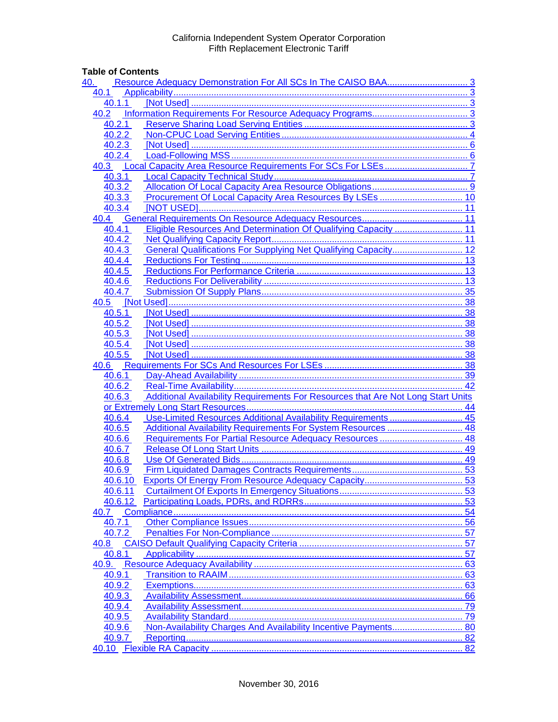## **Table of Contents**

| 40.   |         |                                                                 |    |
|-------|---------|-----------------------------------------------------------------|----|
| 40.1  |         |                                                                 |    |
|       | 40.1.1  |                                                                 |    |
| 40.2  |         |                                                                 |    |
|       | 40.2.1  |                                                                 |    |
|       | 40.2.2  |                                                                 |    |
|       | 40.2.3  | . 6                                                             |    |
|       | 40.2.4  |                                                                 |    |
| 40.3  |         |                                                                 |    |
|       | 40.3.1  |                                                                 |    |
|       | 40.3.2  |                                                                 |    |
|       | 40.3.3  |                                                                 |    |
|       | 40.3.4  |                                                                 |    |
|       |         |                                                                 |    |
|       | 40.4.1  | Eligible Resources And Determination Of Qualifying Capacity  11 |    |
|       | 40.4.2  |                                                                 |    |
|       | 40.4.3  | General Qualifications For Supplying Net Qualifying Capacity 12 |    |
|       | 40.4.4  |                                                                 |    |
|       | 40.4.5  |                                                                 |    |
|       | 40.4.6  |                                                                 |    |
|       | 40.4.7  |                                                                 |    |
|       |         |                                                                 |    |
|       |         | 40.5 [Not Used]                                                 |    |
|       | 40.5.1  |                                                                 |    |
|       | 40.5.2  |                                                                 |    |
|       | 40.5.3  |                                                                 |    |
|       | 40.5.4  |                                                                 |    |
|       | 40.5.5  | 38                                                              |    |
|       |         |                                                                 |    |
|       |         |                                                                 |    |
|       | 40.6.2  |                                                                 |    |
|       | 40.6.3  |                                                                 |    |
|       |         |                                                                 |    |
|       | 40.6.4  | Use-Limited Resources Additional Availability Requirements  45  |    |
|       | 40.6.5  | Additional Availability Requirements For System Resources  48   |    |
|       | 40.6.6  |                                                                 | 48 |
|       | 40.6.7  |                                                                 |    |
|       | 40.6.8  |                                                                 |    |
|       | 40.6.9  |                                                                 |    |
|       | 40.6.10 |                                                                 |    |
|       | 40.6.11 |                                                                 |    |
|       | 40.6.12 |                                                                 |    |
| 40.7  |         |                                                                 |    |
|       | 40.7.1  |                                                                 | 56 |
|       | 40.7.2  |                                                                 |    |
| 40.8  |         |                                                                 | 57 |
|       | 40.8.1  |                                                                 | 57 |
| 40.9. |         |                                                                 | 63 |
|       | 40.9.1  |                                                                 | 63 |
|       | 40.9.2  |                                                                 | 63 |
|       | 40.9.3  |                                                                 |    |
|       | 40.9.4  |                                                                 |    |
|       | 40.9.5  |                                                                 |    |
|       | 40.9.6  |                                                                 |    |
|       | 40.9.7  |                                                                 |    |
|       |         |                                                                 |    |
|       |         |                                                                 |    |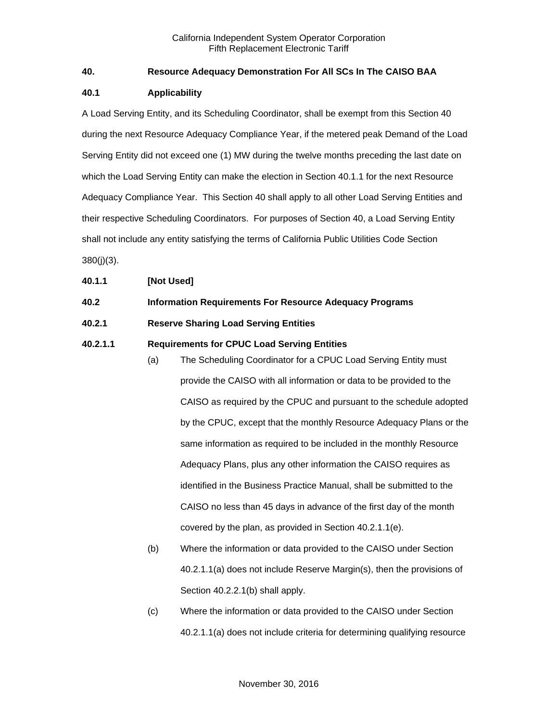## <span id="page-2-0"></span>**40. Resource Adequacy Demonstration For All SCs In The CAISO BAA**

### <span id="page-2-1"></span>**40.1 Applicability**

A Load Serving Entity, and its Scheduling Coordinator, shall be exempt from this Section 40 during the next Resource Adequacy Compliance Year, if the metered peak Demand of the Load Serving Entity did not exceed one (1) MW during the twelve months preceding the last date on which the Load Serving Entity can make the election in Section 40.1.1 for the next Resource Adequacy Compliance Year. This Section 40 shall apply to all other Load Serving Entities and their respective Scheduling Coordinators. For purposes of Section 40, a Load Serving Entity shall not include any entity satisfying the terms of California Public Utilities Code Section 380(j)(3).

#### <span id="page-2-2"></span>**40.1.1 [Not Used]**

### <span id="page-2-3"></span>**40.2 Information Requirements For Resource Adequacy Programs**

#### <span id="page-2-4"></span>**40.2.1 Reserve Sharing Load Serving Entities**

#### **40.2.1.1 Requirements for CPUC Load Serving Entities**

- (a) The Scheduling Coordinator for a CPUC Load Serving Entity must provide the CAISO with all information or data to be provided to the CAISO as required by the CPUC and pursuant to the schedule adopted by the CPUC, except that the monthly Resource Adequacy Plans or the same information as required to be included in the monthly Resource Adequacy Plans, plus any other information the CAISO requires as identified in the Business Practice Manual, shall be submitted to the CAISO no less than 45 days in advance of the first day of the month covered by the plan, as provided in Section 40.2.1.1(e).
- (b) Where the information or data provided to the CAISO under Section 40.2.1.1(a) does not include Reserve Margin(s), then the provisions of Section 40.2.2.1(b) shall apply.
- (c) Where the information or data provided to the CAISO under Section 40.2.1.1(a) does not include criteria for determining qualifying resource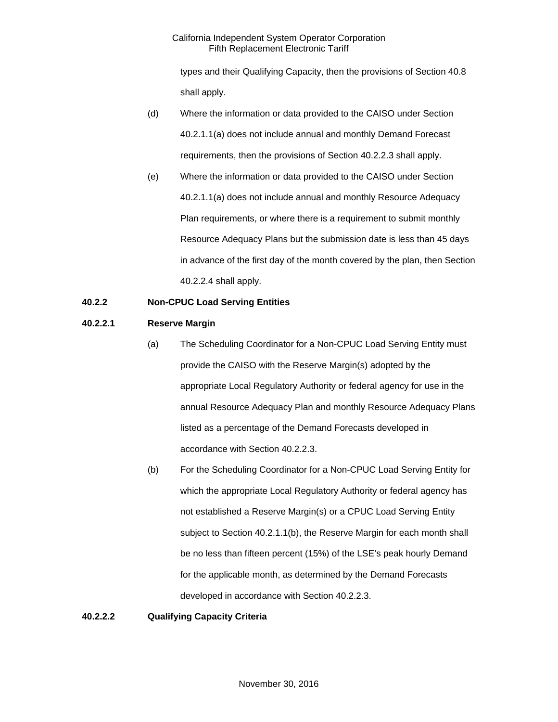types and their Qualifying Capacity, then the provisions of Section 40.8 shall apply.

- (d) Where the information or data provided to the CAISO under Section 40.2.1.1(a) does not include annual and monthly Demand Forecast requirements, then the provisions of Section 40.2.2.3 shall apply.
- (e) Where the information or data provided to the CAISO under Section 40.2.1.1(a) does not include annual and monthly Resource Adequacy Plan requirements, or where there is a requirement to submit monthly Resource Adequacy Plans but the submission date is less than 45 days in advance of the first day of the month covered by the plan, then Section 40.2.2.4 shall apply.

## <span id="page-3-0"></span>**40.2.2 Non-CPUC Load Serving Entities**

#### **40.2.2.1 Reserve Margin**

- (a) The Scheduling Coordinator for a Non-CPUC Load Serving Entity must provide the CAISO with the Reserve Margin(s) adopted by the appropriate Local Regulatory Authority or federal agency for use in the annual Resource Adequacy Plan and monthly Resource Adequacy Plans listed as a percentage of the Demand Forecasts developed in accordance with Section 40.2.2.3.
- (b) For the Scheduling Coordinator for a Non-CPUC Load Serving Entity for which the appropriate Local Regulatory Authority or federal agency has not established a Reserve Margin(s) or a CPUC Load Serving Entity subject to Section 40.2.1.1(b), the Reserve Margin for each month shall be no less than fifteen percent (15%) of the LSE's peak hourly Demand for the applicable month, as determined by the Demand Forecasts developed in accordance with Section 40.2.2.3.

## **40.2.2.2 Qualifying Capacity Criteria**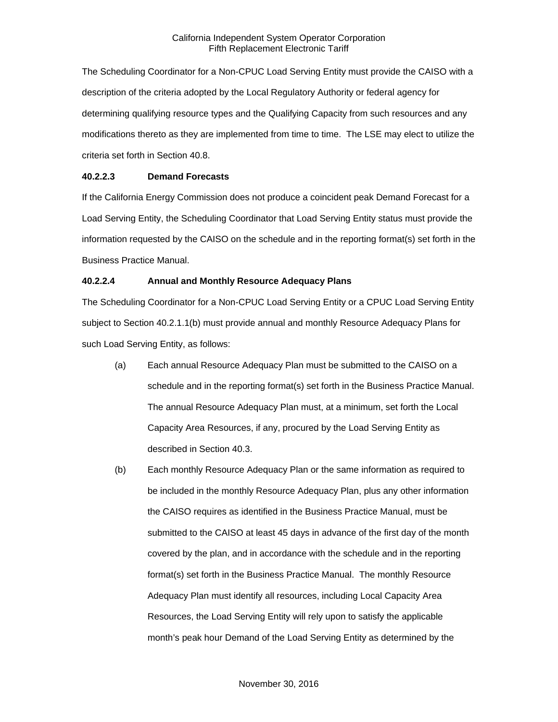The Scheduling Coordinator for a Non-CPUC Load Serving Entity must provide the CAISO with a description of the criteria adopted by the Local Regulatory Authority or federal agency for determining qualifying resource types and the Qualifying Capacity from such resources and any modifications thereto as they are implemented from time to time. The LSE may elect to utilize the criteria set forth in Section 40.8.

## **40.2.2.3 Demand Forecasts**

If the California Energy Commission does not produce a coincident peak Demand Forecast for a Load Serving Entity, the Scheduling Coordinator that Load Serving Entity status must provide the information requested by the CAISO on the schedule and in the reporting format(s) set forth in the Business Practice Manual.

## **40.2.2.4 Annual and Monthly Resource Adequacy Plans**

The Scheduling Coordinator for a Non-CPUC Load Serving Entity or a CPUC Load Serving Entity subject to Section 40.2.1.1(b) must provide annual and monthly Resource Adequacy Plans for such Load Serving Entity, as follows:

- (a) Each annual Resource Adequacy Plan must be submitted to the CAISO on a schedule and in the reporting format(s) set forth in the Business Practice Manual. The annual Resource Adequacy Plan must, at a minimum, set forth the Local Capacity Area Resources, if any, procured by the Load Serving Entity as described in Section 40.3.
- (b) Each monthly Resource Adequacy Plan or the same information as required to be included in the monthly Resource Adequacy Plan, plus any other information the CAISO requires as identified in the Business Practice Manual, must be submitted to the CAISO at least 45 days in advance of the first day of the month covered by the plan, and in accordance with the schedule and in the reporting format(s) set forth in the Business Practice Manual. The monthly Resource Adequacy Plan must identify all resources, including Local Capacity Area Resources, the Load Serving Entity will rely upon to satisfy the applicable month's peak hour Demand of the Load Serving Entity as determined by the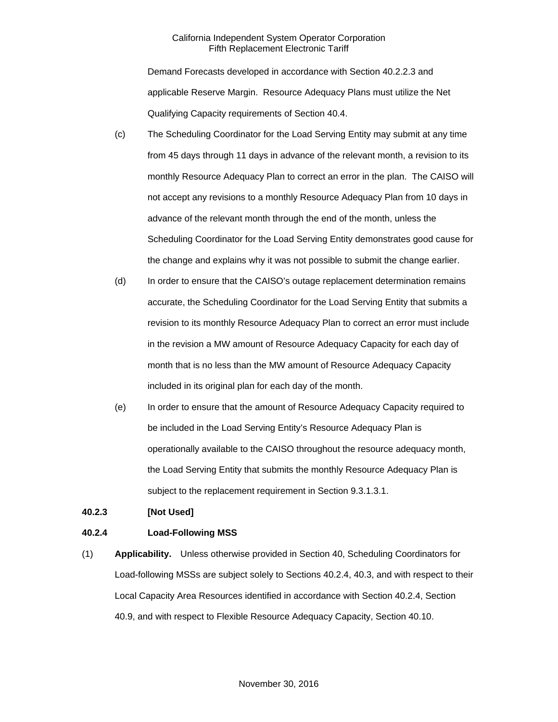Demand Forecasts developed in accordance with Section 40.2.2.3 and applicable Reserve Margin. Resource Adequacy Plans must utilize the Net Qualifying Capacity requirements of Section 40.4.

- (c) The Scheduling Coordinator for the Load Serving Entity may submit at any time from 45 days through 11 days in advance of the relevant month, a revision to its monthly Resource Adequacy Plan to correct an error in the plan. The CAISO will not accept any revisions to a monthly Resource Adequacy Plan from 10 days in advance of the relevant month through the end of the month, unless the Scheduling Coordinator for the Load Serving Entity demonstrates good cause for the change and explains why it was not possible to submit the change earlier.
- (d) In order to ensure that the CAISO's outage replacement determination remains accurate, the Scheduling Coordinator for the Load Serving Entity that submits a revision to its monthly Resource Adequacy Plan to correct an error must include in the revision a MW amount of Resource Adequacy Capacity for each day of month that is no less than the MW amount of Resource Adequacy Capacity included in its original plan for each day of the month.
- (e) In order to ensure that the amount of Resource Adequacy Capacity required to be included in the Load Serving Entity's Resource Adequacy Plan is operationally available to the CAISO throughout the resource adequacy month, the Load Serving Entity that submits the monthly Resource Adequacy Plan is subject to the replacement requirement in Section 9.3.1.3.1.

#### <span id="page-5-0"></span>**40.2.3 [Not Used]**

#### <span id="page-5-1"></span>**40.2.4 Load-Following MSS**

(1) **Applicability.** Unless otherwise provided in Section 40, Scheduling Coordinators for Load-following MSSs are subject solely to Sections 40.2.4, 40.3, and with respect to their Local Capacity Area Resources identified in accordance with Section 40.2.4, Section 40.9, and with respect to Flexible Resource Adequacy Capacity, Section 40.10.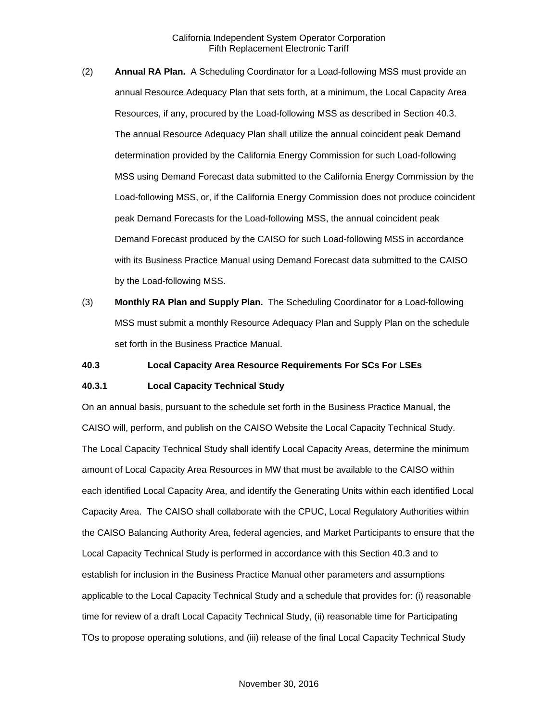- (2) **Annual RA Plan.** A Scheduling Coordinator for a Load-following MSS must provide an annual Resource Adequacy Plan that sets forth, at a minimum, the Local Capacity Area Resources, if any, procured by the Load-following MSS as described in Section 40.3. The annual Resource Adequacy Plan shall utilize the annual coincident peak Demand determination provided by the California Energy Commission for such Load-following MSS using Demand Forecast data submitted to the California Energy Commission by the Load-following MSS, or, if the California Energy Commission does not produce coincident peak Demand Forecasts for the Load-following MSS, the annual coincident peak Demand Forecast produced by the CAISO for such Load-following MSS in accordance with its Business Practice Manual using Demand Forecast data submitted to the CAISO by the Load-following MSS.
- (3) **Monthly RA Plan and Supply Plan.** The Scheduling Coordinator for a Load-following MSS must submit a monthly Resource Adequacy Plan and Supply Plan on the schedule set forth in the Business Practice Manual.

#### <span id="page-6-0"></span>**40.3 Local Capacity Area Resource Requirements For SCs For LSEs**

#### <span id="page-6-1"></span>**40.3.1 Local Capacity Technical Study**

On an annual basis, pursuant to the schedule set forth in the Business Practice Manual, the CAISO will, perform, and publish on the CAISO Website the Local Capacity Technical Study. The Local Capacity Technical Study shall identify Local Capacity Areas, determine the minimum amount of Local Capacity Area Resources in MW that must be available to the CAISO within each identified Local Capacity Area, and identify the Generating Units within each identified Local Capacity Area. The CAISO shall collaborate with the CPUC, Local Regulatory Authorities within the CAISO Balancing Authority Area, federal agencies, and Market Participants to ensure that the Local Capacity Technical Study is performed in accordance with this Section 40.3 and to establish for inclusion in the Business Practice Manual other parameters and assumptions applicable to the Local Capacity Technical Study and a schedule that provides for: (i) reasonable time for review of a draft Local Capacity Technical Study, (ii) reasonable time for Participating TOs to propose operating solutions, and (iii) release of the final Local Capacity Technical Study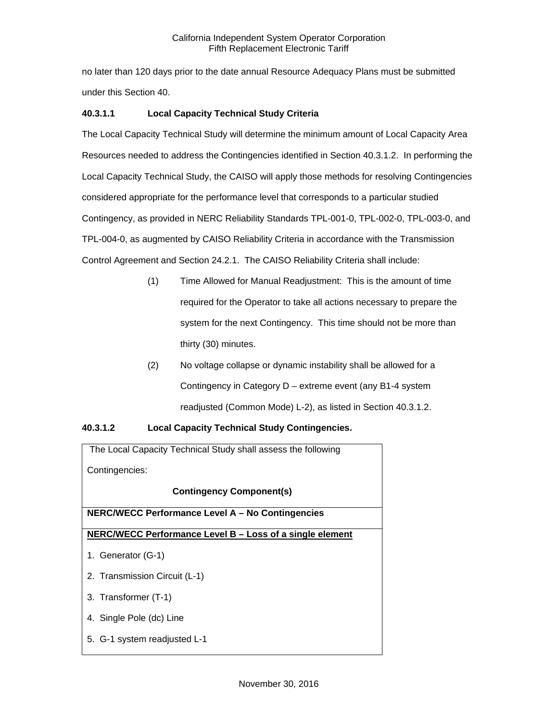no later than 120 days prior to the date annual Resource Adequacy Plans must be submitted under this Section 40.

## **40.3.1.1 Local Capacity Technical Study Criteria**

The Local Capacity Technical Study will determine the minimum amount of Local Capacity Area Resources needed to address the Contingencies identified in Section 40.3.1.2. In performing the Local Capacity Technical Study, the CAISO will apply those methods for resolving Contingencies considered appropriate for the performance level that corresponds to a particular studied Contingency, as provided in NERC Reliability Standards TPL-001-0, TPL-002-0, TPL-003-0, and TPL-004-0, as augmented by CAISO Reliability Criteria in accordance with the Transmission Control Agreement and Section 24.2.1. The CAISO Reliability Criteria shall include:

- (1) Time Allowed for Manual Readjustment: This is the amount of time required for the Operator to take all actions necessary to prepare the system for the next Contingency. This time should not be more than thirty (30) minutes.
- (2) No voltage collapse or dynamic instability shall be allowed for a Contingency in Category D – extreme event (any B1-4 system readjusted (Common Mode) L-2), as listed in Section 40.3.1.2.

## **40.3.1.2 Local Capacity Technical Study Contingencies.**

The Local Capacity Technical Study shall assess the following Contingencies: **Contingency Component(s) NERC/WECC Performance Level A – No Contingencies NERC/WECC Performance Level B – Loss of a single element** 1. Generator (G-1) 2. Transmission Circuit (L-1) 3. Transformer (T-1) 4. Single Pole (dc) Line 5. G-1 system readjusted L-1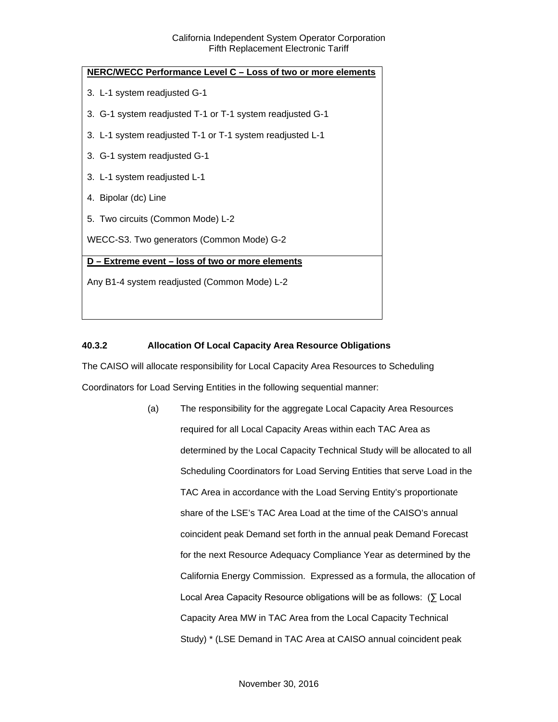| NERC/WECC Performance Level C - Loss of two or more elements |  |  |  |
|--------------------------------------------------------------|--|--|--|
| 3. L-1 system readjusted G-1                                 |  |  |  |
| 3. G-1 system readjusted T-1 or T-1 system readjusted G-1    |  |  |  |
| 3. L-1 system readjusted T-1 or T-1 system readjusted L-1    |  |  |  |
| 3. G-1 system readjusted G-1                                 |  |  |  |
| 3. L-1 system readjusted L-1                                 |  |  |  |
| 4. Bipolar (dc) Line                                         |  |  |  |
| 5. Two circuits (Common Mode) L-2                            |  |  |  |
| WECC-S3. Two generators (Common Mode) G-2                    |  |  |  |
| D - Extreme event - loss of two or more elements             |  |  |  |
| Any B1-4 system readjusted (Common Mode) L-2                 |  |  |  |
|                                                              |  |  |  |

## <span id="page-8-0"></span>**40.3.2 Allocation Of Local Capacity Area Resource Obligations**

The CAISO will allocate responsibility for Local Capacity Area Resources to Scheduling Coordinators for Load Serving Entities in the following sequential manner:

> (a) The responsibility for the aggregate Local Capacity Area Resources required for all Local Capacity Areas within each TAC Area as determined by the Local Capacity Technical Study will be allocated to all Scheduling Coordinators for Load Serving Entities that serve Load in the TAC Area in accordance with the Load Serving Entity's proportionate share of the LSE's TAC Area Load at the time of the CAISO's annual coincident peak Demand set forth in the annual peak Demand Forecast for the next Resource Adequacy Compliance Year as determined by the California Energy Commission. Expressed as a formula, the allocation of Local Area Capacity Resource obligations will be as follows: (∑ Local Capacity Area MW in TAC Area from the Local Capacity Technical Study) \* (LSE Demand in TAC Area at CAISO annual coincident peak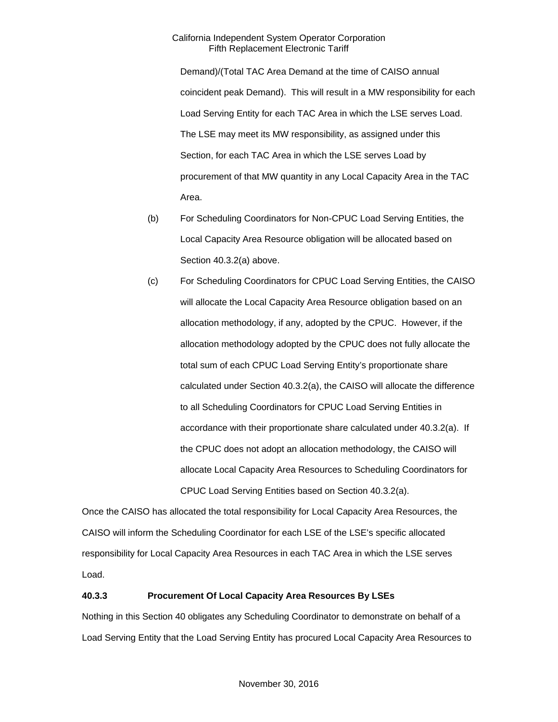Demand)/(Total TAC Area Demand at the time of CAISO annual coincident peak Demand). This will result in a MW responsibility for each Load Serving Entity for each TAC Area in which the LSE serves Load. The LSE may meet its MW responsibility, as assigned under this Section, for each TAC Area in which the LSE serves Load by procurement of that MW quantity in any Local Capacity Area in the TAC Area.

- (b) For Scheduling Coordinators for Non-CPUC Load Serving Entities, the Local Capacity Area Resource obligation will be allocated based on Section 40.3.2(a) above.
- (c) For Scheduling Coordinators for CPUC Load Serving Entities, the CAISO will allocate the Local Capacity Area Resource obligation based on an allocation methodology, if any, adopted by the CPUC. However, if the allocation methodology adopted by the CPUC does not fully allocate the total sum of each CPUC Load Serving Entity's proportionate share calculated under Section 40.3.2(a), the CAISO will allocate the difference to all Scheduling Coordinators for CPUC Load Serving Entities in accordance with their proportionate share calculated under 40.3.2(a). If the CPUC does not adopt an allocation methodology, the CAISO will allocate Local Capacity Area Resources to Scheduling Coordinators for CPUC Load Serving Entities based on Section 40.3.2(a).

Once the CAISO has allocated the total responsibility for Local Capacity Area Resources, the CAISO will inform the Scheduling Coordinator for each LSE of the LSE's specific allocated responsibility for Local Capacity Area Resources in each TAC Area in which the LSE serves Load.

#### <span id="page-9-0"></span>**40.3.3 Procurement Of Local Capacity Area Resources By LSEs**

Nothing in this Section 40 obligates any Scheduling Coordinator to demonstrate on behalf of a Load Serving Entity that the Load Serving Entity has procured Local Capacity Area Resources to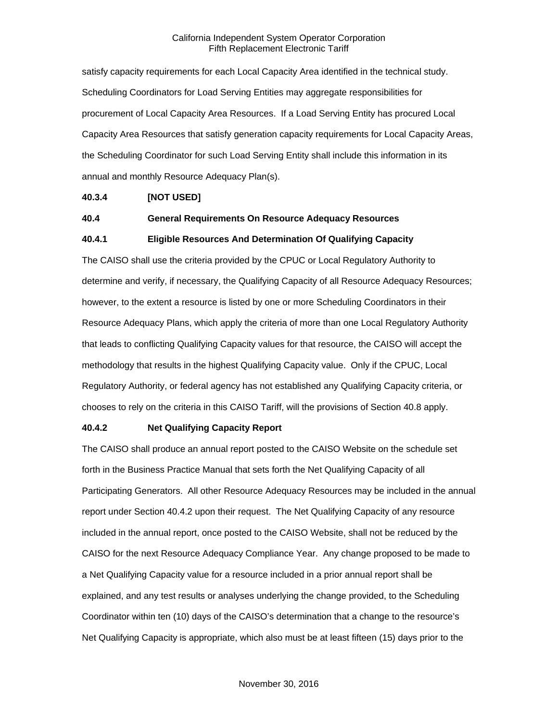satisfy capacity requirements for each Local Capacity Area identified in the technical study. Scheduling Coordinators for Load Serving Entities may aggregate responsibilities for procurement of Local Capacity Area Resources. If a Load Serving Entity has procured Local Capacity Area Resources that satisfy generation capacity requirements for Local Capacity Areas, the Scheduling Coordinator for such Load Serving Entity shall include this information in its annual and monthly Resource Adequacy Plan(s).

#### <span id="page-10-0"></span>**40.3.4 [NOT USED]**

#### <span id="page-10-1"></span>**40.4 General Requirements On Resource Adequacy Resources**

#### <span id="page-10-2"></span>**40.4.1 Eligible Resources And Determination Of Qualifying Capacity**

The CAISO shall use the criteria provided by the CPUC or Local Regulatory Authority to determine and verify, if necessary, the Qualifying Capacity of all Resource Adequacy Resources; however, to the extent a resource is listed by one or more Scheduling Coordinators in their Resource Adequacy Plans, which apply the criteria of more than one Local Regulatory Authority that leads to conflicting Qualifying Capacity values for that resource, the CAISO will accept the methodology that results in the highest Qualifying Capacity value. Only if the CPUC, Local Regulatory Authority, or federal agency has not established any Qualifying Capacity criteria, or chooses to rely on the criteria in this CAISO Tariff, will the provisions of Section 40.8 apply.

#### <span id="page-10-3"></span>**40.4.2 Net Qualifying Capacity Report**

The CAISO shall produce an annual report posted to the CAISO Website on the schedule set forth in the Business Practice Manual that sets forth the Net Qualifying Capacity of all Participating Generators. All other Resource Adequacy Resources may be included in the annual report under Section 40.4.2 upon their request. The Net Qualifying Capacity of any resource included in the annual report, once posted to the CAISO Website, shall not be reduced by the CAISO for the next Resource Adequacy Compliance Year. Any change proposed to be made to a Net Qualifying Capacity value for a resource included in a prior annual report shall be explained, and any test results or analyses underlying the change provided, to the Scheduling Coordinator within ten (10) days of the CAISO's determination that a change to the resource's Net Qualifying Capacity is appropriate, which also must be at least fifteen (15) days prior to the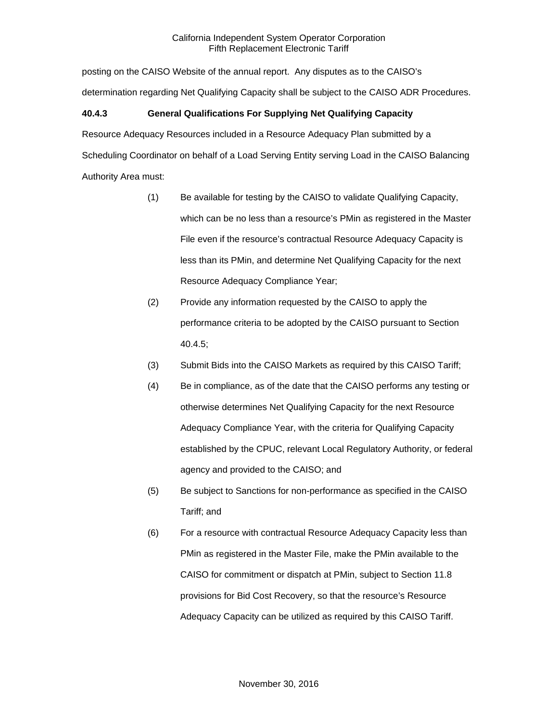posting on the CAISO Website of the annual report. Any disputes as to the CAISO's determination regarding Net Qualifying Capacity shall be subject to the CAISO ADR Procedures.

## <span id="page-11-0"></span>**40.4.3 General Qualifications For Supplying Net Qualifying Capacity**

Resource Adequacy Resources included in a Resource Adequacy Plan submitted by a Scheduling Coordinator on behalf of a Load Serving Entity serving Load in the CAISO Balancing Authority Area must:

- (1) Be available for testing by the CAISO to validate Qualifying Capacity, which can be no less than a resource's PMin as registered in the Master File even if the resource's contractual Resource Adequacy Capacity is less than its PMin, and determine Net Qualifying Capacity for the next Resource Adequacy Compliance Year;
- (2) Provide any information requested by the CAISO to apply the performance criteria to be adopted by the CAISO pursuant to Section 40.4.5;
- (3) Submit Bids into the CAISO Markets as required by this CAISO Tariff;
- (4) Be in compliance, as of the date that the CAISO performs any testing or otherwise determines Net Qualifying Capacity for the next Resource Adequacy Compliance Year, with the criteria for Qualifying Capacity established by the CPUC, relevant Local Regulatory Authority, or federal agency and provided to the CAISO; and
- (5) Be subject to Sanctions for non-performance as specified in the CAISO Tariff; and
- (6) For a resource with contractual Resource Adequacy Capacity less than PMin as registered in the Master File, make the PMin available to the CAISO for commitment or dispatch at PMin, subject to Section 11.8 provisions for Bid Cost Recovery, so that the resource's Resource Adequacy Capacity can be utilized as required by this CAISO Tariff.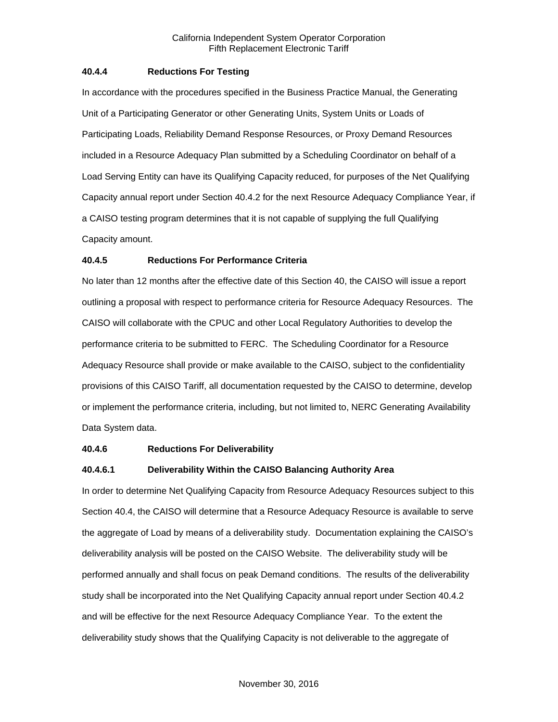### <span id="page-12-0"></span>**40.4.4 Reductions For Testing**

In accordance with the procedures specified in the Business Practice Manual, the Generating Unit of a Participating Generator or other Generating Units, System Units or Loads of Participating Loads, Reliability Demand Response Resources, or Proxy Demand Resources included in a Resource Adequacy Plan submitted by a Scheduling Coordinator on behalf of a Load Serving Entity can have its Qualifying Capacity reduced, for purposes of the Net Qualifying Capacity annual report under Section 40.4.2 for the next Resource Adequacy Compliance Year, if a CAISO testing program determines that it is not capable of supplying the full Qualifying Capacity amount.

## <span id="page-12-1"></span>**40.4.5 Reductions For Performance Criteria**

No later than 12 months after the effective date of this Section 40, the CAISO will issue a report outlining a proposal with respect to performance criteria for Resource Adequacy Resources. The CAISO will collaborate with the CPUC and other Local Regulatory Authorities to develop the performance criteria to be submitted to FERC. The Scheduling Coordinator for a Resource Adequacy Resource shall provide or make available to the CAISO, subject to the confidentiality provisions of this CAISO Tariff, all documentation requested by the CAISO to determine, develop or implement the performance criteria, including, but not limited to, NERC Generating Availability Data System data.

#### <span id="page-12-2"></span>**40.4.6 Reductions For Deliverability**

## **40.4.6.1 Deliverability Within the CAISO Balancing Authority Area**

In order to determine Net Qualifying Capacity from Resource Adequacy Resources subject to this Section 40.4, the CAISO will determine that a Resource Adequacy Resource is available to serve the aggregate of Load by means of a deliverability study. Documentation explaining the CAISO's deliverability analysis will be posted on the CAISO Website. The deliverability study will be performed annually and shall focus on peak Demand conditions. The results of the deliverability study shall be incorporated into the Net Qualifying Capacity annual report under Section 40.4.2 and will be effective for the next Resource Adequacy Compliance Year. To the extent the deliverability study shows that the Qualifying Capacity is not deliverable to the aggregate of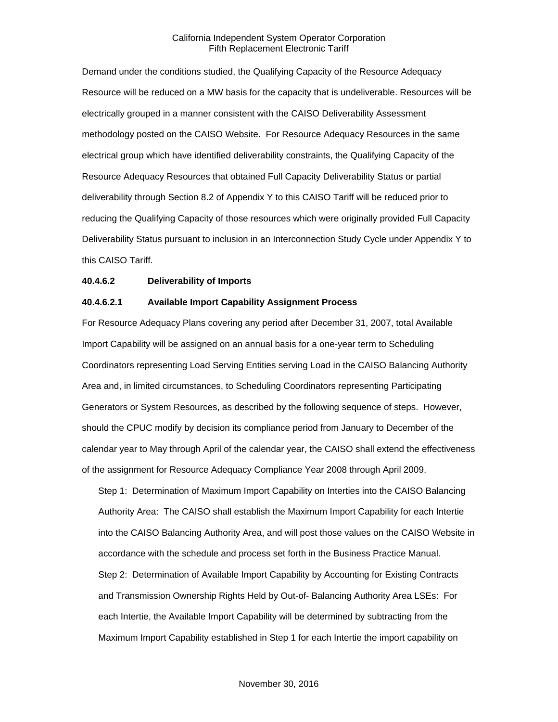Demand under the conditions studied, the Qualifying Capacity of the Resource Adequacy Resource will be reduced on a MW basis for the capacity that is undeliverable. Resources will be electrically grouped in a manner consistent with the CAISO Deliverability Assessment methodology posted on the CAISO Website. For Resource Adequacy Resources in the same electrical group which have identified deliverability constraints, the Qualifying Capacity of the Resource Adequacy Resources that obtained Full Capacity Deliverability Status or partial deliverability through Section 8.2 of Appendix Y to this CAISO Tariff will be reduced prior to reducing the Qualifying Capacity of those resources which were originally provided Full Capacity Deliverability Status pursuant to inclusion in an Interconnection Study Cycle under Appendix Y to this CAISO Tariff.

#### **40.4.6.2 Deliverability of Imports**

#### **40.4.6.2.1 Available Import Capability Assignment Process**

For Resource Adequacy Plans covering any period after December 31, 2007, total Available Import Capability will be assigned on an annual basis for a one-year term to Scheduling Coordinators representing Load Serving Entities serving Load in the CAISO Balancing Authority Area and, in limited circumstances, to Scheduling Coordinators representing Participating Generators or System Resources, as described by the following sequence of steps. However, should the CPUC modify by decision its compliance period from January to December of the calendar year to May through April of the calendar year, the CAISO shall extend the effectiveness of the assignment for Resource Adequacy Compliance Year 2008 through April 2009.

Step 1: Determination of Maximum Import Capability on Interties into the CAISO Balancing Authority Area: The CAISO shall establish the Maximum Import Capability for each Intertie into the CAISO Balancing Authority Area, and will post those values on the CAISO Website in accordance with the schedule and process set forth in the Business Practice Manual. Step 2: Determination of Available Import Capability by Accounting for Existing Contracts and Transmission Ownership Rights Held by Out-of- Balancing Authority Area LSEs: For each Intertie, the Available Import Capability will be determined by subtracting from the Maximum Import Capability established in Step 1 for each Intertie the import capability on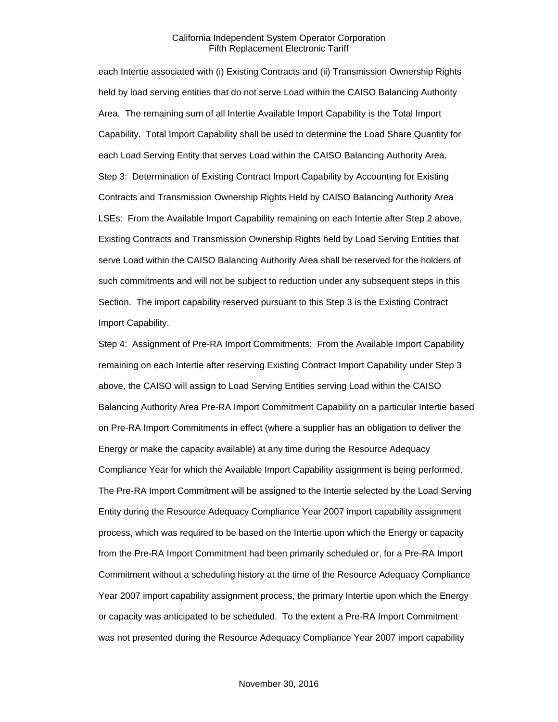each Intertie associated with (i) Existing Contracts and (ii) Transmission Ownership Rights held by load serving entities that do not serve Load within the CAISO Balancing Authority Area. The remaining sum of all Intertie Available Import Capability is the Total Import Capability. Total Import Capability shall be used to determine the Load Share Quantity for each Load Serving Entity that serves Load within the CAISO Balancing Authority Area. Step 3: Determination of Existing Contract Import Capability by Accounting for Existing Contracts and Transmission Ownership Rights Held by CAISO Balancing Authority Area LSEs: From the Available Import Capability remaining on each Intertie after Step 2 above, Existing Contracts and Transmission Ownership Rights held by Load Serving Entities that serve Load within the CAISO Balancing Authority Area shall be reserved for the holders of such commitments and will not be subject to reduction under any subsequent steps in this Section. The import capability reserved pursuant to this Step 3 is the Existing Contract Import Capability.

Step 4: Assignment of Pre-RA Import Commitments: From the Available Import Capability remaining on each Intertie after reserving Existing Contract Import Capability under Step 3 above, the CAISO will assign to Load Serving Entities serving Load within the CAISO Balancing Authority Area Pre-RA Import Commitment Capability on a particular Intertie based on Pre-RA Import Commitments in effect (where a supplier has an obligation to deliver the Energy or make the capacity available) at any time during the Resource Adequacy Compliance Year for which the Available Import Capability assignment is being performed. The Pre-RA Import Commitment will be assigned to the Intertie selected by the Load Serving Entity during the Resource Adequacy Compliance Year 2007 import capability assignment process, which was required to be based on the Intertie upon which the Energy or capacity from the Pre-RA Import Commitment had been primarily scheduled or, for a Pre-RA Import Commitment without a scheduling history at the time of the Resource Adequacy Compliance Year 2007 import capability assignment process, the primary Intertie upon which the Energy or capacity was anticipated to be scheduled. To the extent a Pre-RA Import Commitment was not presented during the Resource Adequacy Compliance Year 2007 import capability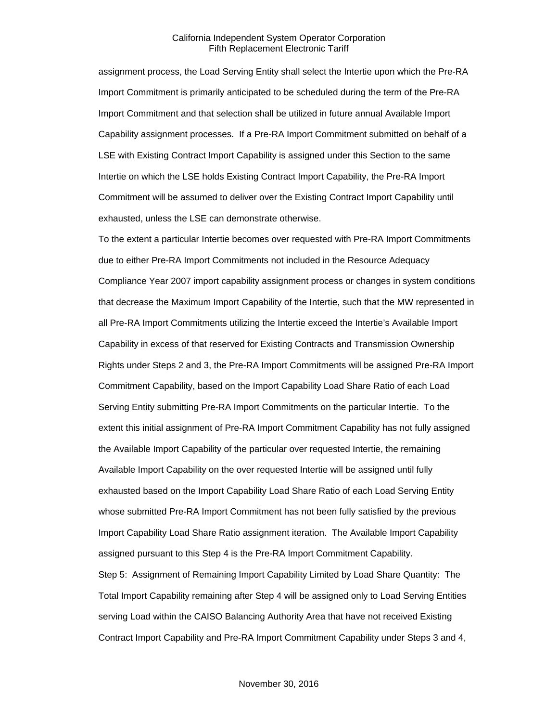assignment process, the Load Serving Entity shall select the Intertie upon which the Pre-RA Import Commitment is primarily anticipated to be scheduled during the term of the Pre-RA Import Commitment and that selection shall be utilized in future annual Available Import Capability assignment processes. If a Pre-RA Import Commitment submitted on behalf of a LSE with Existing Contract Import Capability is assigned under this Section to the same Intertie on which the LSE holds Existing Contract Import Capability, the Pre-RA Import Commitment will be assumed to deliver over the Existing Contract Import Capability until exhausted, unless the LSE can demonstrate otherwise.

To the extent a particular Intertie becomes over requested with Pre-RA Import Commitments due to either Pre-RA Import Commitments not included in the Resource Adequacy Compliance Year 2007 import capability assignment process or changes in system conditions that decrease the Maximum Import Capability of the Intertie, such that the MW represented in all Pre-RA Import Commitments utilizing the Intertie exceed the Intertie's Available Import Capability in excess of that reserved for Existing Contracts and Transmission Ownership Rights under Steps 2 and 3, the Pre-RA Import Commitments will be assigned Pre-RA Import Commitment Capability, based on the Import Capability Load Share Ratio of each Load Serving Entity submitting Pre-RA Import Commitments on the particular Intertie. To the extent this initial assignment of Pre-RA Import Commitment Capability has not fully assigned the Available Import Capability of the particular over requested Intertie, the remaining Available Import Capability on the over requested Intertie will be assigned until fully exhausted based on the Import Capability Load Share Ratio of each Load Serving Entity whose submitted Pre-RA Import Commitment has not been fully satisfied by the previous Import Capability Load Share Ratio assignment iteration. The Available Import Capability assigned pursuant to this Step 4 is the Pre-RA Import Commitment Capability. Step 5: Assignment of Remaining Import Capability Limited by Load Share Quantity: The Total Import Capability remaining after Step 4 will be assigned only to Load Serving Entities serving Load within the CAISO Balancing Authority Area that have not received Existing Contract Import Capability and Pre-RA Import Commitment Capability under Steps 3 and 4,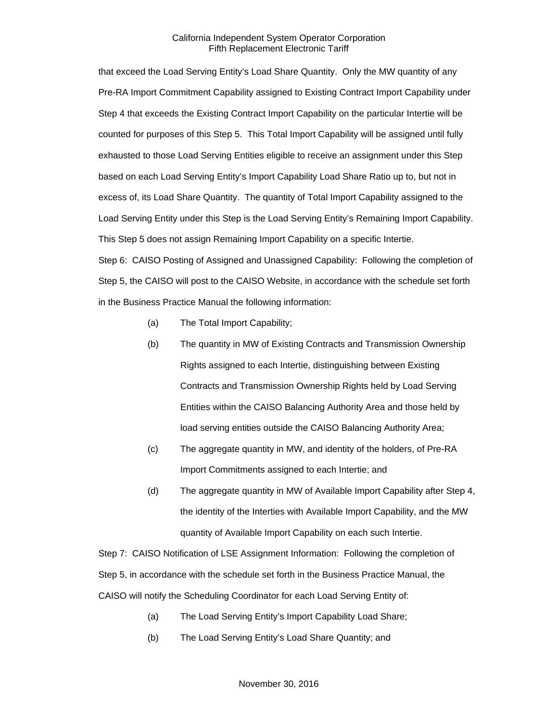that exceed the Load Serving Entity's Load Share Quantity. Only the MW quantity of any Pre-RA Import Commitment Capability assigned to Existing Contract Import Capability under Step 4 that exceeds the Existing Contract Import Capability on the particular Intertie will be counted for purposes of this Step 5. This Total Import Capability will be assigned until fully exhausted to those Load Serving Entities eligible to receive an assignment under this Step based on each Load Serving Entity's Import Capability Load Share Ratio up to, but not in excess of, its Load Share Quantity. The quantity of Total Import Capability assigned to the Load Serving Entity under this Step is the Load Serving Entity's Remaining Import Capability. This Step 5 does not assign Remaining Import Capability on a specific Intertie.

Step 6: CAISO Posting of Assigned and Unassigned Capability: Following the completion of Step 5, the CAISO will post to the CAISO Website, in accordance with the schedule set forth in the Business Practice Manual the following information:

- (a) The Total Import Capability;
- (b) The quantity in MW of Existing Contracts and Transmission Ownership Rights assigned to each Intertie, distinguishing between Existing Contracts and Transmission Ownership Rights held by Load Serving Entities within the CAISO Balancing Authority Area and those held by load serving entities outside the CAISO Balancing Authority Area;
- (c) The aggregate quantity in MW, and identity of the holders, of Pre-RA Import Commitments assigned to each Intertie; and
- (d) The aggregate quantity in MW of Available Import Capability after Step 4, the identity of the Interties with Available Import Capability, and the MW quantity of Available Import Capability on each such Intertie.

Step 7: CAISO Notification of LSE Assignment Information: Following the completion of Step 5, in accordance with the schedule set forth in the Business Practice Manual, the CAISO will notify the Scheduling Coordinator for each Load Serving Entity of:

- (a) The Load Serving Entity's Import Capability Load Share;
- (b) The Load Serving Entity's Load Share Quantity; and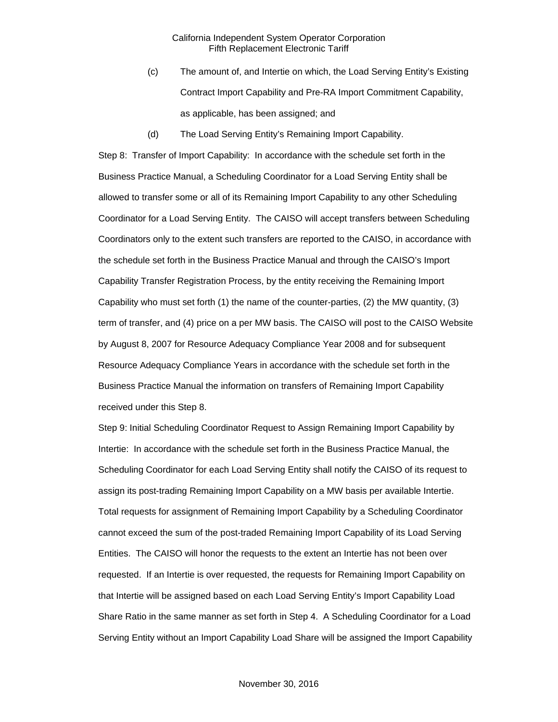- (c) The amount of, and Intertie on which, the Load Serving Entity's Existing Contract Import Capability and Pre-RA Import Commitment Capability, as applicable, has been assigned; and
- (d) The Load Serving Entity's Remaining Import Capability.

Step 8: Transfer of Import Capability: In accordance with the schedule set forth in the Business Practice Manual, a Scheduling Coordinator for a Load Serving Entity shall be allowed to transfer some or all of its Remaining Import Capability to any other Scheduling Coordinator for a Load Serving Entity. The CAISO will accept transfers between Scheduling Coordinators only to the extent such transfers are reported to the CAISO, in accordance with the schedule set forth in the Business Practice Manual and through the CAISO's Import Capability Transfer Registration Process, by the entity receiving the Remaining Import Capability who must set forth (1) the name of the counter-parties, (2) the MW quantity, (3) term of transfer, and (4) price on a per MW basis. The CAISO will post to the CAISO Website by August 8, 2007 for Resource Adequacy Compliance Year 2008 and for subsequent Resource Adequacy Compliance Years in accordance with the schedule set forth in the Business Practice Manual the information on transfers of Remaining Import Capability received under this Step 8.

Step 9: Initial Scheduling Coordinator Request to Assign Remaining Import Capability by Intertie: In accordance with the schedule set forth in the Business Practice Manual, the Scheduling Coordinator for each Load Serving Entity shall notify the CAISO of its request to assign its post-trading Remaining Import Capability on a MW basis per available Intertie. Total requests for assignment of Remaining Import Capability by a Scheduling Coordinator cannot exceed the sum of the post-traded Remaining Import Capability of its Load Serving Entities. The CAISO will honor the requests to the extent an Intertie has not been over requested. If an Intertie is over requested, the requests for Remaining Import Capability on that Intertie will be assigned based on each Load Serving Entity's Import Capability Load Share Ratio in the same manner as set forth in Step 4. A Scheduling Coordinator for a Load Serving Entity without an Import Capability Load Share will be assigned the Import Capability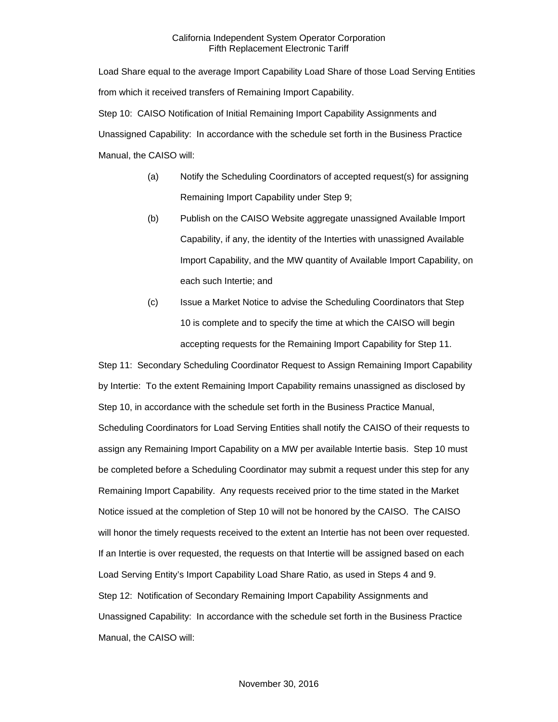Load Share equal to the average Import Capability Load Share of those Load Serving Entities from which it received transfers of Remaining Import Capability. Step 10: CAISO Notification of Initial Remaining Import Capability Assignments and Unassigned Capability: In accordance with the schedule set forth in the Business Practice

Manual, the CAISO will:

- (a) Notify the Scheduling Coordinators of accepted request(s) for assigning Remaining Import Capability under Step 9;
- (b) Publish on the CAISO Website aggregate unassigned Available Import Capability, if any, the identity of the Interties with unassigned Available Import Capability, and the MW quantity of Available Import Capability, on each such Intertie; and
- (c) Issue a Market Notice to advise the Scheduling Coordinators that Step 10 is complete and to specify the time at which the CAISO will begin accepting requests for the Remaining Import Capability for Step 11.

Step 11: Secondary Scheduling Coordinator Request to Assign Remaining Import Capability by Intertie: To the extent Remaining Import Capability remains unassigned as disclosed by Step 10, in accordance with the schedule set forth in the Business Practice Manual, Scheduling Coordinators for Load Serving Entities shall notify the CAISO of their requests to assign any Remaining Import Capability on a MW per available Intertie basis. Step 10 must be completed before a Scheduling Coordinator may submit a request under this step for any Remaining Import Capability. Any requests received prior to the time stated in the Market Notice issued at the completion of Step 10 will not be honored by the CAISO. The CAISO will honor the timely requests received to the extent an Intertie has not been over requested. If an Intertie is over requested, the requests on that Intertie will be assigned based on each Load Serving Entity's Import Capability Load Share Ratio, as used in Steps 4 and 9. Step 12: Notification of Secondary Remaining Import Capability Assignments and Unassigned Capability: In accordance with the schedule set forth in the Business Practice Manual, the CAISO will: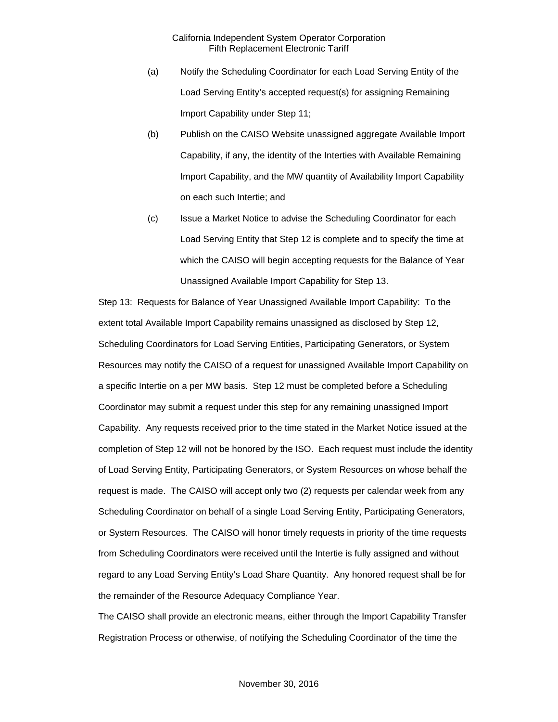- (a) Notify the Scheduling Coordinator for each Load Serving Entity of the Load Serving Entity's accepted request(s) for assigning Remaining Import Capability under Step 11;
- (b) Publish on the CAISO Website unassigned aggregate Available Import Capability, if any, the identity of the Interties with Available Remaining Import Capability, and the MW quantity of Availability Import Capability on each such Intertie; and
- (c) Issue a Market Notice to advise the Scheduling Coordinator for each Load Serving Entity that Step 12 is complete and to specify the time at which the CAISO will begin accepting requests for the Balance of Year Unassigned Available Import Capability for Step 13.

Step 13: Requests for Balance of Year Unassigned Available Import Capability: To the extent total Available Import Capability remains unassigned as disclosed by Step 12, Scheduling Coordinators for Load Serving Entities, Participating Generators, or System Resources may notify the CAISO of a request for unassigned Available Import Capability on a specific Intertie on a per MW basis. Step 12 must be completed before a Scheduling Coordinator may submit a request under this step for any remaining unassigned Import Capability. Any requests received prior to the time stated in the Market Notice issued at the completion of Step 12 will not be honored by the ISO. Each request must include the identity of Load Serving Entity, Participating Generators, or System Resources on whose behalf the request is made. The CAISO will accept only two (2) requests per calendar week from any Scheduling Coordinator on behalf of a single Load Serving Entity, Participating Generators, or System Resources. The CAISO will honor timely requests in priority of the time requests from Scheduling Coordinators were received until the Intertie is fully assigned and without regard to any Load Serving Entity's Load Share Quantity. Any honored request shall be for the remainder of the Resource Adequacy Compliance Year.

The CAISO shall provide an electronic means, either through the Import Capability Transfer Registration Process or otherwise, of notifying the Scheduling Coordinator of the time the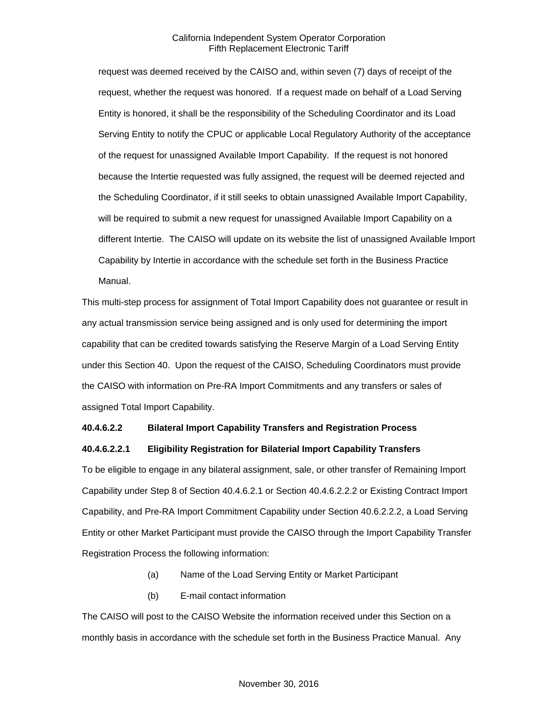request was deemed received by the CAISO and, within seven (7) days of receipt of the request, whether the request was honored. If a request made on behalf of a Load Serving Entity is honored, it shall be the responsibility of the Scheduling Coordinator and its Load Serving Entity to notify the CPUC or applicable Local Regulatory Authority of the acceptance of the request for unassigned Available Import Capability. If the request is not honored because the Intertie requested was fully assigned, the request will be deemed rejected and the Scheduling Coordinator, if it still seeks to obtain unassigned Available Import Capability, will be required to submit a new request for unassigned Available Import Capability on a different Intertie. The CAISO will update on its website the list of unassigned Available Import Capability by Intertie in accordance with the schedule set forth in the Business Practice Manual.

This multi-step process for assignment of Total Import Capability does not guarantee or result in any actual transmission service being assigned and is only used for determining the import capability that can be credited towards satisfying the Reserve Margin of a Load Serving Entity under this Section 40. Upon the request of the CAISO, Scheduling Coordinators must provide the CAISO with information on Pre-RA Import Commitments and any transfers or sales of assigned Total Import Capability.

#### **40.4.6.2.2 Bilateral Import Capability Transfers and Registration Process**

#### **40.4.6.2.2.1 Eligibility Registration for Bilaterial Import Capability Transfers**

To be eligible to engage in any bilateral assignment, sale, or other transfer of Remaining Import Capability under Step 8 of Section 40.4.6.2.1 or Section 40.4.6.2.2.2 or Existing Contract Import Capability, and Pre-RA Import Commitment Capability under Section 40.6.2.2.2, a Load Serving Entity or other Market Participant must provide the CAISO through the Import Capability Transfer Registration Process the following information:

- (a) Name of the Load Serving Entity or Market Participant
- (b) E-mail contact information

The CAISO will post to the CAISO Website the information received under this Section on a monthly basis in accordance with the schedule set forth in the Business Practice Manual. Any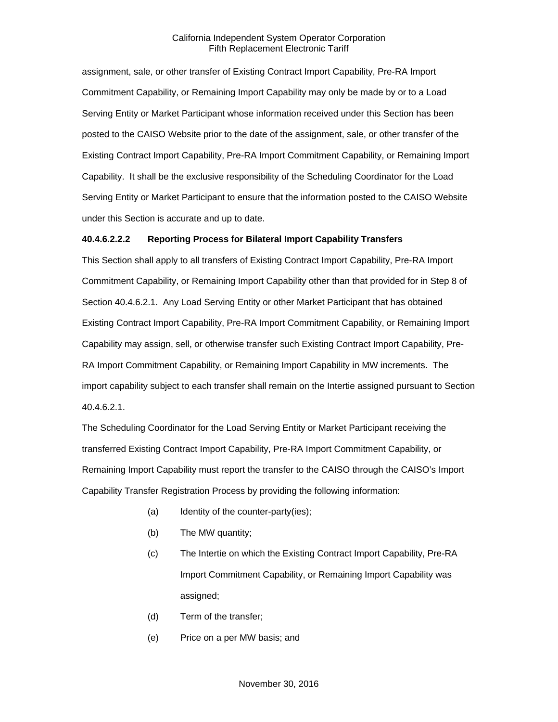assignment, sale, or other transfer of Existing Contract Import Capability, Pre-RA Import Commitment Capability, or Remaining Import Capability may only be made by or to a Load Serving Entity or Market Participant whose information received under this Section has been posted to the CAISO Website prior to the date of the assignment, sale, or other transfer of the Existing Contract Import Capability, Pre-RA Import Commitment Capability, or Remaining Import Capability. It shall be the exclusive responsibility of the Scheduling Coordinator for the Load Serving Entity or Market Participant to ensure that the information posted to the CAISO Website under this Section is accurate and up to date.

#### **40.4.6.2.2.2 Reporting Process for Bilateral Import Capability Transfers**

This Section shall apply to all transfers of Existing Contract Import Capability, Pre-RA Import Commitment Capability, or Remaining Import Capability other than that provided for in Step 8 of Section 40.4.6.2.1. Any Load Serving Entity or other Market Participant that has obtained Existing Contract Import Capability, Pre-RA Import Commitment Capability, or Remaining Import Capability may assign, sell, or otherwise transfer such Existing Contract Import Capability, Pre-RA Import Commitment Capability, or Remaining Import Capability in MW increments. The import capability subject to each transfer shall remain on the Intertie assigned pursuant to Section 40.4.6.2.1.

The Scheduling Coordinator for the Load Serving Entity or Market Participant receiving the transferred Existing Contract Import Capability, Pre-RA Import Commitment Capability, or Remaining Import Capability must report the transfer to the CAISO through the CAISO's Import Capability Transfer Registration Process by providing the following information:

- (a) Identity of the counter-party(ies);
- (b) The MW quantity;
- (c) The Intertie on which the Existing Contract Import Capability, Pre-RA Import Commitment Capability, or Remaining Import Capability was assigned;
- (d) Term of the transfer;
- (e) Price on a per MW basis; and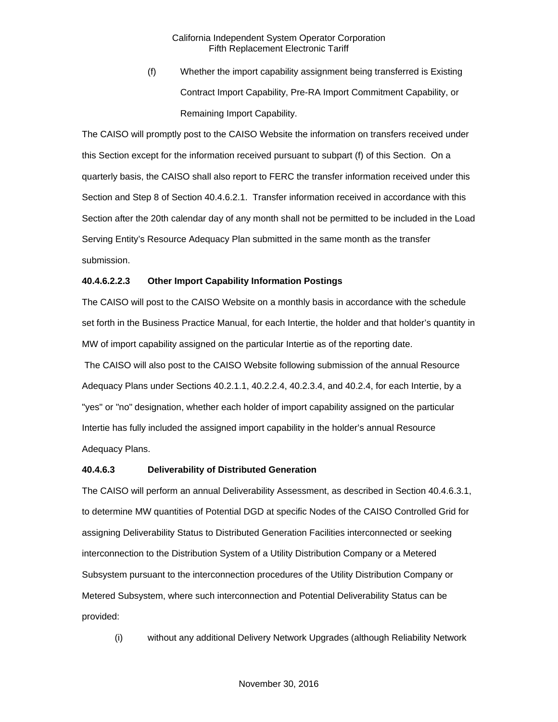(f) Whether the import capability assignment being transferred is Existing Contract Import Capability, Pre-RA Import Commitment Capability, or Remaining Import Capability.

The CAISO will promptly post to the CAISO Website the information on transfers received under this Section except for the information received pursuant to subpart (f) of this Section. On a quarterly basis, the CAISO shall also report to FERC the transfer information received under this Section and Step 8 of Section 40.4.6.2.1. Transfer information received in accordance with this Section after the 20th calendar day of any month shall not be permitted to be included in the Load Serving Entity's Resource Adequacy Plan submitted in the same month as the transfer submission.

#### **40.4.6.2.2.3 Other Import Capability Information Postings**

The CAISO will post to the CAISO Website on a monthly basis in accordance with the schedule set forth in the Business Practice Manual, for each Intertie, the holder and that holder's quantity in MW of import capability assigned on the particular Intertie as of the reporting date.

The CAISO will also post to the CAISO Website following submission of the annual Resource Adequacy Plans under Sections 40.2.1.1, 40.2.2.4, 40.2.3.4, and 40.2.4, for each Intertie, by a "yes" or "no" designation, whether each holder of import capability assigned on the particular Intertie has fully included the assigned import capability in the holder's annual Resource Adequacy Plans.

#### **40.4.6.3 Deliverability of Distributed Generation**

The CAISO will perform an annual Deliverability Assessment, as described in Section 40.4.6.3.1, to determine MW quantities of Potential DGD at specific Nodes of the CAISO Controlled Grid for assigning Deliverability Status to Distributed Generation Facilities interconnected or seeking interconnection to the Distribution System of a Utility Distribution Company or a Metered Subsystem pursuant to the interconnection procedures of the Utility Distribution Company or Metered Subsystem, where such interconnection and Potential Deliverability Status can be provided:

(i) without any additional Delivery Network Upgrades (although Reliability Network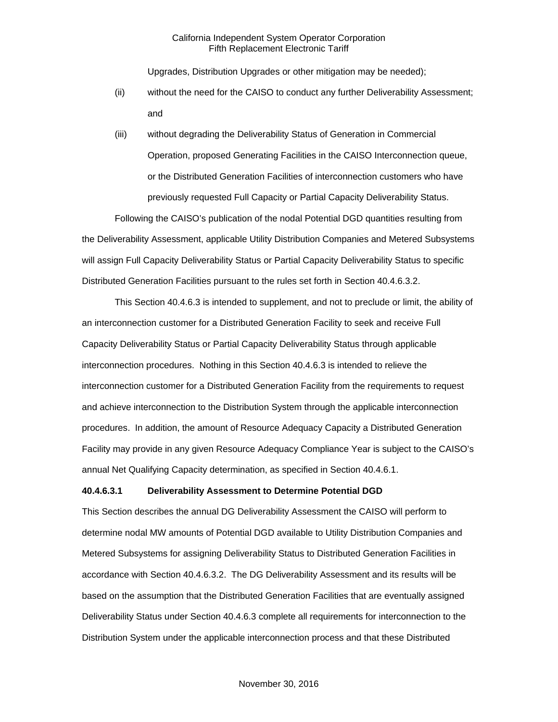Upgrades, Distribution Upgrades or other mitigation may be needed);

- (ii) without the need for the CAISO to conduct any further Deliverability Assessment; and
- (iii) without degrading the Deliverability Status of Generation in Commercial Operation, proposed Generating Facilities in the CAISO Interconnection queue, or the Distributed Generation Facilities of interconnection customers who have previously requested Full Capacity or Partial Capacity Deliverability Status.

Following the CAISO's publication of the nodal Potential DGD quantities resulting from the Deliverability Assessment, applicable Utility Distribution Companies and Metered Subsystems will assign Full Capacity Deliverability Status or Partial Capacity Deliverability Status to specific Distributed Generation Facilities pursuant to the rules set forth in Section 40.4.6.3.2.

This Section 40.4.6.3 is intended to supplement, and not to preclude or limit, the ability of an interconnection customer for a Distributed Generation Facility to seek and receive Full Capacity Deliverability Status or Partial Capacity Deliverability Status through applicable interconnection procedures. Nothing in this Section 40.4.6.3 is intended to relieve the interconnection customer for a Distributed Generation Facility from the requirements to request and achieve interconnection to the Distribution System through the applicable interconnection procedures. In addition, the amount of Resource Adequacy Capacity a Distributed Generation Facility may provide in any given Resource Adequacy Compliance Year is subject to the CAISO's annual Net Qualifying Capacity determination, as specified in Section 40.4.6.1.

#### **40.4.6.3.1 Deliverability Assessment to Determine Potential DGD**

This Section describes the annual DG Deliverability Assessment the CAISO will perform to determine nodal MW amounts of Potential DGD available to Utility Distribution Companies and Metered Subsystems for assigning Deliverability Status to Distributed Generation Facilities in accordance with Section 40.4.6.3.2. The DG Deliverability Assessment and its results will be based on the assumption that the Distributed Generation Facilities that are eventually assigned Deliverability Status under Section 40.4.6.3 complete all requirements for interconnection to the Distribution System under the applicable interconnection process and that these Distributed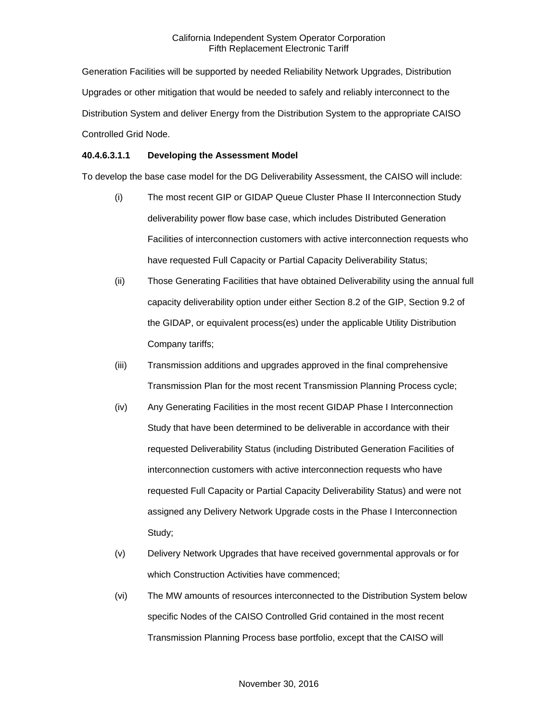Generation Facilities will be supported by needed Reliability Network Upgrades, Distribution Upgrades or other mitigation that would be needed to safely and reliably interconnect to the Distribution System and deliver Energy from the Distribution System to the appropriate CAISO Controlled Grid Node.

## **40.4.6.3.1.1 Developing the Assessment Model**

To develop the base case model for the DG Deliverability Assessment, the CAISO will include:

- (i) The most recent GIP or GIDAP Queue Cluster Phase II Interconnection Study deliverability power flow base case, which includes Distributed Generation Facilities of interconnection customers with active interconnection requests who have requested Full Capacity or Partial Capacity Deliverability Status;
- (ii) Those Generating Facilities that have obtained Deliverability using the annual full capacity deliverability option under either Section 8.2 of the GIP, Section 9.2 of the GIDAP, or equivalent process(es) under the applicable Utility Distribution Company tariffs;
- (iii) Transmission additions and upgrades approved in the final comprehensive Transmission Plan for the most recent Transmission Planning Process cycle;
- (iv) Any Generating Facilities in the most recent GIDAP Phase I Interconnection Study that have been determined to be deliverable in accordance with their requested Deliverability Status (including Distributed Generation Facilities of interconnection customers with active interconnection requests who have requested Full Capacity or Partial Capacity Deliverability Status) and were not assigned any Delivery Network Upgrade costs in the Phase I Interconnection Study;
- (v) Delivery Network Upgrades that have received governmental approvals or for which Construction Activities have commenced;
- (vi) The MW amounts of resources interconnected to the Distribution System below specific Nodes of the CAISO Controlled Grid contained in the most recent Transmission Planning Process base portfolio, except that the CAISO will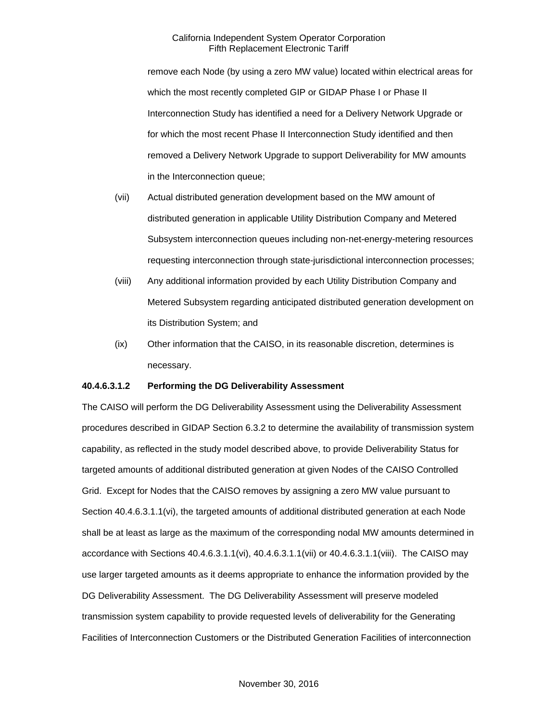remove each Node (by using a zero MW value) located within electrical areas for which the most recently completed GIP or GIDAP Phase I or Phase II Interconnection Study has identified a need for a Delivery Network Upgrade or for which the most recent Phase II Interconnection Study identified and then removed a Delivery Network Upgrade to support Deliverability for MW amounts in the Interconnection queue;

- (vii) Actual distributed generation development based on the MW amount of distributed generation in applicable Utility Distribution Company and Metered Subsystem interconnection queues including non-net-energy-metering resources requesting interconnection through state-jurisdictional interconnection processes;
- (viii) Any additional information provided by each Utility Distribution Company and Metered Subsystem regarding anticipated distributed generation development on its Distribution System; and
- (ix) Other information that the CAISO, in its reasonable discretion, determines is necessary.

#### **40.4.6.3.1.2 Performing the DG Deliverability Assessment**

The CAISO will perform the DG Deliverability Assessment using the Deliverability Assessment procedures described in GIDAP Section 6.3.2 to determine the availability of transmission system capability, as reflected in the study model described above, to provide Deliverability Status for targeted amounts of additional distributed generation at given Nodes of the CAISO Controlled Grid. Except for Nodes that the CAISO removes by assigning a zero MW value pursuant to Section 40.4.6.3.1.1(vi), the targeted amounts of additional distributed generation at each Node shall be at least as large as the maximum of the corresponding nodal MW amounts determined in accordance with Sections 40.4.6.3.1.1(vi), 40.4.6.3.1.1(vii) or 40.4.6.3.1.1(viii). The CAISO may use larger targeted amounts as it deems appropriate to enhance the information provided by the DG Deliverability Assessment. The DG Deliverability Assessment will preserve modeled transmission system capability to provide requested levels of deliverability for the Generating Facilities of Interconnection Customers or the Distributed Generation Facilities of interconnection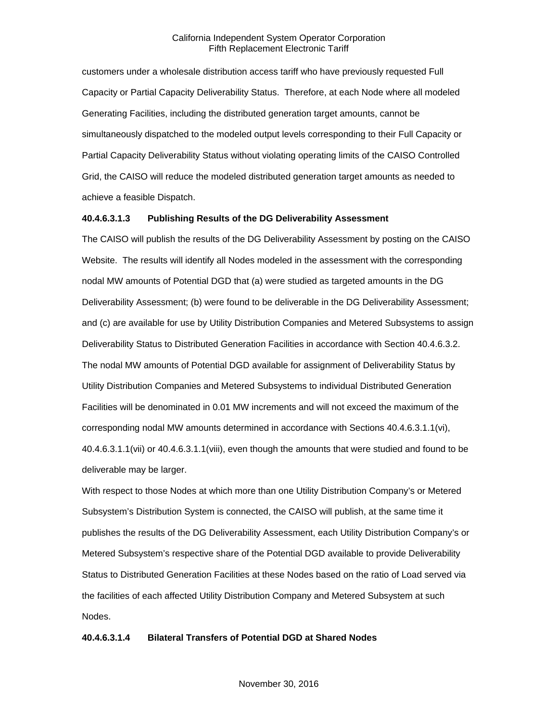customers under a wholesale distribution access tariff who have previously requested Full Capacity or Partial Capacity Deliverability Status. Therefore, at each Node where all modeled Generating Facilities, including the distributed generation target amounts, cannot be simultaneously dispatched to the modeled output levels corresponding to their Full Capacity or Partial Capacity Deliverability Status without violating operating limits of the CAISO Controlled Grid, the CAISO will reduce the modeled distributed generation target amounts as needed to achieve a feasible Dispatch.

#### **40.4.6.3.1.3 Publishing Results of the DG Deliverability Assessment**

The CAISO will publish the results of the DG Deliverability Assessment by posting on the CAISO Website. The results will identify all Nodes modeled in the assessment with the corresponding nodal MW amounts of Potential DGD that (a) were studied as targeted amounts in the DG Deliverability Assessment; (b) were found to be deliverable in the DG Deliverability Assessment; and (c) are available for use by Utility Distribution Companies and Metered Subsystems to assign Deliverability Status to Distributed Generation Facilities in accordance with Section 40.4.6.3.2. The nodal MW amounts of Potential DGD available for assignment of Deliverability Status by Utility Distribution Companies and Metered Subsystems to individual Distributed Generation Facilities will be denominated in 0.01 MW increments and will not exceed the maximum of the corresponding nodal MW amounts determined in accordance with Sections 40.4.6.3.1.1(vi), 40.4.6.3.1.1(vii) or 40.4.6.3.1.1(viii), even though the amounts that were studied and found to be deliverable may be larger.

With respect to those Nodes at which more than one Utility Distribution Company's or Metered Subsystem's Distribution System is connected, the CAISO will publish, at the same time it publishes the results of the DG Deliverability Assessment, each Utility Distribution Company's or Metered Subsystem's respective share of the Potential DGD available to provide Deliverability Status to Distributed Generation Facilities at these Nodes based on the ratio of Load served via the facilities of each affected Utility Distribution Company and Metered Subsystem at such Nodes.

## **40.4.6.3.1.4 Bilateral Transfers of Potential DGD at Shared Nodes**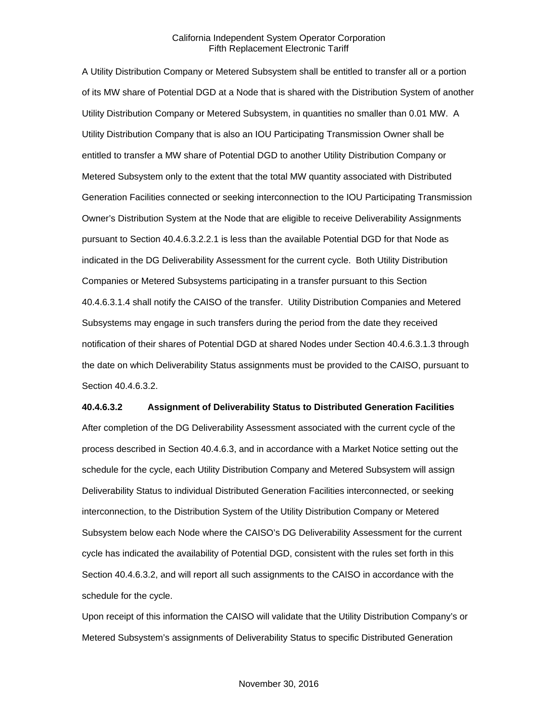A Utility Distribution Company or Metered Subsystem shall be entitled to transfer all or a portion of its MW share of Potential DGD at a Node that is shared with the Distribution System of another Utility Distribution Company or Metered Subsystem, in quantities no smaller than 0.01 MW. A Utility Distribution Company that is also an IOU Participating Transmission Owner shall be entitled to transfer a MW share of Potential DGD to another Utility Distribution Company or Metered Subsystem only to the extent that the total MW quantity associated with Distributed Generation Facilities connected or seeking interconnection to the IOU Participating Transmission Owner's Distribution System at the Node that are eligible to receive Deliverability Assignments pursuant to Section 40.4.6.3.2.2.1 is less than the available Potential DGD for that Node as indicated in the DG Deliverability Assessment for the current cycle. Both Utility Distribution Companies or Metered Subsystems participating in a transfer pursuant to this Section 40.4.6.3.1.4 shall notify the CAISO of the transfer. Utility Distribution Companies and Metered Subsystems may engage in such transfers during the period from the date they received notification of their shares of Potential DGD at shared Nodes under Section 40.4.6.3.1.3 through the date on which Deliverability Status assignments must be provided to the CAISO, pursuant to Section 40.4.6.3.2.

#### **40.4.6.3.2 Assignment of Deliverability Status to Distributed Generation Facilities**

After completion of the DG Deliverability Assessment associated with the current cycle of the process described in Section 40.4.6.3, and in accordance with a Market Notice setting out the schedule for the cycle, each Utility Distribution Company and Metered Subsystem will assign Deliverability Status to individual Distributed Generation Facilities interconnected, or seeking interconnection, to the Distribution System of the Utility Distribution Company or Metered Subsystem below each Node where the CAISO's DG Deliverability Assessment for the current cycle has indicated the availability of Potential DGD, consistent with the rules set forth in this Section 40.4.6.3.2, and will report all such assignments to the CAISO in accordance with the schedule for the cycle.

Upon receipt of this information the CAISO will validate that the Utility Distribution Company's or Metered Subsystem's assignments of Deliverability Status to specific Distributed Generation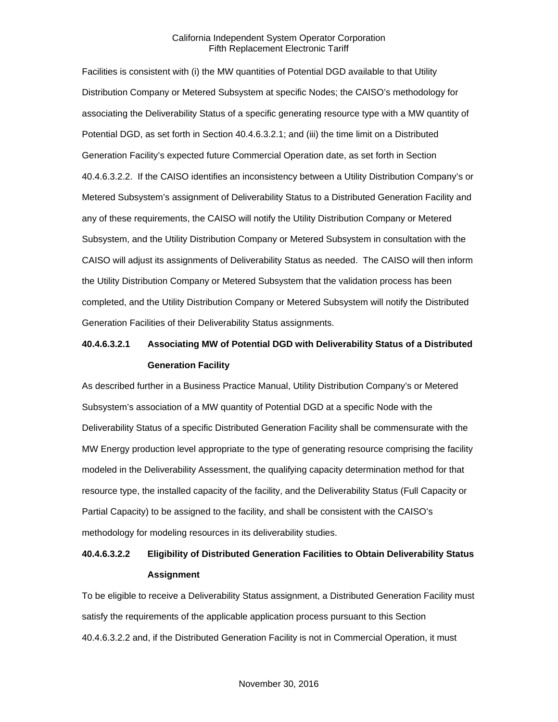Facilities is consistent with (i) the MW quantities of Potential DGD available to that Utility Distribution Company or Metered Subsystem at specific Nodes; the CAISO's methodology for associating the Deliverability Status of a specific generating resource type with a MW quantity of Potential DGD, as set forth in Section 40.4.6.3.2.1; and (iii) the time limit on a Distributed Generation Facility's expected future Commercial Operation date, as set forth in Section 40.4.6.3.2.2. If the CAISO identifies an inconsistency between a Utility Distribution Company's or Metered Subsystem's assignment of Deliverability Status to a Distributed Generation Facility and any of these requirements, the CAISO will notify the Utility Distribution Company or Metered Subsystem, and the Utility Distribution Company or Metered Subsystem in consultation with the CAISO will adjust its assignments of Deliverability Status as needed. The CAISO will then inform the Utility Distribution Company or Metered Subsystem that the validation process has been completed, and the Utility Distribution Company or Metered Subsystem will notify the Distributed Generation Facilities of their Deliverability Status assignments.

## **40.4.6.3.2.1 Associating MW of Potential DGD with Deliverability Status of a Distributed Generation Facility**

As described further in a Business Practice Manual, Utility Distribution Company's or Metered Subsystem's association of a MW quantity of Potential DGD at a specific Node with the Deliverability Status of a specific Distributed Generation Facility shall be commensurate with the MW Energy production level appropriate to the type of generating resource comprising the facility modeled in the Deliverability Assessment, the qualifying capacity determination method for that resource type, the installed capacity of the facility, and the Deliverability Status (Full Capacity or Partial Capacity) to be assigned to the facility, and shall be consistent with the CAISO's methodology for modeling resources in its deliverability studies.

## **40.4.6.3.2.2 Eligibility of Distributed Generation Facilities to Obtain Deliverability Status Assignment**

To be eligible to receive a Deliverability Status assignment, a Distributed Generation Facility must satisfy the requirements of the applicable application process pursuant to this Section 40.4.6.3.2.2 and, if the Distributed Generation Facility is not in Commercial Operation, it must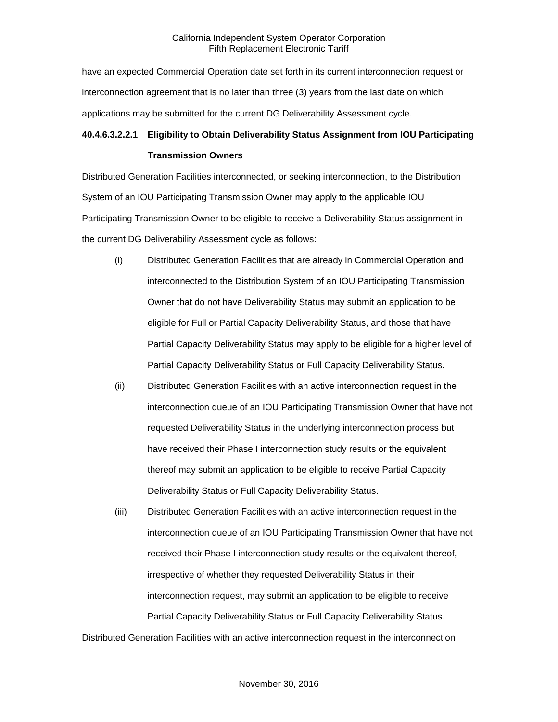have an expected Commercial Operation date set forth in its current interconnection request or interconnection agreement that is no later than three (3) years from the last date on which applications may be submitted for the current DG Deliverability Assessment cycle.

## **40.4.6.3.2.2.1 Eligibility to Obtain Deliverability Status Assignment from IOU Participating**

#### **Transmission Owners**

Distributed Generation Facilities interconnected, or seeking interconnection, to the Distribution System of an IOU Participating Transmission Owner may apply to the applicable IOU Participating Transmission Owner to be eligible to receive a Deliverability Status assignment in the current DG Deliverability Assessment cycle as follows:

- (i) Distributed Generation Facilities that are already in Commercial Operation and interconnected to the Distribution System of an IOU Participating Transmission Owner that do not have Deliverability Status may submit an application to be eligible for Full or Partial Capacity Deliverability Status, and those that have Partial Capacity Deliverability Status may apply to be eligible for a higher level of Partial Capacity Deliverability Status or Full Capacity Deliverability Status.
- (ii) Distributed Generation Facilities with an active interconnection request in the interconnection queue of an IOU Participating Transmission Owner that have not requested Deliverability Status in the underlying interconnection process but have received their Phase I interconnection study results or the equivalent thereof may submit an application to be eligible to receive Partial Capacity Deliverability Status or Full Capacity Deliverability Status.
- (iii) Distributed Generation Facilities with an active interconnection request in the interconnection queue of an IOU Participating Transmission Owner that have not received their Phase I interconnection study results or the equivalent thereof, irrespective of whether they requested Deliverability Status in their interconnection request, may submit an application to be eligible to receive Partial Capacity Deliverability Status or Full Capacity Deliverability Status.

Distributed Generation Facilities with an active interconnection request in the interconnection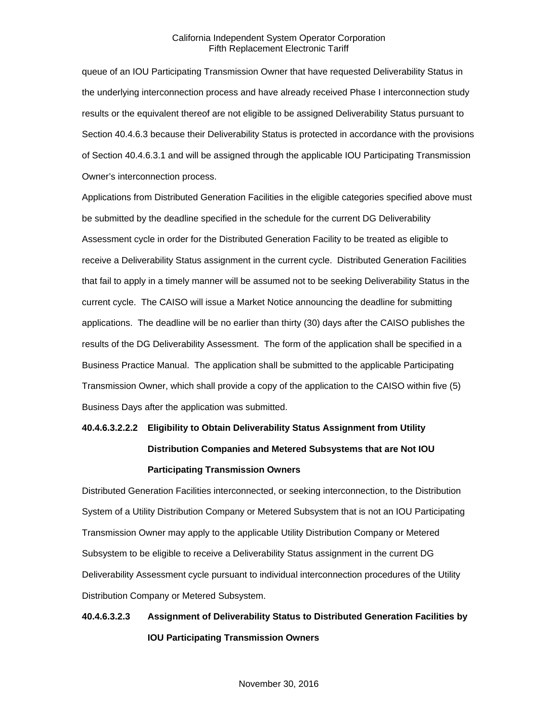queue of an IOU Participating Transmission Owner that have requested Deliverability Status in the underlying interconnection process and have already received Phase I interconnection study results or the equivalent thereof are not eligible to be assigned Deliverability Status pursuant to Section 40.4.6.3 because their Deliverability Status is protected in accordance with the provisions of Section 40.4.6.3.1 and will be assigned through the applicable IOU Participating Transmission Owner's interconnection process.

Applications from Distributed Generation Facilities in the eligible categories specified above must be submitted by the deadline specified in the schedule for the current DG Deliverability Assessment cycle in order for the Distributed Generation Facility to be treated as eligible to receive a Deliverability Status assignment in the current cycle. Distributed Generation Facilities that fail to apply in a timely manner will be assumed not to be seeking Deliverability Status in the current cycle. The CAISO will issue a Market Notice announcing the deadline for submitting applications. The deadline will be no earlier than thirty (30) days after the CAISO publishes the results of the DG Deliverability Assessment. The form of the application shall be specified in a Business Practice Manual. The application shall be submitted to the applicable Participating Transmission Owner, which shall provide a copy of the application to the CAISO within five (5) Business Days after the application was submitted.

# **40.4.6.3.2.2.2 Eligibility to Obtain Deliverability Status Assignment from Utility Distribution Companies and Metered Subsystems that are Not IOU Participating Transmission Owners**

Distributed Generation Facilities interconnected, or seeking interconnection, to the Distribution System of a Utility Distribution Company or Metered Subsystem that is not an IOU Participating Transmission Owner may apply to the applicable Utility Distribution Company or Metered Subsystem to be eligible to receive a Deliverability Status assignment in the current DG Deliverability Assessment cycle pursuant to individual interconnection procedures of the Utility Distribution Company or Metered Subsystem.

## **40.4.6.3.2.3 Assignment of Deliverability Status to Distributed Generation Facilities by IOU Participating Transmission Owners**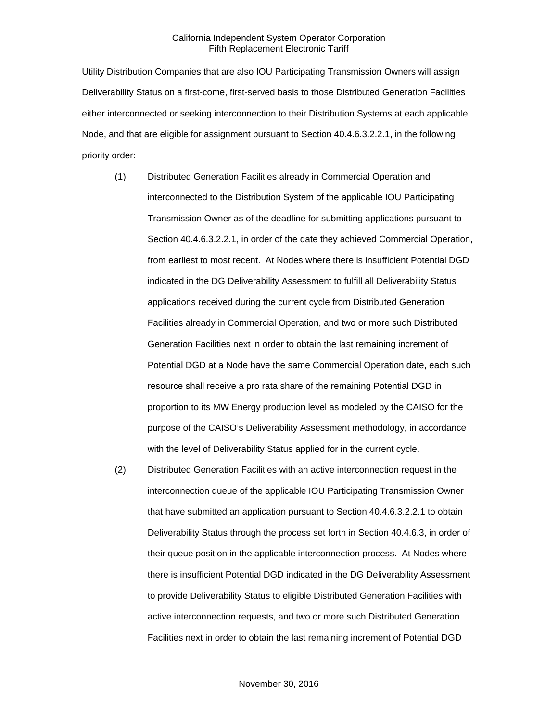Utility Distribution Companies that are also IOU Participating Transmission Owners will assign Deliverability Status on a first-come, first-served basis to those Distributed Generation Facilities either interconnected or seeking interconnection to their Distribution Systems at each applicable Node, and that are eligible for assignment pursuant to Section 40.4.6.3.2.2.1, in the following priority order:

- (1) Distributed Generation Facilities already in Commercial Operation and interconnected to the Distribution System of the applicable IOU Participating Transmission Owner as of the deadline for submitting applications pursuant to Section 40.4.6.3.2.2.1, in order of the date they achieved Commercial Operation, from earliest to most recent. At Nodes where there is insufficient Potential DGD indicated in the DG Deliverability Assessment to fulfill all Deliverability Status applications received during the current cycle from Distributed Generation Facilities already in Commercial Operation, and two or more such Distributed Generation Facilities next in order to obtain the last remaining increment of Potential DGD at a Node have the same Commercial Operation date, each such resource shall receive a pro rata share of the remaining Potential DGD in proportion to its MW Energy production level as modeled by the CAISO for the purpose of the CAISO's Deliverability Assessment methodology, in accordance with the level of Deliverability Status applied for in the current cycle.
- (2) Distributed Generation Facilities with an active interconnection request in the interconnection queue of the applicable IOU Participating Transmission Owner that have submitted an application pursuant to Section 40.4.6.3.2.2.1 to obtain Deliverability Status through the process set forth in Section 40.4.6.3, in order of their queue position in the applicable interconnection process. At Nodes where there is insufficient Potential DGD indicated in the DG Deliverability Assessment to provide Deliverability Status to eligible Distributed Generation Facilities with active interconnection requests, and two or more such Distributed Generation Facilities next in order to obtain the last remaining increment of Potential DGD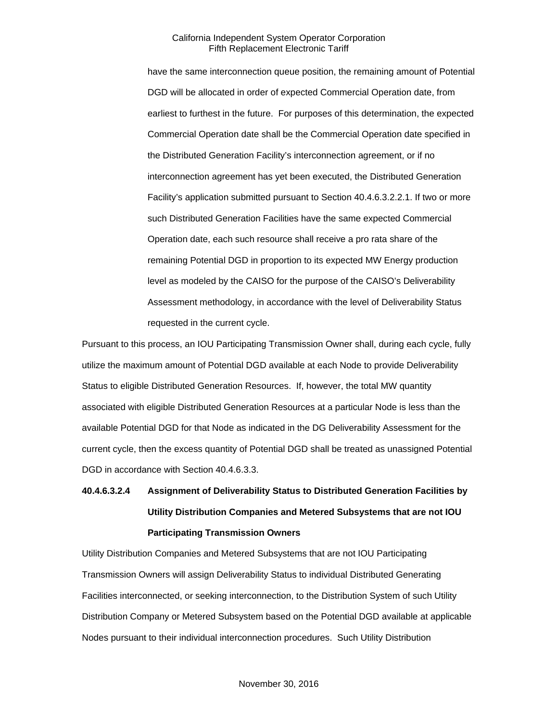have the same interconnection queue position, the remaining amount of Potential DGD will be allocated in order of expected Commercial Operation date, from earliest to furthest in the future. For purposes of this determination, the expected Commercial Operation date shall be the Commercial Operation date specified in the Distributed Generation Facility's interconnection agreement, or if no interconnection agreement has yet been executed, the Distributed Generation Facility's application submitted pursuant to Section 40.4.6.3.2.2.1. If two or more such Distributed Generation Facilities have the same expected Commercial Operation date, each such resource shall receive a pro rata share of the remaining Potential DGD in proportion to its expected MW Energy production level as modeled by the CAISO for the purpose of the CAISO's Deliverability Assessment methodology, in accordance with the level of Deliverability Status requested in the current cycle.

Pursuant to this process, an IOU Participating Transmission Owner shall, during each cycle, fully utilize the maximum amount of Potential DGD available at each Node to provide Deliverability Status to eligible Distributed Generation Resources. If, however, the total MW quantity associated with eligible Distributed Generation Resources at a particular Node is less than the available Potential DGD for that Node as indicated in the DG Deliverability Assessment for the current cycle, then the excess quantity of Potential DGD shall be treated as unassigned Potential DGD in accordance with Section 40.4.6.3.3.

# **40.4.6.3.2.4 Assignment of Deliverability Status to Distributed Generation Facilities by Utility Distribution Companies and Metered Subsystems that are not IOU Participating Transmission Owners**

Utility Distribution Companies and Metered Subsystems that are not IOU Participating Transmission Owners will assign Deliverability Status to individual Distributed Generating Facilities interconnected, or seeking interconnection, to the Distribution System of such Utility Distribution Company or Metered Subsystem based on the Potential DGD available at applicable Nodes pursuant to their individual interconnection procedures. Such Utility Distribution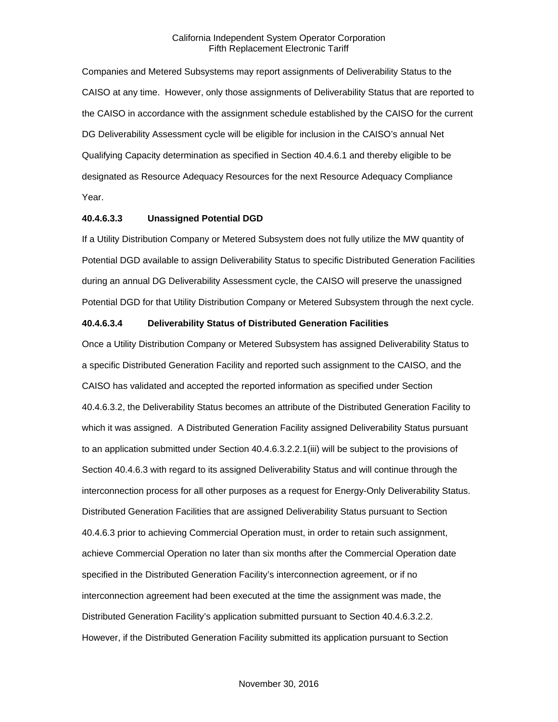Companies and Metered Subsystems may report assignments of Deliverability Status to the CAISO at any time. However, only those assignments of Deliverability Status that are reported to the CAISO in accordance with the assignment schedule established by the CAISO for the current DG Deliverability Assessment cycle will be eligible for inclusion in the CAISO's annual Net Qualifying Capacity determination as specified in Section 40.4.6.1 and thereby eligible to be designated as Resource Adequacy Resources for the next Resource Adequacy Compliance Year.

#### **40.4.6.3.3 Unassigned Potential DGD**

If a Utility Distribution Company or Metered Subsystem does not fully utilize the MW quantity of Potential DGD available to assign Deliverability Status to specific Distributed Generation Facilities during an annual DG Deliverability Assessment cycle, the CAISO will preserve the unassigned Potential DGD for that Utility Distribution Company or Metered Subsystem through the next cycle.

#### **40.4.6.3.4 Deliverability Status of Distributed Generation Facilities**

Once a Utility Distribution Company or Metered Subsystem has assigned Deliverability Status to a specific Distributed Generation Facility and reported such assignment to the CAISO, and the CAISO has validated and accepted the reported information as specified under Section 40.4.6.3.2, the Deliverability Status becomes an attribute of the Distributed Generation Facility to which it was assigned. A Distributed Generation Facility assigned Deliverability Status pursuant to an application submitted under Section 40.4.6.3.2.2.1(iii) will be subject to the provisions of Section 40.4.6.3 with regard to its assigned Deliverability Status and will continue through the interconnection process for all other purposes as a request for Energy-Only Deliverability Status. Distributed Generation Facilities that are assigned Deliverability Status pursuant to Section 40.4.6.3 prior to achieving Commercial Operation must, in order to retain such assignment, achieve Commercial Operation no later than six months after the Commercial Operation date specified in the Distributed Generation Facility's interconnection agreement, or if no interconnection agreement had been executed at the time the assignment was made, the Distributed Generation Facility's application submitted pursuant to Section 40.4.6.3.2.2. However, if the Distributed Generation Facility submitted its application pursuant to Section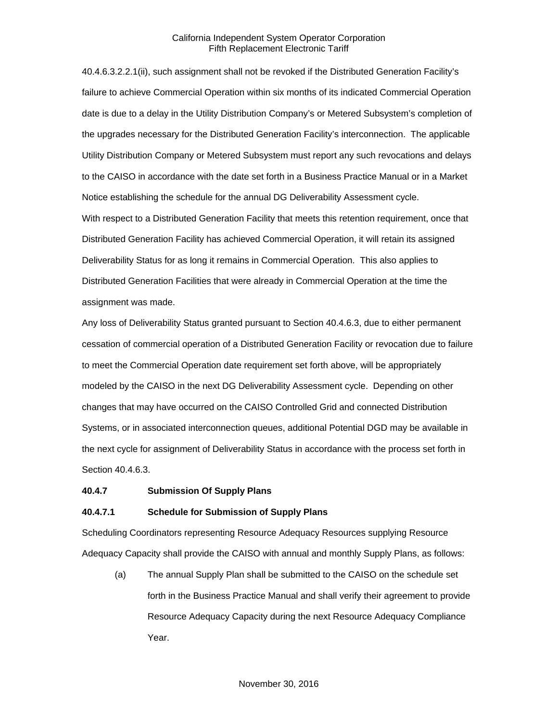40.4.6.3.2.2.1(ii), such assignment shall not be revoked if the Distributed Generation Facility's failure to achieve Commercial Operation within six months of its indicated Commercial Operation date is due to a delay in the Utility Distribution Company's or Metered Subsystem's completion of the upgrades necessary for the Distributed Generation Facility's interconnection. The applicable Utility Distribution Company or Metered Subsystem must report any such revocations and delays to the CAISO in accordance with the date set forth in a Business Practice Manual or in a Market Notice establishing the schedule for the annual DG Deliverability Assessment cycle.

With respect to a Distributed Generation Facility that meets this retention requirement, once that Distributed Generation Facility has achieved Commercial Operation, it will retain its assigned Deliverability Status for as long it remains in Commercial Operation. This also applies to Distributed Generation Facilities that were already in Commercial Operation at the time the assignment was made.

Any loss of Deliverability Status granted pursuant to Section 40.4.6.3, due to either permanent cessation of commercial operation of a Distributed Generation Facility or revocation due to failure to meet the Commercial Operation date requirement set forth above, will be appropriately modeled by the CAISO in the next DG Deliverability Assessment cycle. Depending on other changes that may have occurred on the CAISO Controlled Grid and connected Distribution Systems, or in associated interconnection queues, additional Potential DGD may be available in the next cycle for assignment of Deliverability Status in accordance with the process set forth in Section 40.4.6.3.

#### <span id="page-34-0"></span>**40.4.7 Submission Of Supply Plans**

#### **40.4.7.1 Schedule for Submission of Supply Plans**

Scheduling Coordinators representing Resource Adequacy Resources supplying Resource Adequacy Capacity shall provide the CAISO with annual and monthly Supply Plans, as follows:

(a) The annual Supply Plan shall be submitted to the CAISO on the schedule set forth in the Business Practice Manual and shall verify their agreement to provide Resource Adequacy Capacity during the next Resource Adequacy Compliance Year.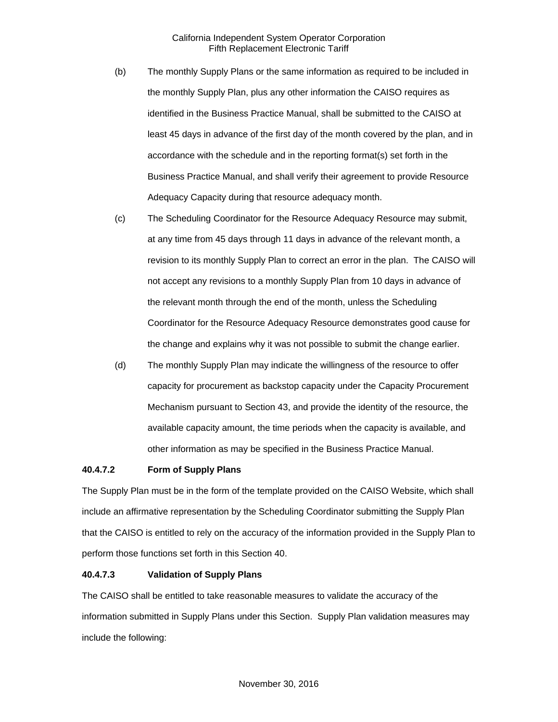- (b) The monthly Supply Plans or the same information as required to be included in the monthly Supply Plan, plus any other information the CAISO requires as identified in the Business Practice Manual, shall be submitted to the CAISO at least 45 days in advance of the first day of the month covered by the plan, and in accordance with the schedule and in the reporting format(s) set forth in the Business Practice Manual, and shall verify their agreement to provide Resource Adequacy Capacity during that resource adequacy month.
- (c) The Scheduling Coordinator for the Resource Adequacy Resource may submit, at any time from 45 days through 11 days in advance of the relevant month, a revision to its monthly Supply Plan to correct an error in the plan. The CAISO will not accept any revisions to a monthly Supply Plan from 10 days in advance of the relevant month through the end of the month, unless the Scheduling Coordinator for the Resource Adequacy Resource demonstrates good cause for the change and explains why it was not possible to submit the change earlier.
- (d) The monthly Supply Plan may indicate the willingness of the resource to offer capacity for procurement as backstop capacity under the Capacity Procurement Mechanism pursuant to Section 43, and provide the identity of the resource, the available capacity amount, the time periods when the capacity is available, and other information as may be specified in the Business Practice Manual.

#### **40.4.7.2 Form of Supply Plans**

The Supply Plan must be in the form of the template provided on the CAISO Website, which shall include an affirmative representation by the Scheduling Coordinator submitting the Supply Plan that the CAISO is entitled to rely on the accuracy of the information provided in the Supply Plan to perform those functions set forth in this Section 40.

#### **40.4.7.3 Validation of Supply Plans**

The CAISO shall be entitled to take reasonable measures to validate the accuracy of the information submitted in Supply Plans under this Section. Supply Plan validation measures may include the following: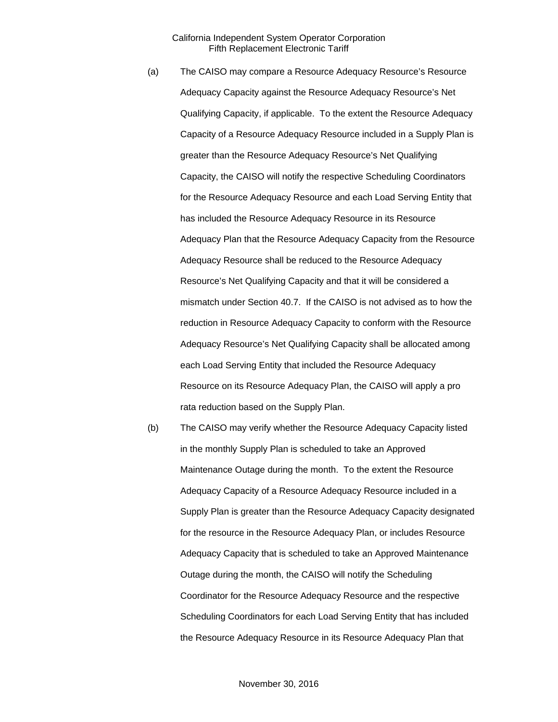- (a) The CAISO may compare a Resource Adequacy Resource's Resource Adequacy Capacity against the Resource Adequacy Resource's Net Qualifying Capacity, if applicable. To the extent the Resource Adequacy Capacity of a Resource Adequacy Resource included in a Supply Plan is greater than the Resource Adequacy Resource's Net Qualifying Capacity, the CAISO will notify the respective Scheduling Coordinators for the Resource Adequacy Resource and each Load Serving Entity that has included the Resource Adequacy Resource in its Resource Adequacy Plan that the Resource Adequacy Capacity from the Resource Adequacy Resource shall be reduced to the Resource Adequacy Resource's Net Qualifying Capacity and that it will be considered a mismatch under Section 40.7. If the CAISO is not advised as to how the reduction in Resource Adequacy Capacity to conform with the Resource Adequacy Resource's Net Qualifying Capacity shall be allocated among each Load Serving Entity that included the Resource Adequacy Resource on its Resource Adequacy Plan, the CAISO will apply a pro rata reduction based on the Supply Plan.
- (b) The CAISO may verify whether the Resource Adequacy Capacity listed in the monthly Supply Plan is scheduled to take an Approved Maintenance Outage during the month. To the extent the Resource Adequacy Capacity of a Resource Adequacy Resource included in a Supply Plan is greater than the Resource Adequacy Capacity designated for the resource in the Resource Adequacy Plan, or includes Resource Adequacy Capacity that is scheduled to take an Approved Maintenance Outage during the month, the CAISO will notify the Scheduling Coordinator for the Resource Adequacy Resource and the respective Scheduling Coordinators for each Load Serving Entity that has included the Resource Adequacy Resource in its Resource Adequacy Plan that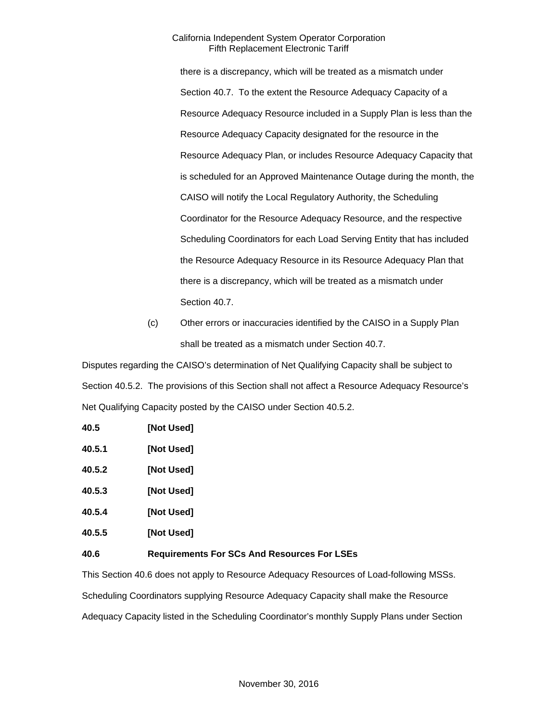there is a discrepancy, which will be treated as a mismatch under Section 40.7. To the extent the Resource Adequacy Capacity of a Resource Adequacy Resource included in a Supply Plan is less than the Resource Adequacy Capacity designated for the resource in the Resource Adequacy Plan, or includes Resource Adequacy Capacity that is scheduled for an Approved Maintenance Outage during the month, the CAISO will notify the Local Regulatory Authority, the Scheduling Coordinator for the Resource Adequacy Resource, and the respective Scheduling Coordinators for each Load Serving Entity that has included the Resource Adequacy Resource in its Resource Adequacy Plan that there is a discrepancy, which will be treated as a mismatch under Section 40.7.

(c) Other errors or inaccuracies identified by the CAISO in a Supply Plan shall be treated as a mismatch under Section 40.7.

Disputes regarding the CAISO's determination of Net Qualifying Capacity shall be subject to Section 40.5.2. The provisions of this Section shall not affect a Resource Adequacy Resource's Net Qualifying Capacity posted by the CAISO under Section 40.5.2.

| 40.5   | [Not Used]                                         |
|--------|----------------------------------------------------|
| 40.5.1 | [Not Used]                                         |
| 40.5.2 | [Not Used]                                         |
| 40.5.3 | [Not Used]                                         |
| 40.5.4 | [Not Used]                                         |
| 40.5.5 | [Not Used]                                         |
| 40.6   | <b>Requirements For SCs And Resources For LSEs</b> |

This Section 40.6 does not apply to Resource Adequacy Resources of Load-following MSSs. Scheduling Coordinators supplying Resource Adequacy Capacity shall make the Resource Adequacy Capacity listed in the Scheduling Coordinator's monthly Supply Plans under Section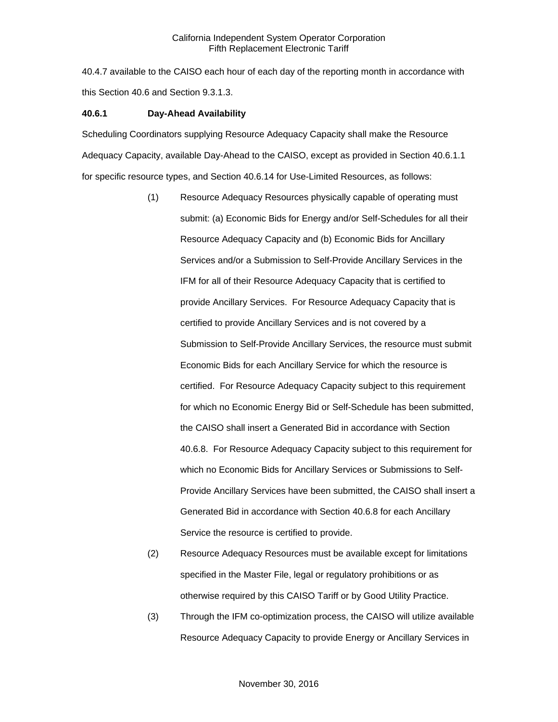40.4.7 available to the CAISO each hour of each day of the reporting month in accordance with this Section 40.6 and Section 9.3.1.3.

#### **40.6.1 Day-Ahead Availability**

Scheduling Coordinators supplying Resource Adequacy Capacity shall make the Resource Adequacy Capacity, available Day-Ahead to the CAISO, except as provided in Section 40.6.1.1 for specific resource types, and Section 40.6.14 for Use-Limited Resources, as follows:

- (1) Resource Adequacy Resources physically capable of operating must submit: (a) Economic Bids for Energy and/or Self-Schedules for all their Resource Adequacy Capacity and (b) Economic Bids for Ancillary Services and/or a Submission to Self-Provide Ancillary Services in the IFM for all of their Resource Adequacy Capacity that is certified to provide Ancillary Services. For Resource Adequacy Capacity that is certified to provide Ancillary Services and is not covered by a Submission to Self-Provide Ancillary Services, the resource must submit Economic Bids for each Ancillary Service for which the resource is certified. For Resource Adequacy Capacity subject to this requirement for which no Economic Energy Bid or Self-Schedule has been submitted, the CAISO shall insert a Generated Bid in accordance with Section 40.6.8. For Resource Adequacy Capacity subject to this requirement for which no Economic Bids for Ancillary Services or Submissions to Self-Provide Ancillary Services have been submitted, the CAISO shall insert a Generated Bid in accordance with Section 40.6.8 for each Ancillary Service the resource is certified to provide.
- (2) Resource Adequacy Resources must be available except for limitations specified in the Master File, legal or regulatory prohibitions or as otherwise required by this CAISO Tariff or by Good Utility Practice.
- (3) Through the IFM co-optimization process, the CAISO will utilize available Resource Adequacy Capacity to provide Energy or Ancillary Services in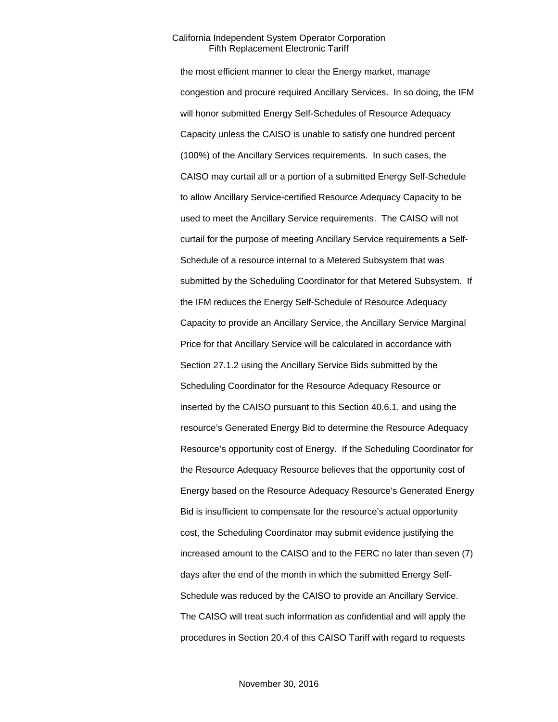the most efficient manner to clear the Energy market, manage congestion and procure required Ancillary Services. In so doing, the IFM will honor submitted Energy Self-Schedules of Resource Adequacy Capacity unless the CAISO is unable to satisfy one hundred percent (100%) of the Ancillary Services requirements. In such cases, the CAISO may curtail all or a portion of a submitted Energy Self-Schedule to allow Ancillary Service-certified Resource Adequacy Capacity to be used to meet the Ancillary Service requirements. The CAISO will not curtail for the purpose of meeting Ancillary Service requirements a Self-Schedule of a resource internal to a Metered Subsystem that was submitted by the Scheduling Coordinator for that Metered Subsystem. If the IFM reduces the Energy Self-Schedule of Resource Adequacy Capacity to provide an Ancillary Service, the Ancillary Service Marginal Price for that Ancillary Service will be calculated in accordance with Section 27.1.2 using the Ancillary Service Bids submitted by the Scheduling Coordinator for the Resource Adequacy Resource or inserted by the CAISO pursuant to this Section 40.6.1, and using the resource's Generated Energy Bid to determine the Resource Adequacy Resource's opportunity cost of Energy. If the Scheduling Coordinator for the Resource Adequacy Resource believes that the opportunity cost of Energy based on the Resource Adequacy Resource's Generated Energy Bid is insufficient to compensate for the resource's actual opportunity cost, the Scheduling Coordinator may submit evidence justifying the increased amount to the CAISO and to the FERC no later than seven (7) days after the end of the month in which the submitted Energy Self-Schedule was reduced by the CAISO to provide an Ancillary Service. The CAISO will treat such information as confidential and will apply the procedures in Section 20.4 of this CAISO Tariff with regard to requests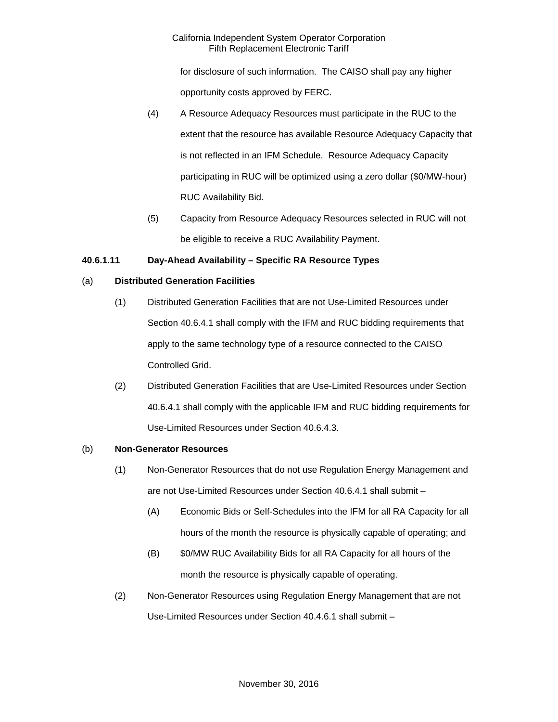for disclosure of such information. The CAISO shall pay any higher opportunity costs approved by FERC.

- (4) A Resource Adequacy Resources must participate in the RUC to the extent that the resource has available Resource Adequacy Capacity that is not reflected in an IFM Schedule. Resource Adequacy Capacity participating in RUC will be optimized using a zero dollar (\$0/MW-hour) RUC Availability Bid.
- (5) Capacity from Resource Adequacy Resources selected in RUC will not be eligible to receive a RUC Availability Payment.

# **40.6.1.11 Day-Ahead Availability – Specific RA Resource Types**

# (a) **Distributed Generation Facilities**

- (1) Distributed Generation Facilities that are not Use-Limited Resources under Section 40.6.4.1 shall comply with the IFM and RUC bidding requirements that apply to the same technology type of a resource connected to the CAISO Controlled Grid.
- (2) Distributed Generation Facilities that are Use-Limited Resources under Section 40.6.4.1 shall comply with the applicable IFM and RUC bidding requirements for Use-Limited Resources under Section 40.6.4.3.

# (b) **Non-Generator Resources**

- (1) Non-Generator Resources that do not use Regulation Energy Management and are not Use-Limited Resources under Section 40.6.4.1 shall submit –
	- (A) Economic Bids or Self-Schedules into the IFM for all RA Capacity for all hours of the month the resource is physically capable of operating; and
	- (B) \$0/MW RUC Availability Bids for all RA Capacity for all hours of the month the resource is physically capable of operating.
- (2) Non-Generator Resources using Regulation Energy Management that are not Use-Limited Resources under Section 40.4.6.1 shall submit –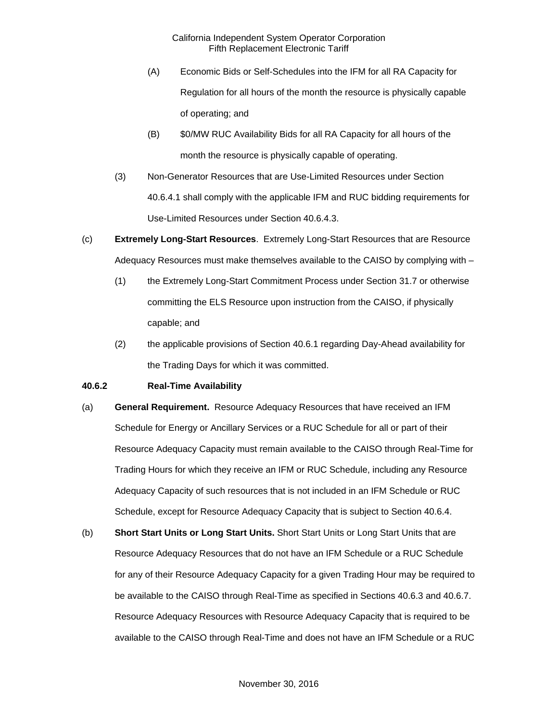- (A) Economic Bids or Self-Schedules into the IFM for all RA Capacity for Regulation for all hours of the month the resource is physically capable of operating; and
- (B) \$0/MW RUC Availability Bids for all RA Capacity for all hours of the month the resource is physically capable of operating.
- (3) Non-Generator Resources that are Use-Limited Resources under Section 40.6.4.1 shall comply with the applicable IFM and RUC bidding requirements for Use-Limited Resources under Section 40.6.4.3.
- (c) **Extremely Long-Start Resources**. Extremely Long-Start Resources that are Resource Adequacy Resources must make themselves available to the CAISO by complying with –
	- (1) the Extremely Long-Start Commitment Process under Section 31.7 or otherwise committing the ELS Resource upon instruction from the CAISO, if physically capable; and
	- (2) the applicable provisions of Section 40.6.1 regarding Day-Ahead availability for the Trading Days for which it was committed.

## **40.6.2 Real-Time Availability**

- (a) **General Requirement.** Resource Adequacy Resources that have received an IFM Schedule for Energy or Ancillary Services or a RUC Schedule for all or part of their Resource Adequacy Capacity must remain available to the CAISO through Real-Time for Trading Hours for which they receive an IFM or RUC Schedule, including any Resource Adequacy Capacity of such resources that is not included in an IFM Schedule or RUC Schedule, except for Resource Adequacy Capacity that is subject to Section 40.6.4.
- (b) **Short Start Units or Long Start Units.** Short Start Units or Long Start Units that are Resource Adequacy Resources that do not have an IFM Schedule or a RUC Schedule for any of their Resource Adequacy Capacity for a given Trading Hour may be required to be available to the CAISO through Real-Time as specified in Sections 40.6.3 and 40.6.7. Resource Adequacy Resources with Resource Adequacy Capacity that is required to be available to the CAISO through Real-Time and does not have an IFM Schedule or a RUC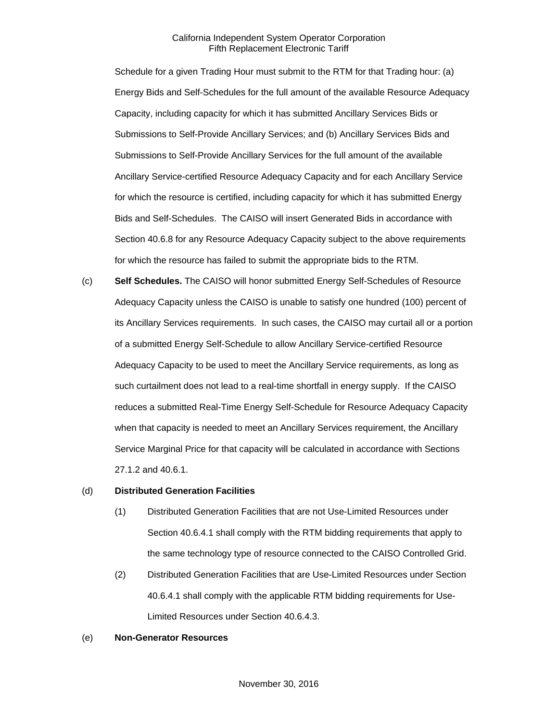Schedule for a given Trading Hour must submit to the RTM for that Trading hour: (a) Energy Bids and Self-Schedules for the full amount of the available Resource Adequacy Capacity, including capacity for which it has submitted Ancillary Services Bids or Submissions to Self-Provide Ancillary Services; and (b) Ancillary Services Bids and Submissions to Self-Provide Ancillary Services for the full amount of the available Ancillary Service-certified Resource Adequacy Capacity and for each Ancillary Service for which the resource is certified, including capacity for which it has submitted Energy Bids and Self-Schedules. The CAISO will insert Generated Bids in accordance with Section 40.6.8 for any Resource Adequacy Capacity subject to the above requirements for which the resource has failed to submit the appropriate bids to the RTM.

(c) **Self Schedules.** The CAISO will honor submitted Energy Self-Schedules of Resource Adequacy Capacity unless the CAISO is unable to satisfy one hundred (100) percent of its Ancillary Services requirements. In such cases, the CAISO may curtail all or a portion of a submitted Energy Self-Schedule to allow Ancillary Service-certified Resource Adequacy Capacity to be used to meet the Ancillary Service requirements, as long as such curtailment does not lead to a real-time shortfall in energy supply. If the CAISO reduces a submitted Real-Time Energy Self-Schedule for Resource Adequacy Capacity when that capacity is needed to meet an Ancillary Services requirement, the Ancillary Service Marginal Price for that capacity will be calculated in accordance with Sections 27.1.2 and 40.6.1.

#### (d) **Distributed Generation Facilities**

- (1) Distributed Generation Facilities that are not Use-Limited Resources under Section 40.6.4.1 shall comply with the RTM bidding requirements that apply to the same technology type of resource connected to the CAISO Controlled Grid.
- (2) Distributed Generation Facilities that are Use-Limited Resources under Section 40.6.4.1 shall comply with the applicable RTM bidding requirements for Use-Limited Resources under Section 40.6.4.3.

#### (e) **Non-Generator Resources**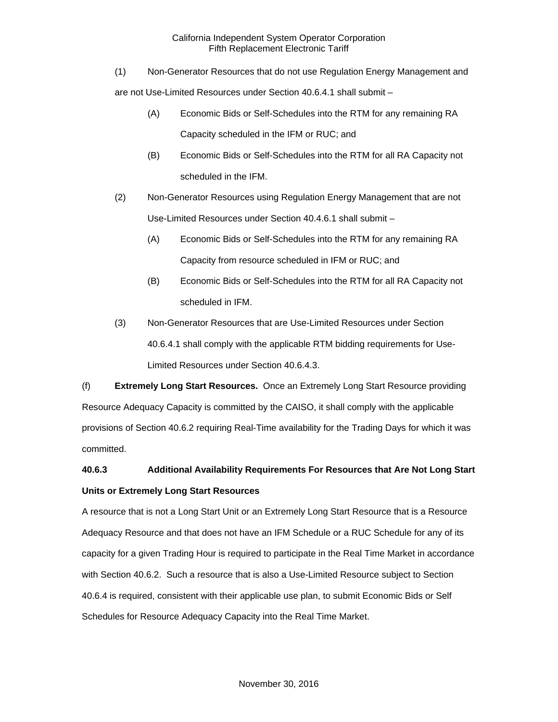(1) Non-Generator Resources that do not use Regulation Energy Management and

are not Use-Limited Resources under Section 40.6.4.1 shall submit –

- (A) Economic Bids or Self-Schedules into the RTM for any remaining RA Capacity scheduled in the IFM or RUC; and
- (B) Economic Bids or Self-Schedules into the RTM for all RA Capacity not scheduled in the IFM.
- (2) Non-Generator Resources using Regulation Energy Management that are not Use-Limited Resources under Section 40.4.6.1 shall submit –
	- (A) Economic Bids or Self-Schedules into the RTM for any remaining RA Capacity from resource scheduled in IFM or RUC; and
	- (B) Economic Bids or Self-Schedules into the RTM for all RA Capacity not scheduled in IFM.
- (3) Non-Generator Resources that are Use-Limited Resources under Section 40.6.4.1 shall comply with the applicable RTM bidding requirements for Use-Limited Resources under Section 40.6.4.3.

(f) **Extremely Long Start Resources.** Once an Extremely Long Start Resource providing Resource Adequacy Capacity is committed by the CAISO, it shall comply with the applicable provisions of Section 40.6.2 requiring Real-Time availability for the Trading Days for which it was committed.

# **40.6.3 Additional Availability Requirements For Resources that Are Not Long Start Units or Extremely Long Start Resources**

A resource that is not a Long Start Unit or an Extremely Long Start Resource that is a Resource Adequacy Resource and that does not have an IFM Schedule or a RUC Schedule for any of its capacity for a given Trading Hour is required to participate in the Real Time Market in accordance with Section 40.6.2. Such a resource that is also a Use-Limited Resource subject to Section 40.6.4 is required, consistent with their applicable use plan, to submit Economic Bids or Self Schedules for Resource Adequacy Capacity into the Real Time Market.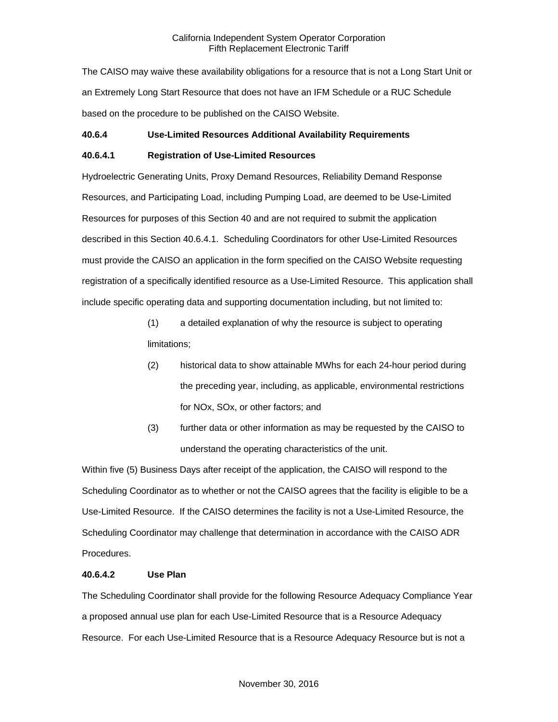The CAISO may waive these availability obligations for a resource that is not a Long Start Unit or an Extremely Long Start Resource that does not have an IFM Schedule or a RUC Schedule based on the procedure to be published on the CAISO Website.

## **40.6.4 Use-Limited Resources Additional Availability Requirements**

## **40.6.4.1 Registration of Use-Limited Resources**

Hydroelectric Generating Units, Proxy Demand Resources, Reliability Demand Response Resources, and Participating Load, including Pumping Load, are deemed to be Use-Limited Resources for purposes of this Section 40 and are not required to submit the application described in this Section 40.6.4.1. Scheduling Coordinators for other Use-Limited Resources must provide the CAISO an application in the form specified on the CAISO Website requesting registration of a specifically identified resource as a Use-Limited Resource. This application shall include specific operating data and supporting documentation including, but not limited to:

- (1) a detailed explanation of why the resource is subject to operating limitations;
- (2) historical data to show attainable MWhs for each 24-hour period during the preceding year, including, as applicable, environmental restrictions for NOx, SOx, or other factors; and
- (3) further data or other information as may be requested by the CAISO to understand the operating characteristics of the unit.

Within five (5) Business Days after receipt of the application, the CAISO will respond to the Scheduling Coordinator as to whether or not the CAISO agrees that the facility is eligible to be a Use-Limited Resource. If the CAISO determines the facility is not a Use-Limited Resource, the Scheduling Coordinator may challenge that determination in accordance with the CAISO ADR Procedures.

#### **40.6.4.2 Use Plan**

The Scheduling Coordinator shall provide for the following Resource Adequacy Compliance Year a proposed annual use plan for each Use-Limited Resource that is a Resource Adequacy Resource. For each Use-Limited Resource that is a Resource Adequacy Resource but is not a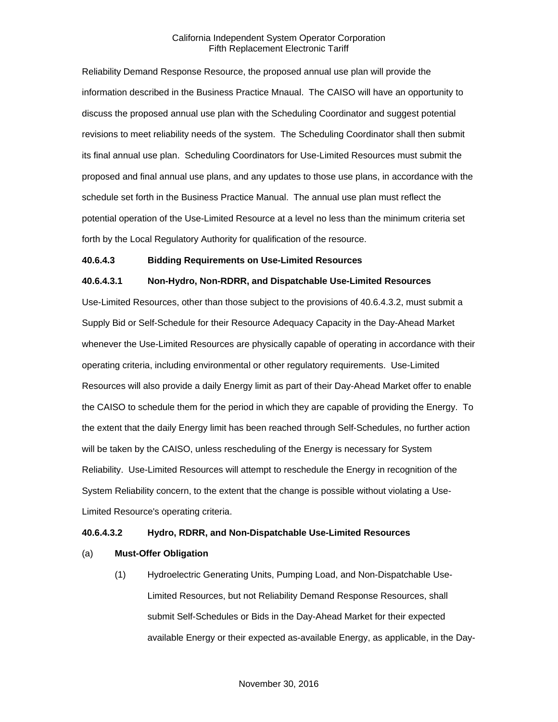Reliability Demand Response Resource, the proposed annual use plan will provide the information described in the Business Practice Mnaual. The CAISO will have an opportunity to discuss the proposed annual use plan with the Scheduling Coordinator and suggest potential revisions to meet reliability needs of the system. The Scheduling Coordinator shall then submit its final annual use plan. Scheduling Coordinators for Use-Limited Resources must submit the proposed and final annual use plans, and any updates to those use plans, in accordance with the schedule set forth in the Business Practice Manual. The annual use plan must reflect the potential operation of the Use-Limited Resource at a level no less than the minimum criteria set forth by the Local Regulatory Authority for qualification of the resource.

#### **40.6.4.3 Bidding Requirements on Use-Limited Resources**

#### **40.6.4.3.1 Non-Hydro, Non-RDRR, and Dispatchable Use-Limited Resources**

Use-Limited Resources, other than those subject to the provisions of 40.6.4.3.2, must submit a Supply Bid or Self-Schedule for their Resource Adequacy Capacity in the Day-Ahead Market whenever the Use-Limited Resources are physically capable of operating in accordance with their operating criteria, including environmental or other regulatory requirements. Use-Limited Resources will also provide a daily Energy limit as part of their Day-Ahead Market offer to enable the CAISO to schedule them for the period in which they are capable of providing the Energy. To the extent that the daily Energy limit has been reached through Self-Schedules, no further action will be taken by the CAISO, unless rescheduling of the Energy is necessary for System Reliability. Use-Limited Resources will attempt to reschedule the Energy in recognition of the System Reliability concern, to the extent that the change is possible without violating a Use-Limited Resource's operating criteria.

#### **40.6.4.3.2 Hydro, RDRR, and Non-Dispatchable Use-Limited Resources**

## (a) **Must-Offer Obligation**

(1) Hydroelectric Generating Units, Pumping Load, and Non-Dispatchable Use-Limited Resources, but not Reliability Demand Response Resources, shall submit Self-Schedules or Bids in the Day-Ahead Market for their expected available Energy or their expected as-available Energy, as applicable, in the Day-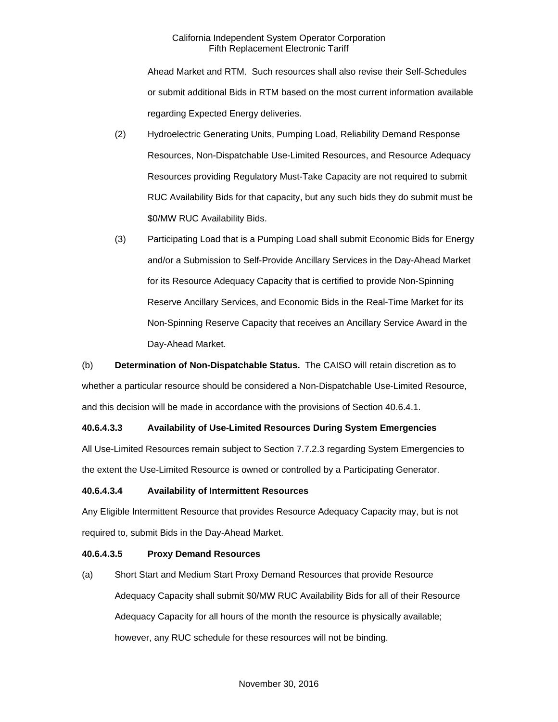Ahead Market and RTM. Such resources shall also revise their Self-Schedules or submit additional Bids in RTM based on the most current information available regarding Expected Energy deliveries.

- (2) Hydroelectric Generating Units, Pumping Load, Reliability Demand Response Resources, Non-Dispatchable Use-Limited Resources, and Resource Adequacy Resources providing Regulatory Must-Take Capacity are not required to submit RUC Availability Bids for that capacity, but any such bids they do submit must be \$0/MW RUC Availability Bids.
- (3) Participating Load that is a Pumping Load shall submit Economic Bids for Energy and/or a Submission to Self-Provide Ancillary Services in the Day-Ahead Market for its Resource Adequacy Capacity that is certified to provide Non-Spinning Reserve Ancillary Services, and Economic Bids in the Real-Time Market for its Non-Spinning Reserve Capacity that receives an Ancillary Service Award in the Day-Ahead Market.

(b) **Determination of Non-Dispatchable Status.** The CAISO will retain discretion as to whether a particular resource should be considered a Non-Dispatchable Use-Limited Resource, and this decision will be made in accordance with the provisions of Section 40.6.4.1.

# **40.6.4.3.3 Availability of Use-Limited Resources During System Emergencies**

All Use-Limited Resources remain subject to Section 7.7.2.3 regarding System Emergencies to the extent the Use-Limited Resource is owned or controlled by a Participating Generator.

#### **40.6.4.3.4 Availability of Intermittent Resources**

Any Eligible Intermittent Resource that provides Resource Adequacy Capacity may, but is not required to, submit Bids in the Day-Ahead Market.

#### **40.6.4.3.5 Proxy Demand Resources**

(a) Short Start and Medium Start Proxy Demand Resources that provide Resource Adequacy Capacity shall submit \$0/MW RUC Availability Bids for all of their Resource Adequacy Capacity for all hours of the month the resource is physically available; however, any RUC schedule for these resources will not be binding.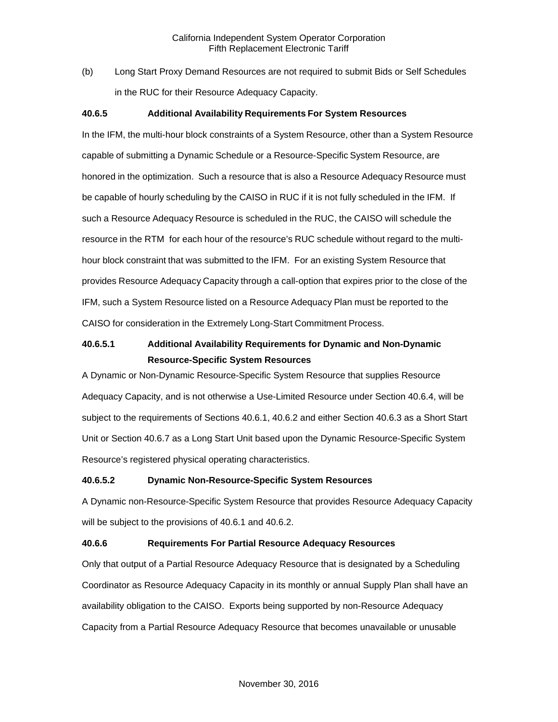(b) Long Start Proxy Demand Resources are not required to submit Bids or Self Schedules in the RUC for their Resource Adequacy Capacity.

## **40.6.5 Additional Availability Requirements For System Resources**

In the IFM, the multi-hour block constraints of a System Resource, other than a System Resource capable of submitting a Dynamic Schedule or a Resource-Specific System Resource, are honored in the optimization. Such a resource that is also a Resource Adequacy Resource must be capable of hourly scheduling by the CAISO in RUC if it is not fully scheduled in the IFM. If such a Resource Adequacy Resource is scheduled in the RUC, the CAISO will schedule the resource in the RTM for each hour of the resource's RUC schedule without regard to the multihour block constraint that was submitted to the IFM. For an existing System Resource that provides Resource Adequacy Capacity through a call-option that expires prior to the close of the IFM, such a System Resource listed on a Resource Adequacy Plan must be reported to the CAISO for consideration in the Extremely Long-Start Commitment Process.

# **40.6.5.1 Additional Availability Requirements for Dynamic and Non-Dynamic Resource-Specific System Resources**

A Dynamic or Non-Dynamic Resource-Specific System Resource that supplies Resource Adequacy Capacity, and is not otherwise a Use-Limited Resource under Section 40.6.4, will be subject to the requirements of Sections 40.6.1, 40.6.2 and either Section 40.6.3 as a Short Start Unit or Section 40.6.7 as a Long Start Unit based upon the Dynamic Resource-Specific System Resource's registered physical operating characteristics.

#### **40.6.5.2 Dynamic Non-Resource-Specific System Resources**

A Dynamic non-Resource-Specific System Resource that provides Resource Adequacy Capacity will be subject to the provisions of 40.6.1 and 40.6.2.

#### **40.6.6 Requirements For Partial Resource Adequacy Resources**

Only that output of a Partial Resource Adequacy Resource that is designated by a Scheduling Coordinator as Resource Adequacy Capacity in its monthly or annual Supply Plan shall have an availability obligation to the CAISO. Exports being supported by non-Resource Adequacy Capacity from a Partial Resource Adequacy Resource that becomes unavailable or unusable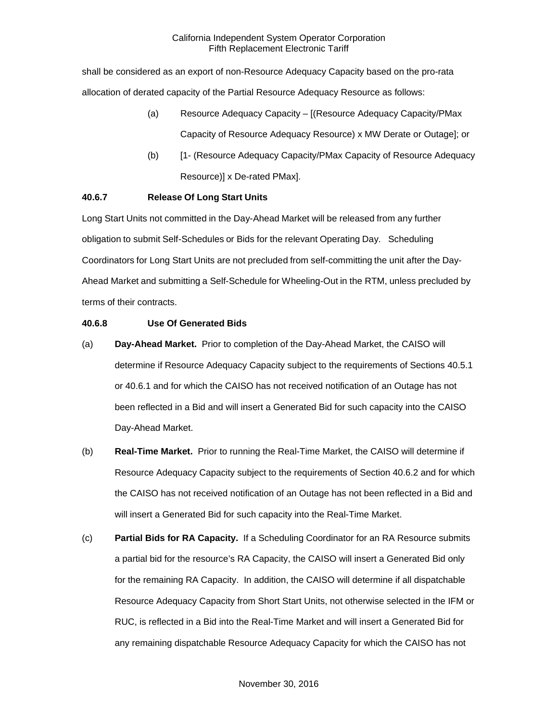shall be considered as an export of non-Resource Adequacy Capacity based on the pro-rata allocation of derated capacity of the Partial Resource Adequacy Resource as follows:

- (a) Resource Adequacy Capacity [(Resource Adequacy Capacity/PMax Capacity of Resource Adequacy Resource) x MW Derate or Outage]; or
- (b) [1- (Resource Adequacy Capacity/PMax Capacity of Resource Adequacy Resource)] x De-rated PMax].

# **40.6.7 Release Of Long Start Units**

Long Start Units not committed in the Day-Ahead Market will be released from any further obligation to submit Self-Schedules or Bids for the relevant Operating Day. Scheduling Coordinators for Long Start Units are not precluded from self-committing the unit after the Day-Ahead Market and submitting a Self-Schedule for Wheeling-Out in the RTM, unless precluded by terms of their contracts.

## **40.6.8 Use Of Generated Bids**

- (a) **Day-Ahead Market.** Prior to completion of the Day-Ahead Market, the CAISO will determine if Resource Adequacy Capacity subject to the requirements of Sections 40.5.1 or 40.6.1 and for which the CAISO has not received notification of an Outage has not been reflected in a Bid and will insert a Generated Bid for such capacity into the CAISO Day-Ahead Market.
- (b) **Real-Time Market.** Prior to running the Real-Time Market, the CAISO will determine if Resource Adequacy Capacity subject to the requirements of Section 40.6.2 and for which the CAISO has not received notification of an Outage has not been reflected in a Bid and will insert a Generated Bid for such capacity into the Real-Time Market.
- (c) **Partial Bids for RA Capacity.** If a Scheduling Coordinator for an RA Resource submits a partial bid for the resource's RA Capacity, the CAISO will insert a Generated Bid only for the remaining RA Capacity. In addition, the CAISO will determine if all dispatchable Resource Adequacy Capacity from Short Start Units, not otherwise selected in the IFM or RUC, is reflected in a Bid into the Real-Time Market and will insert a Generated Bid for any remaining dispatchable Resource Adequacy Capacity for which the CAISO has not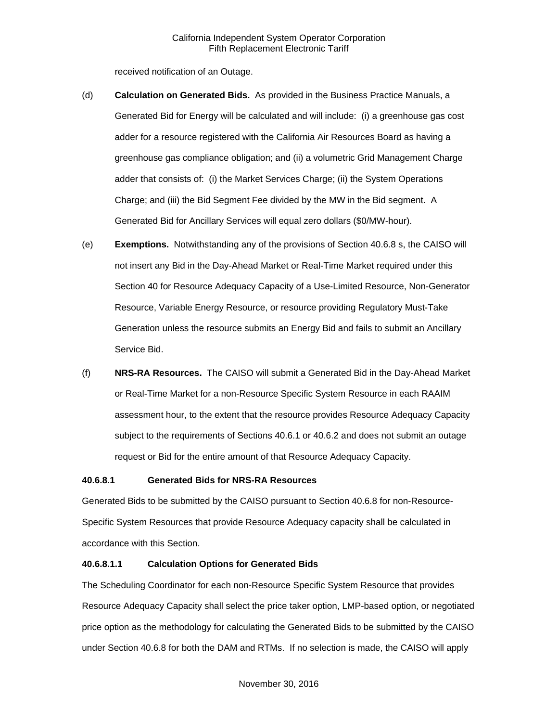received notification of an Outage.

- (d) **Calculation on Generated Bids.** As provided in the Business Practice Manuals, a Generated Bid for Energy will be calculated and will include: (i) a greenhouse gas cost adder for a resource registered with the California Air Resources Board as having a greenhouse gas compliance obligation; and (ii) a volumetric Grid Management Charge adder that consists of: (i) the Market Services Charge; (ii) the System Operations Charge; and (iii) the Bid Segment Fee divided by the MW in the Bid segment. A Generated Bid for Ancillary Services will equal zero dollars (\$0/MW-hour).
- (e) **Exemptions.** Notwithstanding any of the provisions of Section 40.6.8 s, the CAISO will not insert any Bid in the Day-Ahead Market or Real-Time Market required under this Section 40 for Resource Adequacy Capacity of a Use-Limited Resource, Non-Generator Resource, Variable Energy Resource, or resource providing Regulatory Must-Take Generation unless the resource submits an Energy Bid and fails to submit an Ancillary Service Bid.
- (f) **NRS-RA Resources.** The CAISO will submit a Generated Bid in the Day-Ahead Market or Real-Time Market for a non-Resource Specific System Resource in each RAAIM assessment hour, to the extent that the resource provides Resource Adequacy Capacity subject to the requirements of Sections 40.6.1 or 40.6.2 and does not submit an outage request or Bid for the entire amount of that Resource Adequacy Capacity.

#### **40.6.8.1 Generated Bids for NRS-RA Resources**

Generated Bids to be submitted by the CAISO pursuant to Section 40.6.8 for non-Resource-Specific System Resources that provide Resource Adequacy capacity shall be calculated in accordance with this Section.

# **40.6.8.1.1 Calculation Options for Generated Bids**

The Scheduling Coordinator for each non-Resource Specific System Resource that provides Resource Adequacy Capacity shall select the price taker option, LMP-based option, or negotiated price option as the methodology for calculating the Generated Bids to be submitted by the CAISO under Section 40.6.8 for both the DAM and RTMs. If no selection is made, the CAISO will apply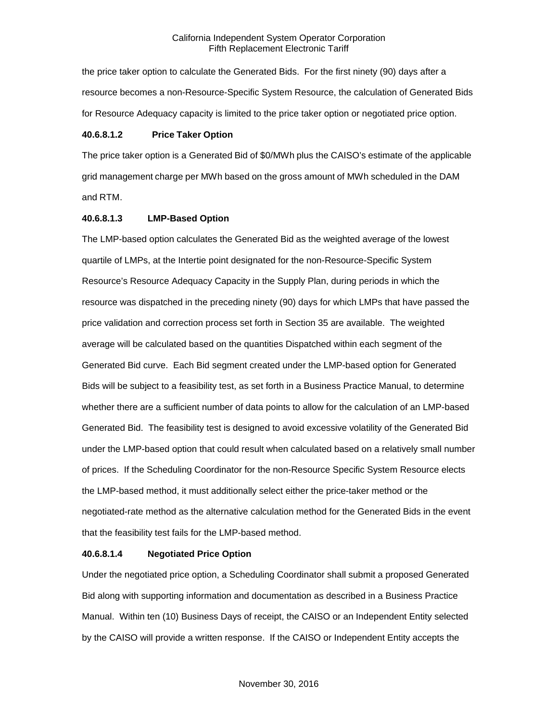the price taker option to calculate the Generated Bids. For the first ninety (90) days after a resource becomes a non-Resource-Specific System Resource, the calculation of Generated Bids for Resource Adequacy capacity is limited to the price taker option or negotiated price option.

#### **40.6.8.1.2 Price Taker Option**

The price taker option is a Generated Bid of \$0/MWh plus the CAISO's estimate of the applicable grid management charge per MWh based on the gross amount of MWh scheduled in the DAM and RTM.

#### **40.6.8.1.3 LMP-Based Option**

The LMP-based option calculates the Generated Bid as the weighted average of the lowest quartile of LMPs, at the Intertie point designated for the non-Resource-Specific System Resource's Resource Adequacy Capacity in the Supply Plan, during periods in which the resource was dispatched in the preceding ninety (90) days for which LMPs that have passed the price validation and correction process set forth in Section 35 are available. The weighted average will be calculated based on the quantities Dispatched within each segment of the Generated Bid curve. Each Bid segment created under the LMP-based option for Generated Bids will be subject to a feasibility test, as set forth in a Business Practice Manual, to determine whether there are a sufficient number of data points to allow for the calculation of an LMP-based Generated Bid. The feasibility test is designed to avoid excessive volatility of the Generated Bid under the LMP-based option that could result when calculated based on a relatively small number of prices. If the Scheduling Coordinator for the non-Resource Specific System Resource elects the LMP-based method, it must additionally select either the price-taker method or the negotiated-rate method as the alternative calculation method for the Generated Bids in the event that the feasibility test fails for the LMP-based method.

#### **40.6.8.1.4 Negotiated Price Option**

Under the negotiated price option, a Scheduling Coordinator shall submit a proposed Generated Bid along with supporting information and documentation as described in a Business Practice Manual. Within ten (10) Business Days of receipt, the CAISO or an Independent Entity selected by the CAISO will provide a written response. If the CAISO or Independent Entity accepts the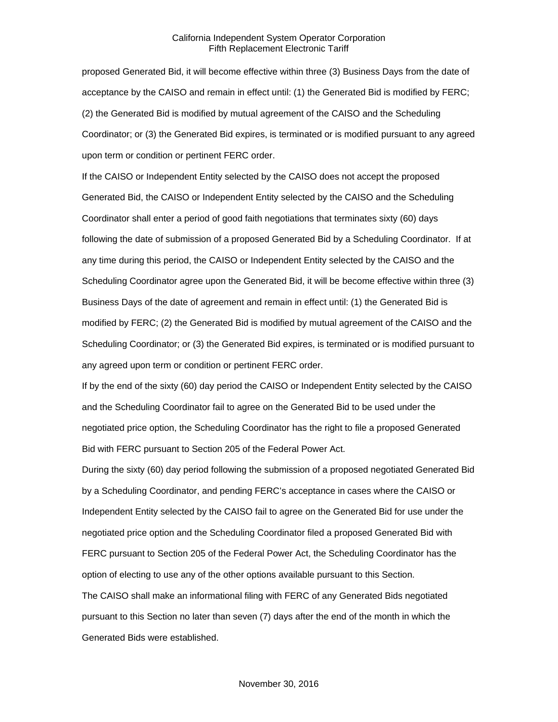proposed Generated Bid, it will become effective within three (3) Business Days from the date of acceptance by the CAISO and remain in effect until: (1) the Generated Bid is modified by FERC; (2) the Generated Bid is modified by mutual agreement of the CAISO and the Scheduling Coordinator; or (3) the Generated Bid expires, is terminated or is modified pursuant to any agreed upon term or condition or pertinent FERC order.

If the CAISO or Independent Entity selected by the CAISO does not accept the proposed Generated Bid, the CAISO or Independent Entity selected by the CAISO and the Scheduling Coordinator shall enter a period of good faith negotiations that terminates sixty (60) days following the date of submission of a proposed Generated Bid by a Scheduling Coordinator. If at any time during this period, the CAISO or Independent Entity selected by the CAISO and the Scheduling Coordinator agree upon the Generated Bid, it will be become effective within three (3) Business Days of the date of agreement and remain in effect until: (1) the Generated Bid is modified by FERC; (2) the Generated Bid is modified by mutual agreement of the CAISO and the Scheduling Coordinator; or (3) the Generated Bid expires, is terminated or is modified pursuant to any agreed upon term or condition or pertinent FERC order.

If by the end of the sixty (60) day period the CAISO or Independent Entity selected by the CAISO and the Scheduling Coordinator fail to agree on the Generated Bid to be used under the negotiated price option, the Scheduling Coordinator has the right to file a proposed Generated Bid with FERC pursuant to Section 205 of the Federal Power Act.

During the sixty (60) day period following the submission of a proposed negotiated Generated Bid by a Scheduling Coordinator, and pending FERC's acceptance in cases where the CAISO or Independent Entity selected by the CAISO fail to agree on the Generated Bid for use under the negotiated price option and the Scheduling Coordinator filed a proposed Generated Bid with FERC pursuant to Section 205 of the Federal Power Act, the Scheduling Coordinator has the option of electing to use any of the other options available pursuant to this Section. The CAISO shall make an informational filing with FERC of any Generated Bids negotiated

pursuant to this Section no later than seven (7) days after the end of the month in which the Generated Bids were established.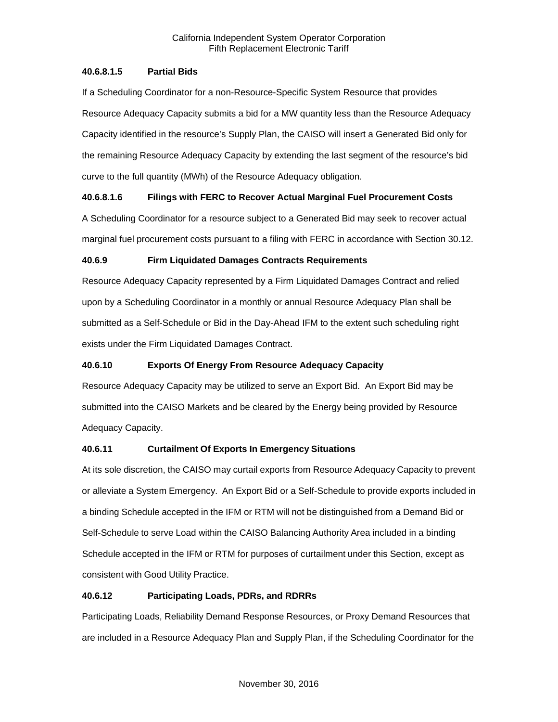# **40.6.8.1.5 Partial Bids**

If a Scheduling Coordinator for a non-Resource-Specific System Resource that provides Resource Adequacy Capacity submits a bid for a MW quantity less than the Resource Adequacy Capacity identified in the resource's Supply Plan, the CAISO will insert a Generated Bid only for the remaining Resource Adequacy Capacity by extending the last segment of the resource's bid curve to the full quantity (MWh) of the Resource Adequacy obligation.

# **40.6.8.1.6 Filings with FERC to Recover Actual Marginal Fuel Procurement Costs**

A Scheduling Coordinator for a resource subject to a Generated Bid may seek to recover actual marginal fuel procurement costs pursuant to a filing with FERC in accordance with Section 30.12.

# **40.6.9 Firm Liquidated Damages Contracts Requirements**

Resource Adequacy Capacity represented by a Firm Liquidated Damages Contract and relied upon by a Scheduling Coordinator in a monthly or annual Resource Adequacy Plan shall be submitted as a Self-Schedule or Bid in the Day-Ahead IFM to the extent such scheduling right exists under the Firm Liquidated Damages Contract.

# **40.6.10 Exports Of Energy From Resource Adequacy Capacity**

Resource Adequacy Capacity may be utilized to serve an Export Bid. An Export Bid may be submitted into the CAISO Markets and be cleared by the Energy being provided by Resource Adequacy Capacity.

# **40.6.11 Curtailment Of Exports In Emergency Situations**

At its sole discretion, the CAISO may curtail exports from Resource Adequacy Capacity to prevent or alleviate a System Emergency. An Export Bid or a Self-Schedule to provide exports included in a binding Schedule accepted in the IFM or RTM will not be distinguished from a Demand Bid or Self-Schedule to serve Load within the CAISO Balancing Authority Area included in a binding Schedule accepted in the IFM or RTM for purposes of curtailment under this Section, except as consistent with Good Utility Practice.

# **40.6.12 Participating Loads, PDRs, and RDRRs**

Participating Loads, Reliability Demand Response Resources, or Proxy Demand Resources that are included in a Resource Adequacy Plan and Supply Plan, if the Scheduling Coordinator for the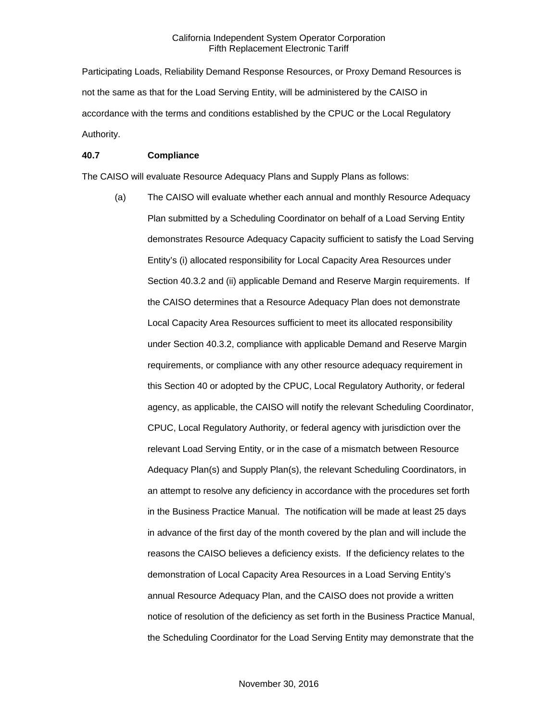Participating Loads, Reliability Demand Response Resources, or Proxy Demand Resources is not the same as that for the Load Serving Entity, will be administered by the CAISO in accordance with the terms and conditions established by the CPUC or the Local Regulatory Authority.

## **40.7 Compliance**

The CAISO will evaluate Resource Adequacy Plans and Supply Plans as follows:

(a) The CAISO will evaluate whether each annual and monthly Resource Adequacy Plan submitted by a Scheduling Coordinator on behalf of a Load Serving Entity demonstrates Resource Adequacy Capacity sufficient to satisfy the Load Serving Entity's (i) allocated responsibility for Local Capacity Area Resources under Section 40.3.2 and (ii) applicable Demand and Reserve Margin requirements. If the CAISO determines that a Resource Adequacy Plan does not demonstrate Local Capacity Area Resources sufficient to meet its allocated responsibility under Section 40.3.2, compliance with applicable Demand and Reserve Margin requirements, or compliance with any other resource adequacy requirement in this Section 40 or adopted by the CPUC, Local Regulatory Authority, or federal agency, as applicable, the CAISO will notify the relevant Scheduling Coordinator, CPUC, Local Regulatory Authority, or federal agency with jurisdiction over the relevant Load Serving Entity, or in the case of a mismatch between Resource Adequacy Plan(s) and Supply Plan(s), the relevant Scheduling Coordinators, in an attempt to resolve any deficiency in accordance with the procedures set forth in the Business Practice Manual. The notification will be made at least 25 days in advance of the first day of the month covered by the plan and will include the reasons the CAISO believes a deficiency exists. If the deficiency relates to the demonstration of Local Capacity Area Resources in a Load Serving Entity's annual Resource Adequacy Plan, and the CAISO does not provide a written notice of resolution of the deficiency as set forth in the Business Practice Manual, the Scheduling Coordinator for the Load Serving Entity may demonstrate that the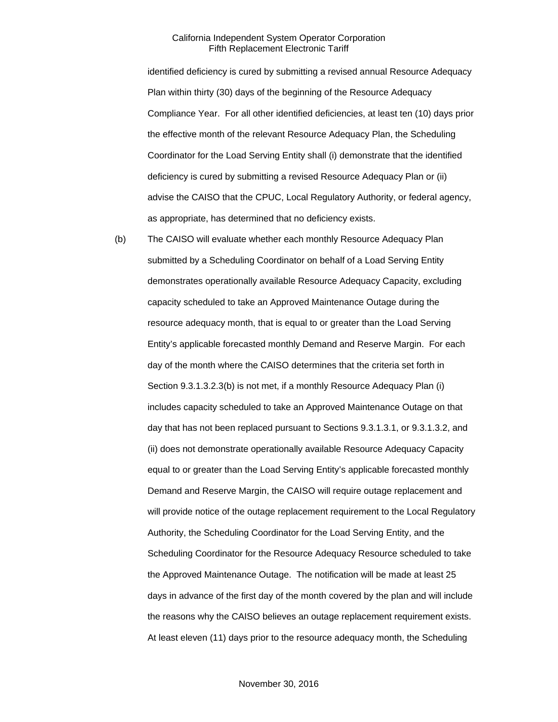identified deficiency is cured by submitting a revised annual Resource Adequacy Plan within thirty (30) days of the beginning of the Resource Adequacy Compliance Year. For all other identified deficiencies, at least ten (10) days prior the effective month of the relevant Resource Adequacy Plan, the Scheduling Coordinator for the Load Serving Entity shall (i) demonstrate that the identified deficiency is cured by submitting a revised Resource Adequacy Plan or (ii) advise the CAISO that the CPUC, Local Regulatory Authority, or federal agency, as appropriate, has determined that no deficiency exists.

(b) The CAISO will evaluate whether each monthly Resource Adequacy Plan submitted by a Scheduling Coordinator on behalf of a Load Serving Entity demonstrates operationally available Resource Adequacy Capacity, excluding capacity scheduled to take an Approved Maintenance Outage during the resource adequacy month, that is equal to or greater than the Load Serving Entity's applicable forecasted monthly Demand and Reserve Margin. For each day of the month where the CAISO determines that the criteria set forth in Section 9.3.1.3.2.3(b) is not met, if a monthly Resource Adequacy Plan (i) includes capacity scheduled to take an Approved Maintenance Outage on that day that has not been replaced pursuant to Sections 9.3.1.3.1, or 9.3.1.3.2, and (ii) does not demonstrate operationally available Resource Adequacy Capacity equal to or greater than the Load Serving Entity's applicable forecasted monthly Demand and Reserve Margin, the CAISO will require outage replacement and will provide notice of the outage replacement requirement to the Local Regulatory Authority, the Scheduling Coordinator for the Load Serving Entity, and the Scheduling Coordinator for the Resource Adequacy Resource scheduled to take the Approved Maintenance Outage. The notification will be made at least 25 days in advance of the first day of the month covered by the plan and will include the reasons why the CAISO believes an outage replacement requirement exists. At least eleven (11) days prior to the resource adequacy month, the Scheduling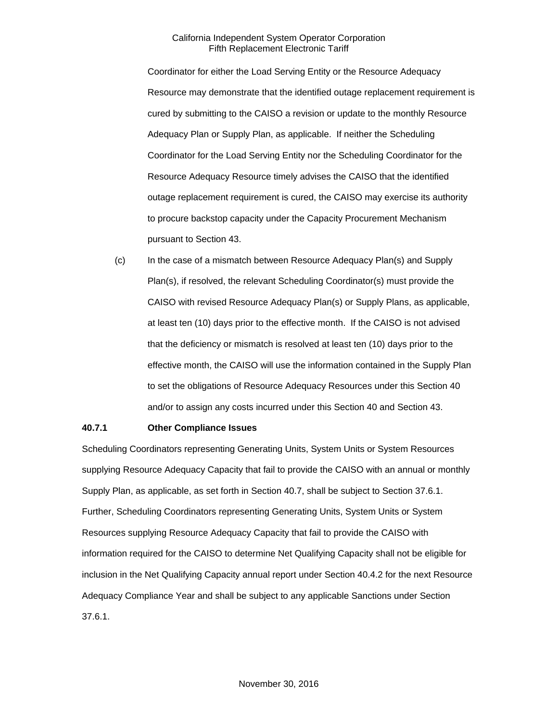Coordinator for either the Load Serving Entity or the Resource Adequacy Resource may demonstrate that the identified outage replacement requirement is cured by submitting to the CAISO a revision or update to the monthly Resource Adequacy Plan or Supply Plan, as applicable. If neither the Scheduling Coordinator for the Load Serving Entity nor the Scheduling Coordinator for the Resource Adequacy Resource timely advises the CAISO that the identified outage replacement requirement is cured, the CAISO may exercise its authority to procure backstop capacity under the Capacity Procurement Mechanism pursuant to Section 43.

(c) In the case of a mismatch between Resource Adequacy Plan(s) and Supply Plan(s), if resolved, the relevant Scheduling Coordinator(s) must provide the CAISO with revised Resource Adequacy Plan(s) or Supply Plans, as applicable, at least ten (10) days prior to the effective month. If the CAISO is not advised that the deficiency or mismatch is resolved at least ten (10) days prior to the effective month, the CAISO will use the information contained in the Supply Plan to set the obligations of Resource Adequacy Resources under this Section 40 and/or to assign any costs incurred under this Section 40 and Section 43.

#### **40.7.1 Other Compliance Issues**

Scheduling Coordinators representing Generating Units, System Units or System Resources supplying Resource Adequacy Capacity that fail to provide the CAISO with an annual or monthly Supply Plan, as applicable, as set forth in Section 40.7, shall be subject to Section 37.6.1. Further, Scheduling Coordinators representing Generating Units, System Units or System Resources supplying Resource Adequacy Capacity that fail to provide the CAISO with information required for the CAISO to determine Net Qualifying Capacity shall not be eligible for inclusion in the Net Qualifying Capacity annual report under Section 40.4.2 for the next Resource Adequacy Compliance Year and shall be subject to any applicable Sanctions under Section 37.6.1.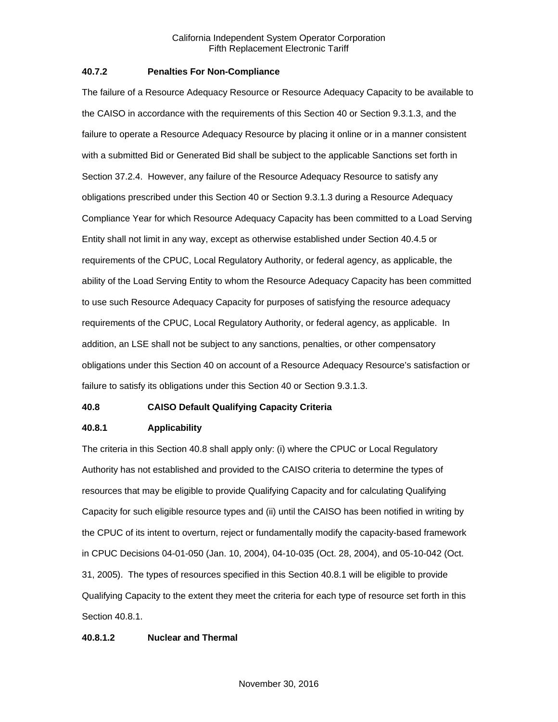#### **40.7.2 Penalties For Non-Compliance**

The failure of a Resource Adequacy Resource or Resource Adequacy Capacity to be available to the CAISO in accordance with the requirements of this Section 40 or Section 9.3.1.3, and the failure to operate a Resource Adequacy Resource by placing it online or in a manner consistent with a submitted Bid or Generated Bid shall be subject to the applicable Sanctions set forth in Section 37.2.4. However, any failure of the Resource Adequacy Resource to satisfy any obligations prescribed under this Section 40 or Section 9.3.1.3 during a Resource Adequacy Compliance Year for which Resource Adequacy Capacity has been committed to a Load Serving Entity shall not limit in any way, except as otherwise established under Section 40.4.5 or requirements of the CPUC, Local Regulatory Authority, or federal agency, as applicable, the ability of the Load Serving Entity to whom the Resource Adequacy Capacity has been committed to use such Resource Adequacy Capacity for purposes of satisfying the resource adequacy requirements of the CPUC, Local Regulatory Authority, or federal agency, as applicable. In addition, an LSE shall not be subject to any sanctions, penalties, or other compensatory obligations under this Section 40 on account of a Resource Adequacy Resource's satisfaction or failure to satisfy its obligations under this Section 40 or Section 9.3.1.3.

#### **40.8 CAISO Default Qualifying Capacity Criteria**

#### **40.8.1 Applicability**

The criteria in this Section 40.8 shall apply only: (i) where the CPUC or Local Regulatory Authority has not established and provided to the CAISO criteria to determine the types of resources that may be eligible to provide Qualifying Capacity and for calculating Qualifying Capacity for such eligible resource types and (ii) until the CAISO has been notified in writing by the CPUC of its intent to overturn, reject or fundamentally modify the capacity-based framework in CPUC Decisions 04-01-050 (Jan. 10, 2004), 04-10-035 (Oct. 28, 2004), and 05-10-042 (Oct. 31, 2005). The types of resources specified in this Section 40.8.1 will be eligible to provide Qualifying Capacity to the extent they meet the criteria for each type of resource set forth in this Section 40.8.1.

#### **40.8.1.2 Nuclear and Thermal**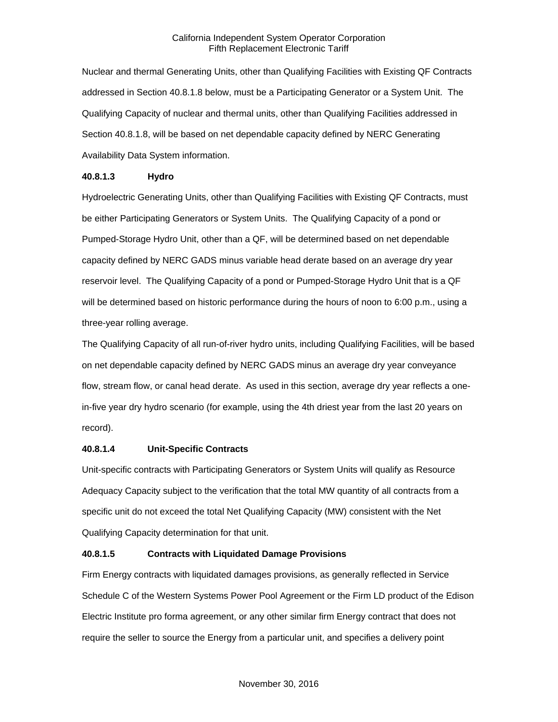Nuclear and thermal Generating Units, other than Qualifying Facilities with Existing QF Contracts addressed in Section 40.8.1.8 below, must be a Participating Generator or a System Unit. The Qualifying Capacity of nuclear and thermal units, other than Qualifying Facilities addressed in Section 40.8.1.8, will be based on net dependable capacity defined by NERC Generating Availability Data System information.

## **40.8.1.3 Hydro**

Hydroelectric Generating Units, other than Qualifying Facilities with Existing QF Contracts, must be either Participating Generators or System Units. The Qualifying Capacity of a pond or Pumped-Storage Hydro Unit, other than a QF, will be determined based on net dependable capacity defined by NERC GADS minus variable head derate based on an average dry year reservoir level. The Qualifying Capacity of a pond or Pumped-Storage Hydro Unit that is a QF will be determined based on historic performance during the hours of noon to 6:00 p.m., using a three-year rolling average.

The Qualifying Capacity of all run-of-river hydro units, including Qualifying Facilities, will be based on net dependable capacity defined by NERC GADS minus an average dry year conveyance flow, stream flow, or canal head derate. As used in this section, average dry year reflects a onein-five year dry hydro scenario (for example, using the 4th driest year from the last 20 years on record).

# **40.8.1.4 Unit-Specific Contracts**

Unit-specific contracts with Participating Generators or System Units will qualify as Resource Adequacy Capacity subject to the verification that the total MW quantity of all contracts from a specific unit do not exceed the total Net Qualifying Capacity (MW) consistent with the Net Qualifying Capacity determination for that unit.

# **40.8.1.5 Contracts with Liquidated Damage Provisions**

Firm Energy contracts with liquidated damages provisions, as generally reflected in Service Schedule C of the Western Systems Power Pool Agreement or the Firm LD product of the Edison Electric Institute pro forma agreement, or any other similar firm Energy contract that does not require the seller to source the Energy from a particular unit, and specifies a delivery point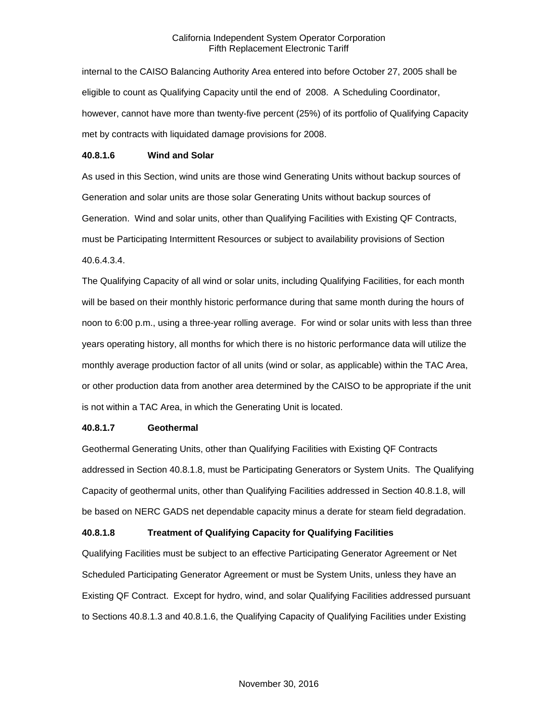internal to the CAISO Balancing Authority Area entered into before October 27, 2005 shall be eligible to count as Qualifying Capacity until the end of 2008. A Scheduling Coordinator, however, cannot have more than twenty-five percent (25%) of its portfolio of Qualifying Capacity met by contracts with liquidated damage provisions for 2008.

#### **40.8.1.6 Wind and Solar**

As used in this Section, wind units are those wind Generating Units without backup sources of Generation and solar units are those solar Generating Units without backup sources of Generation. Wind and solar units, other than Qualifying Facilities with Existing QF Contracts, must be Participating Intermittent Resources or subject to availability provisions of Section 40.6.4.3.4.

The Qualifying Capacity of all wind or solar units, including Qualifying Facilities, for each month will be based on their monthly historic performance during that same month during the hours of noon to 6:00 p.m., using a three-year rolling average. For wind or solar units with less than three years operating history, all months for which there is no historic performance data will utilize the monthly average production factor of all units (wind or solar, as applicable) within the TAC Area, or other production data from another area determined by the CAISO to be appropriate if the unit is not within a TAC Area, in which the Generating Unit is located.

#### **40.8.1.7 Geothermal**

Geothermal Generating Units, other than Qualifying Facilities with Existing QF Contracts addressed in Section 40.8.1.8, must be Participating Generators or System Units. The Qualifying Capacity of geothermal units, other than Qualifying Facilities addressed in Section 40.8.1.8, will be based on NERC GADS net dependable capacity minus a derate for steam field degradation.

#### **40.8.1.8 Treatment of Qualifying Capacity for Qualifying Facilities**

Qualifying Facilities must be subject to an effective Participating Generator Agreement or Net Scheduled Participating Generator Agreement or must be System Units, unless they have an Existing QF Contract. Except for hydro, wind, and solar Qualifying Facilities addressed pursuant to Sections 40.8.1.3 and 40.8.1.6, the Qualifying Capacity of Qualifying Facilities under Existing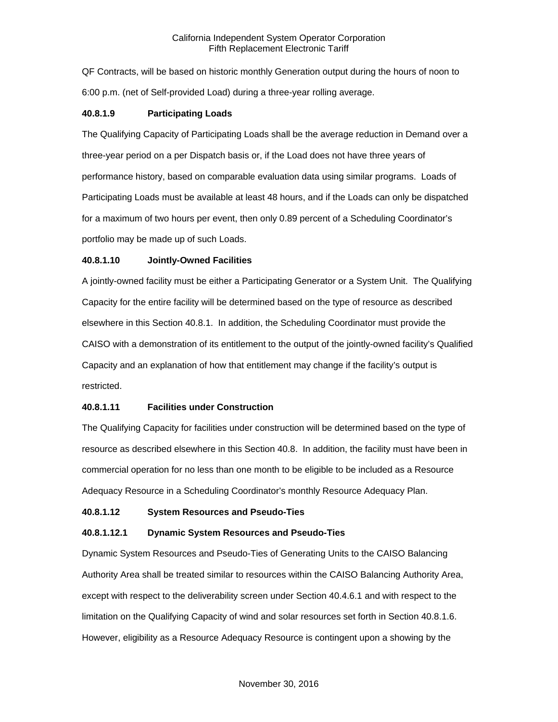QF Contracts, will be based on historic monthly Generation output during the hours of noon to 6:00 p.m. (net of Self-provided Load) during a three-year rolling average.

#### **40.8.1.9 Participating Loads**

The Qualifying Capacity of Participating Loads shall be the average reduction in Demand over a three-year period on a per Dispatch basis or, if the Load does not have three years of performance history, based on comparable evaluation data using similar programs. Loads of Participating Loads must be available at least 48 hours, and if the Loads can only be dispatched for a maximum of two hours per event, then only 0.89 percent of a Scheduling Coordinator's portfolio may be made up of such Loads.

#### **40.8.1.10 Jointly-Owned Facilities**

A jointly-owned facility must be either a Participating Generator or a System Unit. The Qualifying Capacity for the entire facility will be determined based on the type of resource as described elsewhere in this Section 40.8.1. In addition, the Scheduling Coordinator must provide the CAISO with a demonstration of its entitlement to the output of the jointly-owned facility's Qualified Capacity and an explanation of how that entitlement may change if the facility's output is restricted.

#### **40.8.1.11 Facilities under Construction**

The Qualifying Capacity for facilities under construction will be determined based on the type of resource as described elsewhere in this Section 40.8. In addition, the facility must have been in commercial operation for no less than one month to be eligible to be included as a Resource Adequacy Resource in a Scheduling Coordinator's monthly Resource Adequacy Plan.

#### **40.8.1.12 System Resources and Pseudo-Ties**

#### **40.8.1.12.1 Dynamic System Resources and Pseudo-Ties**

Dynamic System Resources and Pseudo-Ties of Generating Units to the CAISO Balancing Authority Area shall be treated similar to resources within the CAISO Balancing Authority Area, except with respect to the deliverability screen under Section 40.4.6.1 and with respect to the limitation on the Qualifying Capacity of wind and solar resources set forth in Section 40.8.1.6. However, eligibility as a Resource Adequacy Resource is contingent upon a showing by the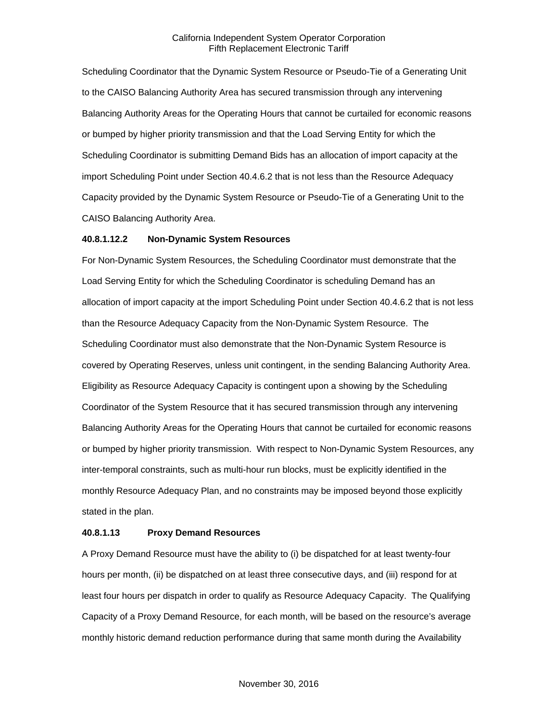Scheduling Coordinator that the Dynamic System Resource or Pseudo-Tie of a Generating Unit to the CAISO Balancing Authority Area has secured transmission through any intervening Balancing Authority Areas for the Operating Hours that cannot be curtailed for economic reasons or bumped by higher priority transmission and that the Load Serving Entity for which the Scheduling Coordinator is submitting Demand Bids has an allocation of import capacity at the import Scheduling Point under Section 40.4.6.2 that is not less than the Resource Adequacy Capacity provided by the Dynamic System Resource or Pseudo-Tie of a Generating Unit to the CAISO Balancing Authority Area.

#### **40.8.1.12.2 Non-Dynamic System Resources**

For Non-Dynamic System Resources, the Scheduling Coordinator must demonstrate that the Load Serving Entity for which the Scheduling Coordinator is scheduling Demand has an allocation of import capacity at the import Scheduling Point under Section 40.4.6.2 that is not less than the Resource Adequacy Capacity from the Non-Dynamic System Resource. The Scheduling Coordinator must also demonstrate that the Non-Dynamic System Resource is covered by Operating Reserves, unless unit contingent, in the sending Balancing Authority Area. Eligibility as Resource Adequacy Capacity is contingent upon a showing by the Scheduling Coordinator of the System Resource that it has secured transmission through any intervening Balancing Authority Areas for the Operating Hours that cannot be curtailed for economic reasons or bumped by higher priority transmission. With respect to Non-Dynamic System Resources, any inter-temporal constraints, such as multi-hour run blocks, must be explicitly identified in the monthly Resource Adequacy Plan, and no constraints may be imposed beyond those explicitly stated in the plan.

#### **40.8.1.13 Proxy Demand Resources**

A Proxy Demand Resource must have the ability to (i) be dispatched for at least twenty-four hours per month, (ii) be dispatched on at least three consecutive days, and (iii) respond for at least four hours per dispatch in order to qualify as Resource Adequacy Capacity. The Qualifying Capacity of a Proxy Demand Resource, for each month, will be based on the resource's average monthly historic demand reduction performance during that same month during the Availability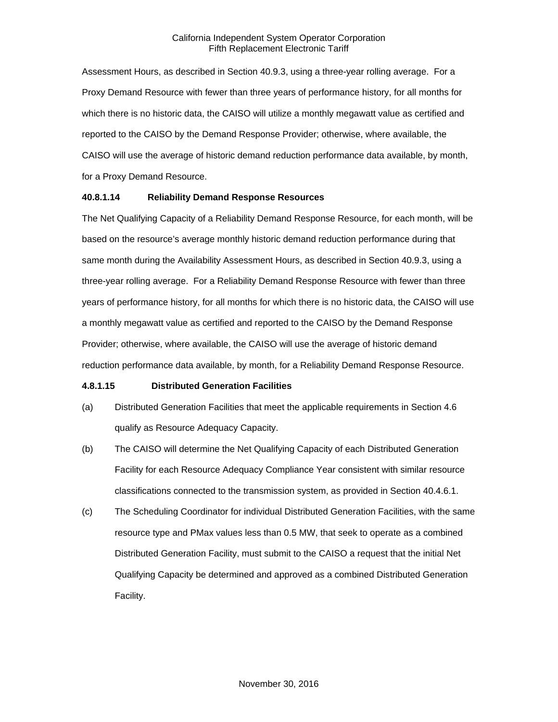Assessment Hours, as described in Section 40.9.3, using a three-year rolling average. For a Proxy Demand Resource with fewer than three years of performance history, for all months for which there is no historic data, the CAISO will utilize a monthly megawatt value as certified and reported to the CAISO by the Demand Response Provider; otherwise, where available, the CAISO will use the average of historic demand reduction performance data available, by month, for a Proxy Demand Resource.

## **40.8.1.14 Reliability Demand Response Resources**

The Net Qualifying Capacity of a Reliability Demand Response Resource, for each month, will be based on the resource's average monthly historic demand reduction performance during that same month during the Availability Assessment Hours, as described in Section 40.9.3, using a three-year rolling average. For a Reliability Demand Response Resource with fewer than three years of performance history, for all months for which there is no historic data, the CAISO will use a monthly megawatt value as certified and reported to the CAISO by the Demand Response Provider; otherwise, where available, the CAISO will use the average of historic demand reduction performance data available, by month, for a Reliability Demand Response Resource.

#### **4.8.1.15 Distributed Generation Facilities**

- (a) Distributed Generation Facilities that meet the applicable requirements in Section 4.6 qualify as Resource Adequacy Capacity.
- (b) The CAISO will determine the Net Qualifying Capacity of each Distributed Generation Facility for each Resource Adequacy Compliance Year consistent with similar resource classifications connected to the transmission system, as provided in Section 40.4.6.1.
- (c) The Scheduling Coordinator for individual Distributed Generation Facilities, with the same resource type and PMax values less than 0.5 MW, that seek to operate as a combined Distributed Generation Facility, must submit to the CAISO a request that the initial Net Qualifying Capacity be determined and approved as a combined Distributed Generation Facility.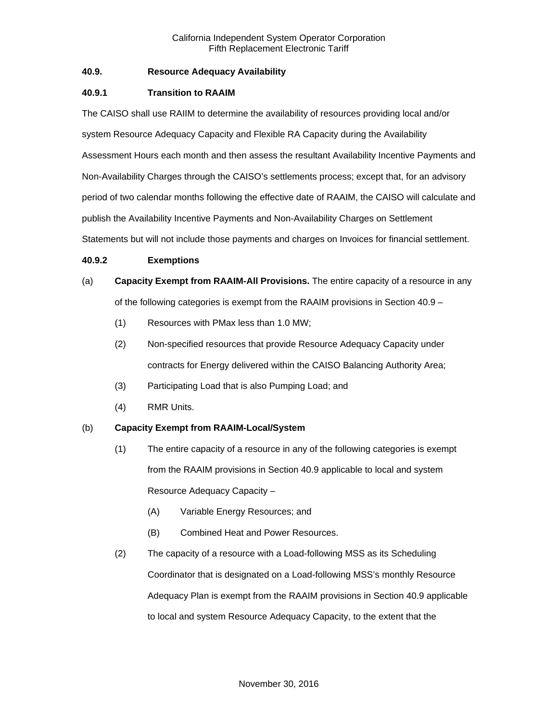## **40.9. Resource Adequacy Availability**

## **40.9.1 Transition to RAAIM**

The CAISO shall use RAIIM to determine the availability of resources providing local and/or system Resource Adequacy Capacity and Flexible RA Capacity during the Availability Assessment Hours each month and then assess the resultant Availability Incentive Payments and Non-Availability Charges through the CAISO's settlements process; except that, for an advisory period of two calendar months following the effective date of RAAIM, the CAISO will calculate and publish the Availability Incentive Payments and Non-Availability Charges on Settlement Statements but will not include those payments and charges on Invoices for financial settlement.

#### **40.9.2 Exemptions**

# (a) **Capacity Exempt from RAAIM-All Provisions.** The entire capacity of a resource in any of the following categories is exempt from the RAAIM provisions in Section 40.9 –

- (1) Resources with PMax less than 1.0 MW;
- (2) Non-specified resources that provide Resource Adequacy Capacity under contracts for Energy delivered within the CAISO Balancing Authority Area;
- (3) Participating Load that is also Pumping Load; and
- (4) RMR Units.

#### (b) **Capacity Exempt from RAAIM-Local/System**

- (1) The entire capacity of a resource in any of the following categories is exempt from the RAAIM provisions in Section 40.9 applicable to local and system Resource Adequacy Capacity –
	- (A) Variable Energy Resources; and
	- (B) Combined Heat and Power Resources.
- (2) The capacity of a resource with a Load-following MSS as its Scheduling Coordinator that is designated on a Load-following MSS's monthly Resource Adequacy Plan is exempt from the RAAIM provisions in Section 40.9 applicable to local and system Resource Adequacy Capacity, to the extent that the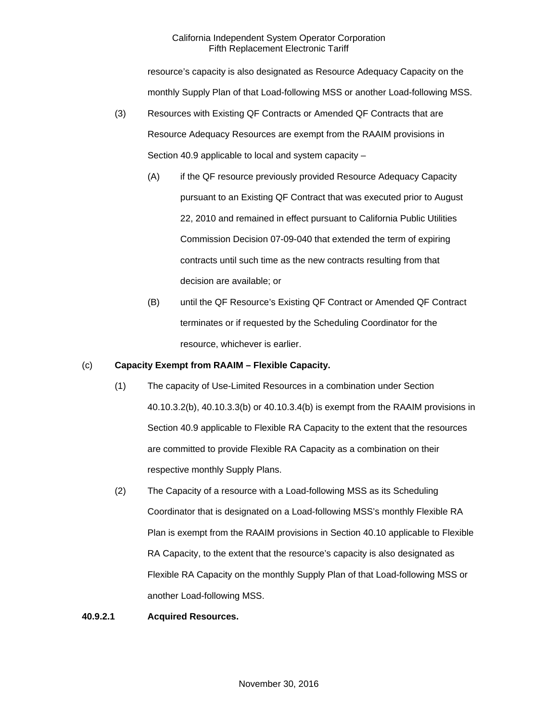resource's capacity is also designated as Resource Adequacy Capacity on the monthly Supply Plan of that Load-following MSS or another Load-following MSS.

- (3) Resources with Existing QF Contracts or Amended QF Contracts that are Resource Adequacy Resources are exempt from the RAAIM provisions in Section 40.9 applicable to local and system capacity –
	- (A) if the QF resource previously provided Resource Adequacy Capacity pursuant to an Existing QF Contract that was executed prior to August 22, 2010 and remained in effect pursuant to California Public Utilities Commission Decision 07-09-040 that extended the term of expiring contracts until such time as the new contracts resulting from that decision are available; or
	- (B) until the QF Resource's Existing QF Contract or Amended QF Contract terminates or if requested by the Scheduling Coordinator for the resource, whichever is earlier.

## (c) **Capacity Exempt from RAAIM – Flexible Capacity.**

- (1) The capacity of Use-Limited Resources in a combination under Section 40.10.3.2(b), 40.10.3.3(b) or 40.10.3.4(b) is exempt from the RAAIM provisions in Section 40.9 applicable to Flexible RA Capacity to the extent that the resources are committed to provide Flexible RA Capacity as a combination on their respective monthly Supply Plans.
- (2) The Capacity of a resource with a Load-following MSS as its Scheduling Coordinator that is designated on a Load-following MSS's monthly Flexible RA Plan is exempt from the RAAIM provisions in Section 40.10 applicable to Flexible RA Capacity, to the extent that the resource's capacity is also designated as Flexible RA Capacity on the monthly Supply Plan of that Load-following MSS or another Load-following MSS.

## **40.9.2.1 Acquired Resources.**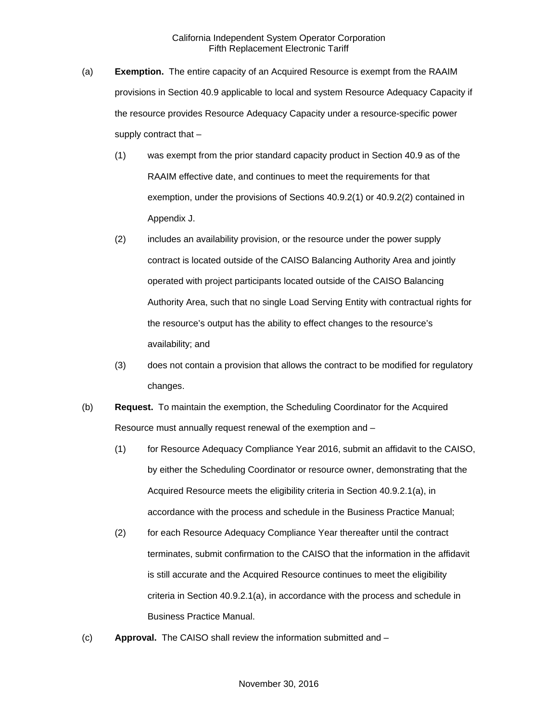- (a) **Exemption.** The entire capacity of an Acquired Resource is exempt from the RAAIM provisions in Section 40.9 applicable to local and system Resource Adequacy Capacity if the resource provides Resource Adequacy Capacity under a resource-specific power supply contract that –
	- (1) was exempt from the prior standard capacity product in Section 40.9 as of the RAAIM effective date, and continues to meet the requirements for that exemption, under the provisions of Sections 40.9.2(1) or 40.9.2(2) contained in Appendix J.
	- (2) includes an availability provision, or the resource under the power supply contract is located outside of the CAISO Balancing Authority Area and jointly operated with project participants located outside of the CAISO Balancing Authority Area, such that no single Load Serving Entity with contractual rights for the resource's output has the ability to effect changes to the resource's availability; and
	- (3) does not contain a provision that allows the contract to be modified for regulatory changes.
- (b) **Request.** To maintain the exemption, the Scheduling Coordinator for the Acquired Resource must annually request renewal of the exemption and –
	- (1) for Resource Adequacy Compliance Year 2016, submit an affidavit to the CAISO, by either the Scheduling Coordinator or resource owner, demonstrating that the Acquired Resource meets the eligibility criteria in Section 40.9.2.1(a), in accordance with the process and schedule in the Business Practice Manual;
	- (2) for each Resource Adequacy Compliance Year thereafter until the contract terminates, submit confirmation to the CAISO that the information in the affidavit is still accurate and the Acquired Resource continues to meet the eligibility criteria in Section 40.9.2.1(a), in accordance with the process and schedule in Business Practice Manual.
- (c) **Approval.** The CAISO shall review the information submitted and –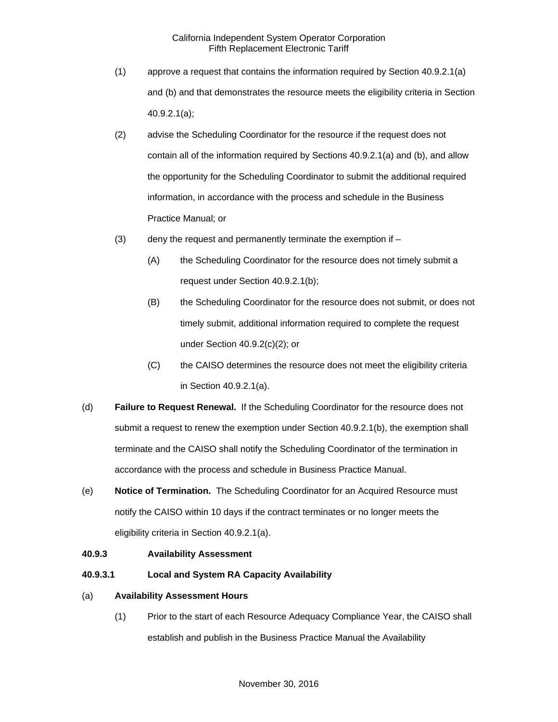- (1) approve a request that contains the information required by Section 40.9.2.1(a) and (b) and that demonstrates the resource meets the eligibility criteria in Section 40.9.2.1(a);
- (2) advise the Scheduling Coordinator for the resource if the request does not contain all of the information required by Sections 40.9.2.1(a) and (b), and allow the opportunity for the Scheduling Coordinator to submit the additional required information, in accordance with the process and schedule in the Business Practice Manual; or
- (3) deny the request and permanently terminate the exemption if  $-$ 
	- (A) the Scheduling Coordinator for the resource does not timely submit a request under Section 40.9.2.1(b);
	- (B) the Scheduling Coordinator for the resource does not submit, or does not timely submit, additional information required to complete the request under Section 40.9.2(c)(2); or
	- (C) the CAISO determines the resource does not meet the eligibility criteria in Section 40.9.2.1(a).
- (d) **Failure to Request Renewal.** If the Scheduling Coordinator for the resource does not submit a request to renew the exemption under Section 40.9.2.1(b), the exemption shall terminate and the CAISO shall notify the Scheduling Coordinator of the termination in accordance with the process and schedule in Business Practice Manual.
- (e) **Notice of Termination.** The Scheduling Coordinator for an Acquired Resource must notify the CAISO within 10 days if the contract terminates or no longer meets the eligibility criteria in Section 40.9.2.1(a).

#### **40.9.3 Availability Assessment**

**40.9.3.1 Local and System RA Capacity Availability** 

### (a) **Availability Assessment Hours**

(1) Prior to the start of each Resource Adequacy Compliance Year, the CAISO shall establish and publish in the Business Practice Manual the Availability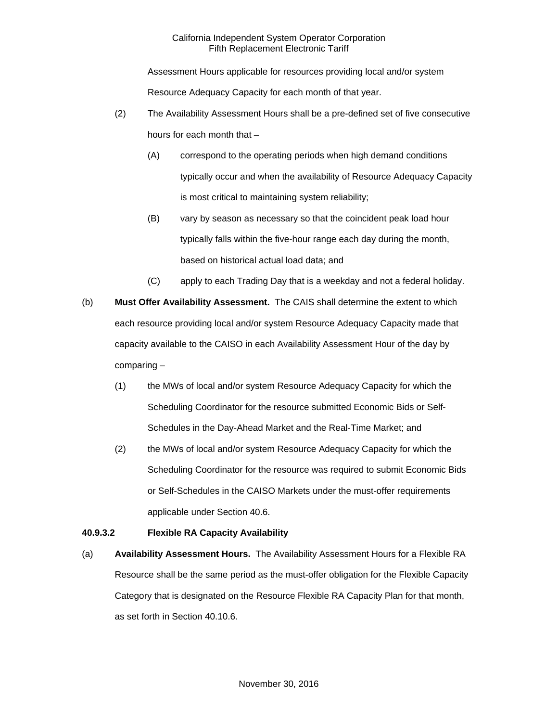Assessment Hours applicable for resources providing local and/or system Resource Adequacy Capacity for each month of that year.

- (2) The Availability Assessment Hours shall be a pre-defined set of five consecutive hours for each month that –
	- (A) correspond to the operating periods when high demand conditions typically occur and when the availability of Resource Adequacy Capacity is most critical to maintaining system reliability;
	- (B) vary by season as necessary so that the coincident peak load hour typically falls within the five-hour range each day during the month, based on historical actual load data; and
	- (C) apply to each Trading Day that is a weekday and not a federal holiday.
- (b) **Must Offer Availability Assessment.** The CAIS shall determine the extent to which each resource providing local and/or system Resource Adequacy Capacity made that capacity available to the CAISO in each Availability Assessment Hour of the day by comparing –
	- (1) the MWs of local and/or system Resource Adequacy Capacity for which the Scheduling Coordinator for the resource submitted Economic Bids or Self-Schedules in the Day-Ahead Market and the Real-Time Market; and
	- (2) the MWs of local and/or system Resource Adequacy Capacity for which the Scheduling Coordinator for the resource was required to submit Economic Bids or Self-Schedules in the CAISO Markets under the must-offer requirements applicable under Section 40.6.

# **40.9.3.2 Flexible RA Capacity Availability**

(a) **Availability Assessment Hours.** The Availability Assessment Hours for a Flexible RA Resource shall be the same period as the must-offer obligation for the Flexible Capacity Category that is designated on the Resource Flexible RA Capacity Plan for that month, as set forth in Section 40.10.6.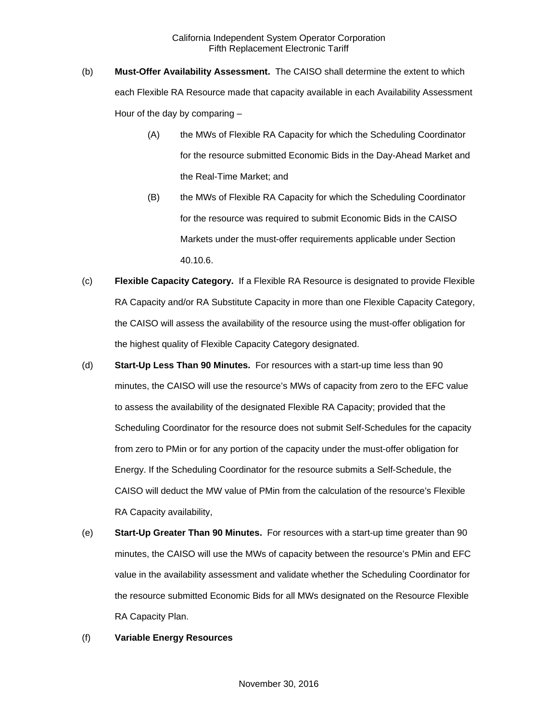- (b) **Must-Offer Availability Assessment.** The CAISO shall determine the extent to which each Flexible RA Resource made that capacity available in each Availability Assessment Hour of the day by comparing –
	- (A) the MWs of Flexible RA Capacity for which the Scheduling Coordinator for the resource submitted Economic Bids in the Day-Ahead Market and the Real-Time Market; and
	- (B) the MWs of Flexible RA Capacity for which the Scheduling Coordinator for the resource was required to submit Economic Bids in the CAISO Markets under the must-offer requirements applicable under Section 40.10.6.
- (c) **Flexible Capacity Category.** If a Flexible RA Resource is designated to provide Flexible RA Capacity and/or RA Substitute Capacity in more than one Flexible Capacity Category, the CAISO will assess the availability of the resource using the must-offer obligation for the highest quality of Flexible Capacity Category designated.
- (d) **Start-Up Less Than 90 Minutes.** For resources with a start-up time less than 90 minutes, the CAISO will use the resource's MWs of capacity from zero to the EFC value to assess the availability of the designated Flexible RA Capacity; provided that the Scheduling Coordinator for the resource does not submit Self-Schedules for the capacity from zero to PMin or for any portion of the capacity under the must-offer obligation for Energy. If the Scheduling Coordinator for the resource submits a Self-Schedule, the CAISO will deduct the MW value of PMin from the calculation of the resource's Flexible RA Capacity availability,
- (e) **Start-Up Greater Than 90 Minutes.** For resources with a start-up time greater than 90 minutes, the CAISO will use the MWs of capacity between the resource's PMin and EFC value in the availability assessment and validate whether the Scheduling Coordinator for the resource submitted Economic Bids for all MWs designated on the Resource Flexible RA Capacity Plan.

#### (f) **Variable Energy Resources**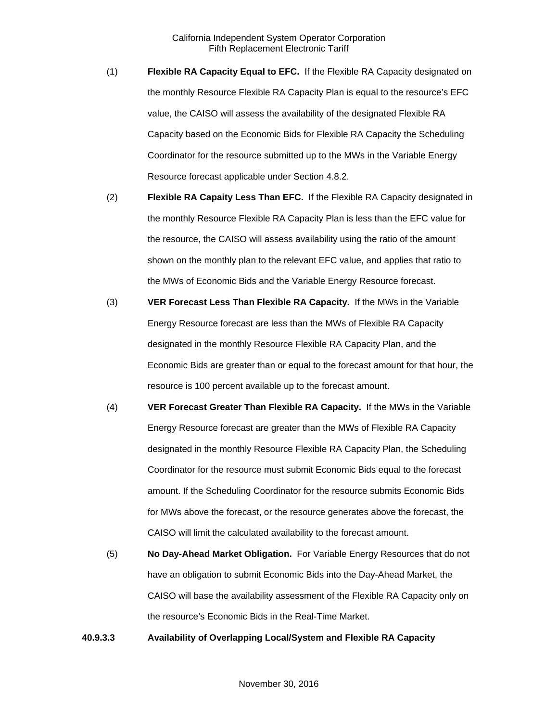- (1) **Flexible RA Capacity Equal to EFC.** If the Flexible RA Capacity designated on the monthly Resource Flexible RA Capacity Plan is equal to the resource's EFC value, the CAISO will assess the availability of the designated Flexible RA Capacity based on the Economic Bids for Flexible RA Capacity the Scheduling Coordinator for the resource submitted up to the MWs in the Variable Energy Resource forecast applicable under Section 4.8.2.
- (2) **Flexible RA Capaity Less Than EFC.** If the Flexible RA Capacity designated in the monthly Resource Flexible RA Capacity Plan is less than the EFC value for the resource, the CAISO will assess availability using the ratio of the amount shown on the monthly plan to the relevant EFC value, and applies that ratio to the MWs of Economic Bids and the Variable Energy Resource forecast.
- (3) **VER Forecast Less Than Flexible RA Capacity.** If the MWs in the Variable Energy Resource forecast are less than the MWs of Flexible RA Capacity designated in the monthly Resource Flexible RA Capacity Plan, and the Economic Bids are greater than or equal to the forecast amount for that hour, the resource is 100 percent available up to the forecast amount.
- (4) **VER Forecast Greater Than Flexible RA Capacity.** If the MWs in the Variable Energy Resource forecast are greater than the MWs of Flexible RA Capacity designated in the monthly Resource Flexible RA Capacity Plan, the Scheduling Coordinator for the resource must submit Economic Bids equal to the forecast amount. If the Scheduling Coordinator for the resource submits Economic Bids for MWs above the forecast, or the resource generates above the forecast, the CAISO will limit the calculated availability to the forecast amount.
- (5) **No Day-Ahead Market Obligation.** For Variable Energy Resources that do not have an obligation to submit Economic Bids into the Day-Ahead Market, the CAISO will base the availability assessment of the Flexible RA Capacity only on the resource's Economic Bids in the Real-Time Market.

**40.9.3.3 Availability of Overlapping Local/System and Flexible RA Capacity**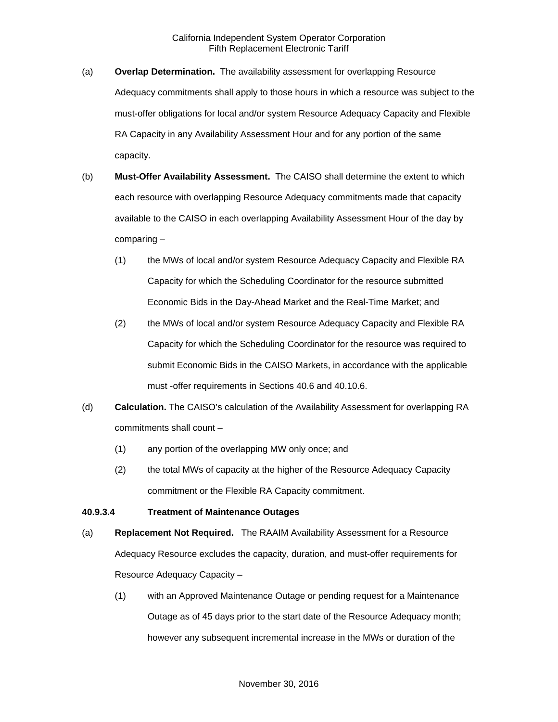- (a) **Overlap Determination.** The availability assessment for overlapping Resource Adequacy commitments shall apply to those hours in which a resource was subject to the must-offer obligations for local and/or system Resource Adequacy Capacity and Flexible RA Capacity in any Availability Assessment Hour and for any portion of the same capacity.
- (b) **Must-Offer Availability Assessment.** The CAISO shall determine the extent to which each resource with overlapping Resource Adequacy commitments made that capacity available to the CAISO in each overlapping Availability Assessment Hour of the day by comparing –
	- (1) the MWs of local and/or system Resource Adequacy Capacity and Flexible RA Capacity for which the Scheduling Coordinator for the resource submitted Economic Bids in the Day-Ahead Market and the Real-Time Market; and
	- (2) the MWs of local and/or system Resource Adequacy Capacity and Flexible RA Capacity for which the Scheduling Coordinator for the resource was required to submit Economic Bids in the CAISO Markets, in accordance with the applicable must -offer requirements in Sections 40.6 and 40.10.6.
- (d) **Calculation.** The CAISO's calculation of the Availability Assessment for overlapping RA commitments shall count –
	- (1) any portion of the overlapping MW only once; and
	- (2) the total MWs of capacity at the higher of the Resource Adequacy Capacity commitment or the Flexible RA Capacity commitment.

## **40.9.3.4 Treatment of Maintenance Outages**

- (a) **Replacement Not Required.** The RAAIM Availability Assessment for a Resource Adequacy Resource excludes the capacity, duration, and must-offer requirements for Resource Adequacy Capacity –
	- (1) with an Approved Maintenance Outage or pending request for a Maintenance Outage as of 45 days prior to the start date of the Resource Adequacy month; however any subsequent incremental increase in the MWs or duration of the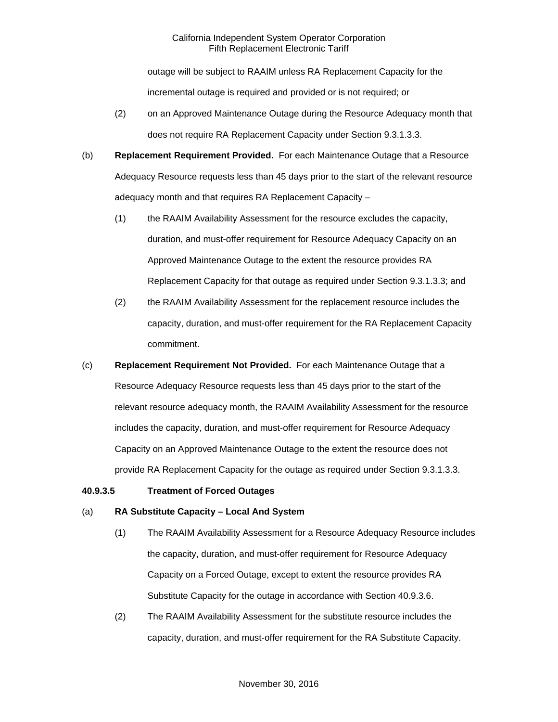outage will be subject to RAAIM unless RA Replacement Capacity for the incremental outage is required and provided or is not required; or

- (2) on an Approved Maintenance Outage during the Resource Adequacy month that does not require RA Replacement Capacity under Section 9.3.1.3.3.
- (b) **Replacement Requirement Provided.** For each Maintenance Outage that a Resource Adequacy Resource requests less than 45 days prior to the start of the relevant resource adequacy month and that requires RA Replacement Capacity –
	- (1) the RAAIM Availability Assessment for the resource excludes the capacity, duration, and must-offer requirement for Resource Adequacy Capacity on an Approved Maintenance Outage to the extent the resource provides RA Replacement Capacity for that outage as required under Section 9.3.1.3.3; and
	- (2) the RAAIM Availability Assessment for the replacement resource includes the capacity, duration, and must-offer requirement for the RA Replacement Capacity commitment.
- (c) **Replacement Requirement Not Provided.** For each Maintenance Outage that a Resource Adequacy Resource requests less than 45 days prior to the start of the relevant resource adequacy month, the RAAIM Availability Assessment for the resource includes the capacity, duration, and must-offer requirement for Resource Adequacy Capacity on an Approved Maintenance Outage to the extent the resource does not provide RA Replacement Capacity for the outage as required under Section 9.3.1.3.3.

#### **40.9.3.5 Treatment of Forced Outages**

#### (a) **RA Substitute Capacity – Local And System**

- (1) The RAAIM Availability Assessment for a Resource Adequacy Resource includes the capacity, duration, and must-offer requirement for Resource Adequacy Capacity on a Forced Outage, except to extent the resource provides RA Substitute Capacity for the outage in accordance with Section 40.9.3.6.
- (2) The RAAIM Availability Assessment for the substitute resource includes the capacity, duration, and must-offer requirement for the RA Substitute Capacity.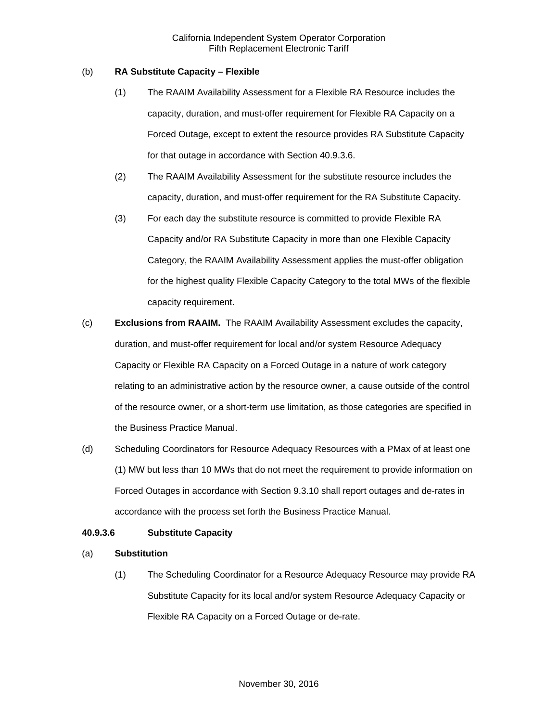## (b) **RA Substitute Capacity – Flexible**

- (1) The RAAIM Availability Assessment for a Flexible RA Resource includes the capacity, duration, and must-offer requirement for Flexible RA Capacity on a Forced Outage, except to extent the resource provides RA Substitute Capacity for that outage in accordance with Section 40.9.3.6.
- (2) The RAAIM Availability Assessment for the substitute resource includes the capacity, duration, and must-offer requirement for the RA Substitute Capacity.
- (3) For each day the substitute resource is committed to provide Flexible RA Capacity and/or RA Substitute Capacity in more than one Flexible Capacity Category, the RAAIM Availability Assessment applies the must-offer obligation for the highest quality Flexible Capacity Category to the total MWs of the flexible capacity requirement.
- (c) **Exclusions from RAAIM.** The RAAIM Availability Assessment excludes the capacity, duration, and must-offer requirement for local and/or system Resource Adequacy Capacity or Flexible RA Capacity on a Forced Outage in a nature of work category relating to an administrative action by the resource owner, a cause outside of the control of the resource owner, or a short-term use limitation, as those categories are specified in the Business Practice Manual.
- (d) Scheduling Coordinators for Resource Adequacy Resources with a PMax of at least one (1) MW but less than 10 MWs that do not meet the requirement to provide information on Forced Outages in accordance with Section 9.3.10 shall report outages and de-rates in accordance with the process set forth the Business Practice Manual.

# **40.9.3.6 Substitute Capacity**

# (a) **Substitution**

(1) The Scheduling Coordinator for a Resource Adequacy Resource may provide RA Substitute Capacity for its local and/or system Resource Adequacy Capacity or Flexible RA Capacity on a Forced Outage or de-rate.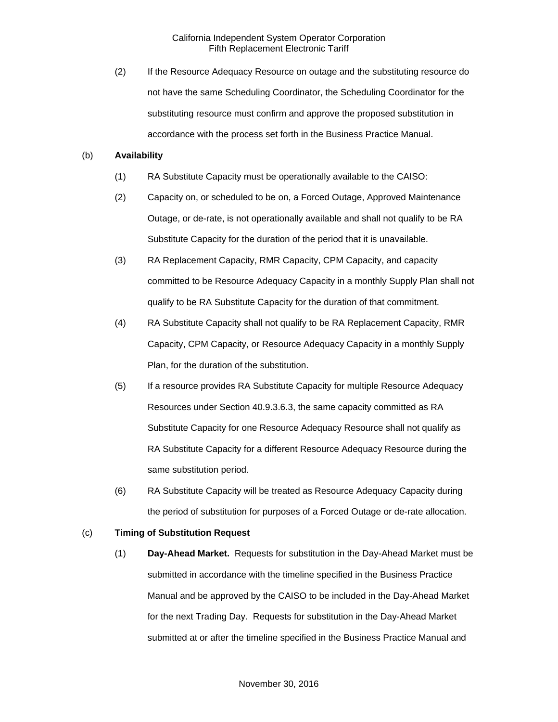(2) If the Resource Adequacy Resource on outage and the substituting resource do not have the same Scheduling Coordinator, the Scheduling Coordinator for the substituting resource must confirm and approve the proposed substitution in accordance with the process set forth in the Business Practice Manual.

### (b) **Availability**

- (1) RA Substitute Capacity must be operationally available to the CAISO:
- (2) Capacity on, or scheduled to be on, a Forced Outage, Approved Maintenance Outage, or de-rate, is not operationally available and shall not qualify to be RA Substitute Capacity for the duration of the period that it is unavailable.
- (3) RA Replacement Capacity, RMR Capacity, CPM Capacity, and capacity committed to be Resource Adequacy Capacity in a monthly Supply Plan shall not qualify to be RA Substitute Capacity for the duration of that commitment.
- (4) RA Substitute Capacity shall not qualify to be RA Replacement Capacity, RMR Capacity, CPM Capacity, or Resource Adequacy Capacity in a monthly Supply Plan, for the duration of the substitution.
- (5) If a resource provides RA Substitute Capacity for multiple Resource Adequacy Resources under Section 40.9.3.6.3, the same capacity committed as RA Substitute Capacity for one Resource Adequacy Resource shall not qualify as RA Substitute Capacity for a different Resource Adequacy Resource during the same substitution period.
- (6) RA Substitute Capacity will be treated as Resource Adequacy Capacity during the period of substitution for purposes of a Forced Outage or de-rate allocation.

### (c) **Timing of Substitution Request**

(1) **Day-Ahead Market.** Requests for substitution in the Day-Ahead Market must be submitted in accordance with the timeline specified in the Business Practice Manual and be approved by the CAISO to be included in the Day-Ahead Market for the next Trading Day. Requests for substitution in the Day-Ahead Market submitted at or after the timeline specified in the Business Practice Manual and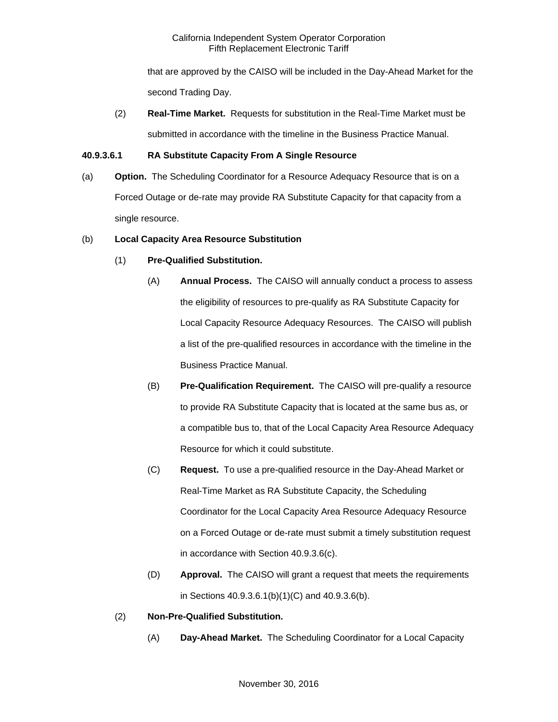that are approved by the CAISO will be included in the Day-Ahead Market for the second Trading Day.

(2) **Real-Time Market.** Requests for substitution in the Real-Time Market must be submitted in accordance with the timeline in the Business Practice Manual.

# **40.9.3.6.1 RA Substitute Capacity From A Single Resource**

(a) **Option.** The Scheduling Coordinator for a Resource Adequacy Resource that is on a Forced Outage or de-rate may provide RA Substitute Capacity for that capacity from a single resource.

# (b) **Local Capacity Area Resource Substitution**

# (1) **Pre-Qualified Substitution.**

- (A) **Annual Process.** The CAISO will annually conduct a process to assess the eligibility of resources to pre-qualify as RA Substitute Capacity for Local Capacity Resource Adequacy Resources. The CAISO will publish a list of the pre-qualified resources in accordance with the timeline in the Business Practice Manual.
- (B) **Pre-Qualification Requirement.** The CAISO will pre-qualify a resource to provide RA Substitute Capacity that is located at the same bus as, or a compatible bus to, that of the Local Capacity Area Resource Adequacy Resource for which it could substitute.
- (C) **Request.** To use a pre-qualified resource in the Day-Ahead Market or Real-Time Market as RA Substitute Capacity, the Scheduling Coordinator for the Local Capacity Area Resource Adequacy Resource on a Forced Outage or de-rate must submit a timely substitution request in accordance with Section 40.9.3.6(c).
- (D) **Approval.** The CAISO will grant a request that meets the requirements in Sections 40.9.3.6.1(b)(1)(C) and 40.9.3.6(b).
- (2) **Non-Pre-Qualified Substitution.** 
	- (A) **Day-Ahead Market.** The Scheduling Coordinator for a Local Capacity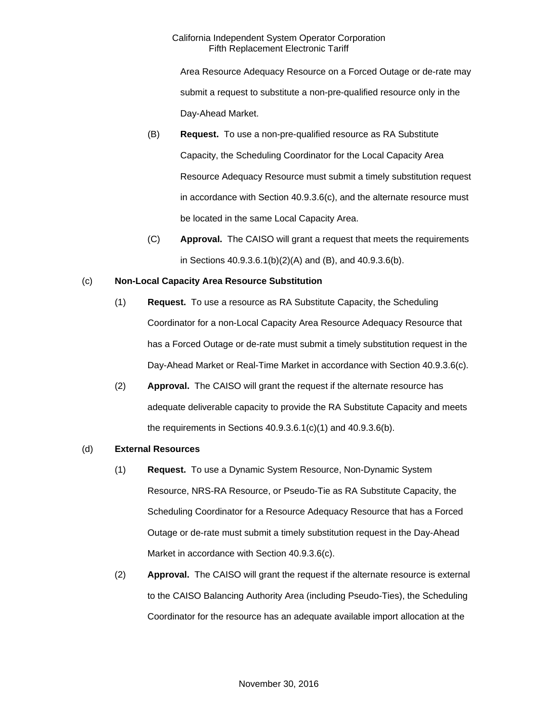Area Resource Adequacy Resource on a Forced Outage or de-rate may submit a request to substitute a non-pre-qualified resource only in the Day-Ahead Market.

- (B) **Request.** To use a non-pre-qualified resource as RA Substitute Capacity, the Scheduling Coordinator for the Local Capacity Area Resource Adequacy Resource must submit a timely substitution request in accordance with Section 40.9.3.6(c), and the alternate resource must be located in the same Local Capacity Area.
- (C) **Approval.** The CAISO will grant a request that meets the requirements in Sections 40.9.3.6.1(b)(2)(A) and (B), and 40.9.3.6(b).

# (c) **Non-Local Capacity Area Resource Substitution**

- (1) **Request.** To use a resource as RA Substitute Capacity, the Scheduling Coordinator for a non-Local Capacity Area Resource Adequacy Resource that has a Forced Outage or de-rate must submit a timely substitution request in the Day-Ahead Market or Real-Time Market in accordance with Section 40.9.3.6(c).
- (2) **Approval.** The CAISO will grant the request if the alternate resource has adequate deliverable capacity to provide the RA Substitute Capacity and meets the requirements in Sections 40.9.3.6.1(c)(1) and 40.9.3.6(b).

# (d) **External Resources**

- (1) **Request.** To use a Dynamic System Resource, Non-Dynamic System Resource, NRS-RA Resource, or Pseudo-Tie as RA Substitute Capacity, the Scheduling Coordinator for a Resource Adequacy Resource that has a Forced Outage or de-rate must submit a timely substitution request in the Day-Ahead Market in accordance with Section 40.9.3.6(c).
- (2) **Approval.** The CAISO will grant the request if the alternate resource is external to the CAISO Balancing Authority Area (including Pseudo-Ties), the Scheduling Coordinator for the resource has an adequate available import allocation at the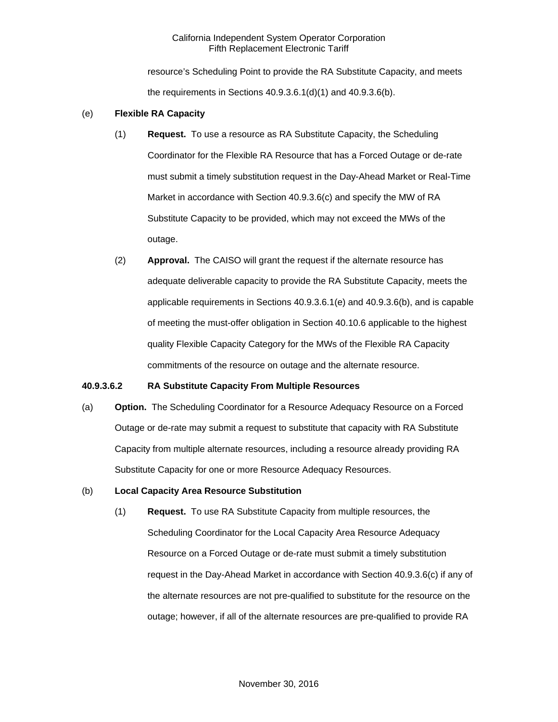resource's Scheduling Point to provide the RA Substitute Capacity, and meets the requirements in Sections 40.9.3.6.1(d)(1) and 40.9.3.6(b).

### (e) **Flexible RA Capacity**

- (1) **Request.** To use a resource as RA Substitute Capacity, the Scheduling Coordinator for the Flexible RA Resource that has a Forced Outage or de-rate must submit a timely substitution request in the Day-Ahead Market or Real-Time Market in accordance with Section 40.9.3.6(c) and specify the MW of RA Substitute Capacity to be provided, which may not exceed the MWs of the outage.
- (2) **Approval.** The CAISO will grant the request if the alternate resource has adequate deliverable capacity to provide the RA Substitute Capacity, meets the applicable requirements in Sections 40.9.3.6.1(e) and 40.9.3.6(b), and is capable of meeting the must-offer obligation in Section 40.10.6 applicable to the highest quality Flexible Capacity Category for the MWs of the Flexible RA Capacity commitments of the resource on outage and the alternate resource.

### **40.9.3.6.2 RA Substitute Capacity From Multiple Resources**

(a) **Option.** The Scheduling Coordinator for a Resource Adequacy Resource on a Forced Outage or de-rate may submit a request to substitute that capacity with RA Substitute Capacity from multiple alternate resources, including a resource already providing RA Substitute Capacity for one or more Resource Adequacy Resources.

### (b) **Local Capacity Area Resource Substitution**

(1) **Request.** To use RA Substitute Capacity from multiple resources, the Scheduling Coordinator for the Local Capacity Area Resource Adequacy Resource on a Forced Outage or de-rate must submit a timely substitution request in the Day-Ahead Market in accordance with Section 40.9.3.6(c) if any of the alternate resources are not pre-qualified to substitute for the resource on the outage; however, if all of the alternate resources are pre-qualified to provide RA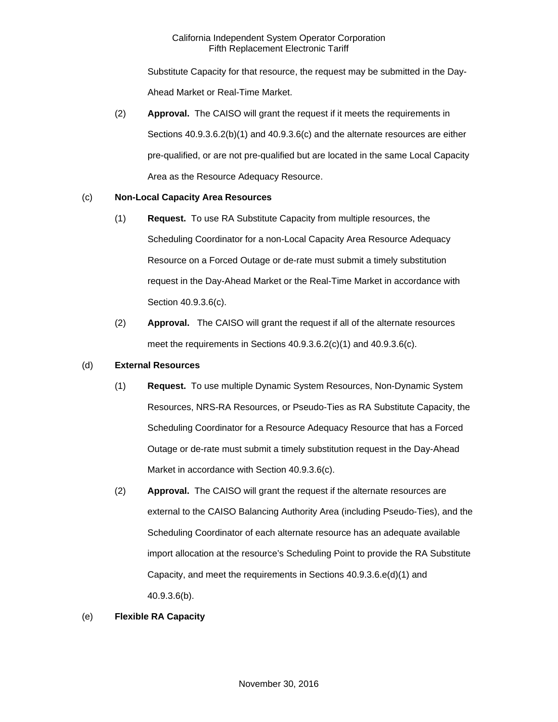Substitute Capacity for that resource, the request may be submitted in the Day-Ahead Market or Real-Time Market.

(2) **Approval.** The CAISO will grant the request if it meets the requirements in Sections 40.9.3.6.2(b)(1) and 40.9.3.6(c) and the alternate resources are either pre-qualified, or are not pre-qualified but are located in the same Local Capacity Area as the Resource Adequacy Resource.

# (c) **Non-Local Capacity Area Resources**

- (1) **Request.** To use RA Substitute Capacity from multiple resources, the Scheduling Coordinator for a non-Local Capacity Area Resource Adequacy Resource on a Forced Outage or de-rate must submit a timely substitution request in the Day-Ahead Market or the Real-Time Market in accordance with Section 40.9.3.6(c).
- (2) **Approval.** The CAISO will grant the request if all of the alternate resources meet the requirements in Sections 40.9.3.6.2(c)(1) and 40.9.3.6(c).

# (d) **External Resources**

- (1) **Request.** To use multiple Dynamic System Resources, Non-Dynamic System Resources, NRS-RA Resources, or Pseudo-Ties as RA Substitute Capacity, the Scheduling Coordinator for a Resource Adequacy Resource that has a Forced Outage or de-rate must submit a timely substitution request in the Day-Ahead Market in accordance with Section 40.9.3.6(c).
- (2) **Approval.** The CAISO will grant the request if the alternate resources are external to the CAISO Balancing Authority Area (including Pseudo-Ties), and the Scheduling Coordinator of each alternate resource has an adequate available import allocation at the resource's Scheduling Point to provide the RA Substitute Capacity, and meet the requirements in Sections 40.9.3.6.e(d)(1) and 40.9.3.6(b).

# (e) **Flexible RA Capacity**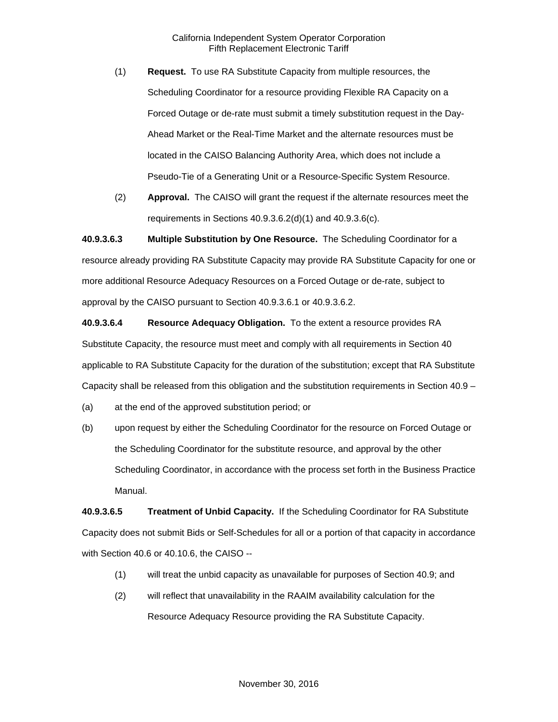- (1) **Request.** To use RA Substitute Capacity from multiple resources, the Scheduling Coordinator for a resource providing Flexible RA Capacity on a Forced Outage or de-rate must submit a timely substitution request in the Day-Ahead Market or the Real-Time Market and the alternate resources must be located in the CAISO Balancing Authority Area, which does not include a Pseudo-Tie of a Generating Unit or a Resource-Specific System Resource.
- (2) **Approval.** The CAISO will grant the request if the alternate resources meet the requirements in Sections 40.9.3.6.2(d)(1) and 40.9.3.6(c).

**40.9.3.6.3 Multiple Substitution by One Resource.** The Scheduling Coordinator for a resource already providing RA Substitute Capacity may provide RA Substitute Capacity for one or more additional Resource Adequacy Resources on a Forced Outage or de-rate, subject to approval by the CAISO pursuant to Section 40.9.3.6.1 or 40.9.3.6.2.

**40.9.3.6.4 Resource Adequacy Obligation.** To the extent a resource provides RA Substitute Capacity, the resource must meet and comply with all requirements in Section 40 applicable to RA Substitute Capacity for the duration of the substitution; except that RA Substitute Capacity shall be released from this obligation and the substitution requirements in Section 40.9 –

(a) at the end of the approved substitution period; or

(b) upon request by either the Scheduling Coordinator for the resource on Forced Outage or the Scheduling Coordinator for the substitute resource, and approval by the other Scheduling Coordinator, in accordance with the process set forth in the Business Practice Manual.

**40.9.3.6.5 Treatment of Unbid Capacity.** If the Scheduling Coordinator for RA Substitute Capacity does not submit Bids or Self-Schedules for all or a portion of that capacity in accordance with Section 40.6 or 40.10.6, the CAISO --

- (1) will treat the unbid capacity as unavailable for purposes of Section 40.9; and
- (2) will reflect that unavailability in the RAAIM availability calculation for the Resource Adequacy Resource providing the RA Substitute Capacity.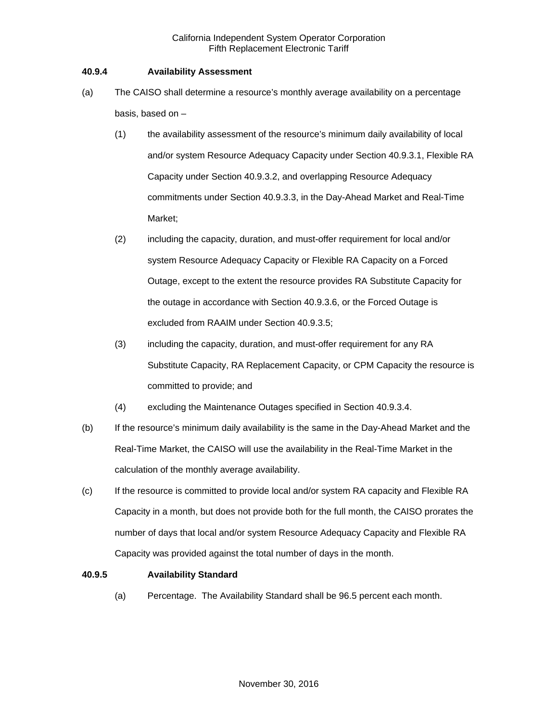### **40.9.4 Availability Assessment**

- (a) The CAISO shall determine a resource's monthly average availability on a percentage basis, based on –
	- (1) the availability assessment of the resource's minimum daily availability of local and/or system Resource Adequacy Capacity under Section 40.9.3.1, Flexible RA Capacity under Section 40.9.3.2, and overlapping Resource Adequacy commitments under Section 40.9.3.3, in the Day-Ahead Market and Real-Time Market;
	- (2) including the capacity, duration, and must-offer requirement for local and/or system Resource Adequacy Capacity or Flexible RA Capacity on a Forced Outage, except to the extent the resource provides RA Substitute Capacity for the outage in accordance with Section 40.9.3.6, or the Forced Outage is excluded from RAAIM under Section 40.9.3.5;
	- (3) including the capacity, duration, and must-offer requirement for any RA Substitute Capacity, RA Replacement Capacity, or CPM Capacity the resource is committed to provide; and
	- (4) excluding the Maintenance Outages specified in Section 40.9.3.4.
- (b) If the resource's minimum daily availability is the same in the Day-Ahead Market and the Real-Time Market, the CAISO will use the availability in the Real-Time Market in the calculation of the monthly average availability.
- (c) If the resource is committed to provide local and/or system RA capacity and Flexible RA Capacity in a month, but does not provide both for the full month, the CAISO prorates the number of days that local and/or system Resource Adequacy Capacity and Flexible RA Capacity was provided against the total number of days in the month.

# **40.9.5 Availability Standard**

(a) Percentage. The Availability Standard shall be 96.5 percent each month.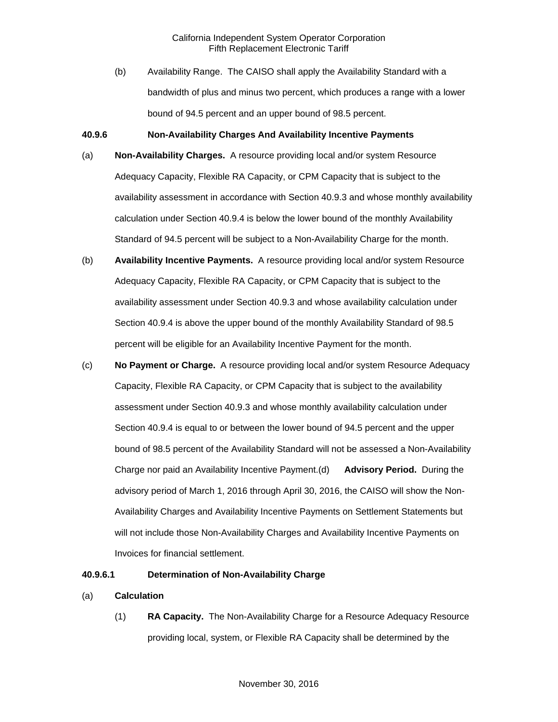(b) Availability Range. The CAISO shall apply the Availability Standard with a bandwidth of plus and minus two percent, which produces a range with a lower bound of 94.5 percent and an upper bound of 98.5 percent.

#### **40.9.6 Non-Availability Charges And Availability Incentive Payments**

- (a) **Non-Availability Charges.** A resource providing local and/or system Resource Adequacy Capacity, Flexible RA Capacity, or CPM Capacity that is subject to the availability assessment in accordance with Section 40.9.3 and whose monthly availability calculation under Section 40.9.4 is below the lower bound of the monthly Availability Standard of 94.5 percent will be subject to a Non-Availability Charge for the month.
- (b) **Availability Incentive Payments.** A resource providing local and/or system Resource Adequacy Capacity, Flexible RA Capacity, or CPM Capacity that is subject to the availability assessment under Section 40.9.3 and whose availability calculation under Section 40.9.4 is above the upper bound of the monthly Availability Standard of 98.5 percent will be eligible for an Availability Incentive Payment for the month.
- (c) **No Payment or Charge.** A resource providing local and/or system Resource Adequacy Capacity, Flexible RA Capacity, or CPM Capacity that is subject to the availability assessment under Section 40.9.3 and whose monthly availability calculation under Section 40.9.4 is equal to or between the lower bound of 94.5 percent and the upper bound of 98.5 percent of the Availability Standard will not be assessed a Non-Availability Charge nor paid an Availability Incentive Payment.(d) **Advisory Period.** During the advisory period of March 1, 2016 through April 30, 2016, the CAISO will show the Non-Availability Charges and Availability Incentive Payments on Settlement Statements but will not include those Non-Availability Charges and Availability Incentive Payments on Invoices for financial settlement.

#### **40.9.6.1 Determination of Non-Availability Charge**

- (a) **Calculation** 
	- (1) **RA Capacity.** The Non-Availability Charge for a Resource Adequacy Resource providing local, system, or Flexible RA Capacity shall be determined by the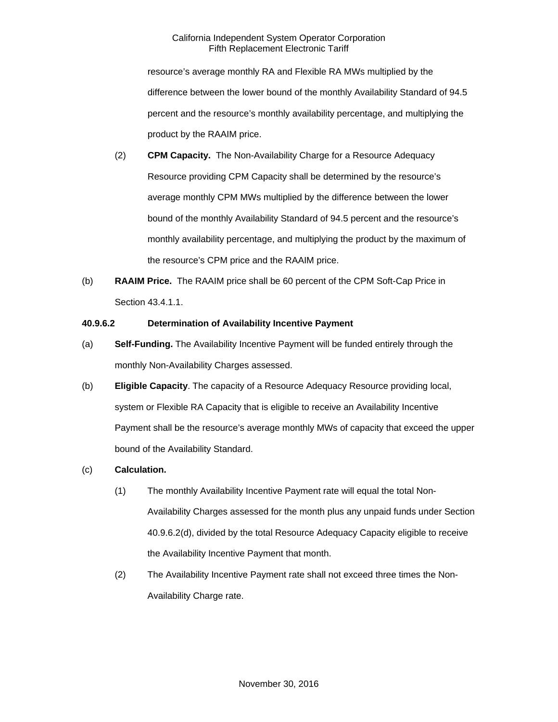resource's average monthly RA and Flexible RA MWs multiplied by the difference between the lower bound of the monthly Availability Standard of 94.5 percent and the resource's monthly availability percentage, and multiplying the product by the RAAIM price.

- (2) **CPM Capacity.** The Non-Availability Charge for a Resource Adequacy Resource providing CPM Capacity shall be determined by the resource's average monthly CPM MWs multiplied by the difference between the lower bound of the monthly Availability Standard of 94.5 percent and the resource's monthly availability percentage, and multiplying the product by the maximum of the resource's CPM price and the RAAIM price.
- (b) **RAAIM Price.** The RAAIM price shall be 60 percent of the CPM Soft-Cap Price in Section 43.4.1.1.

### **40.9.6.2 Determination of Availability Incentive Payment**

- (a) **Self-Funding.** The Availability Incentive Payment will be funded entirely through the monthly Non-Availability Charges assessed.
- (b) **Eligible Capacity**. The capacity of a Resource Adequacy Resource providing local, system or Flexible RA Capacity that is eligible to receive an Availability Incentive Payment shall be the resource's average monthly MWs of capacity that exceed the upper bound of the Availability Standard.
- (c) **Calculation.** 
	- (1) The monthly Availability Incentive Payment rate will equal the total Non-Availability Charges assessed for the month plus any unpaid funds under Section 40.9.6.2(d), divided by the total Resource Adequacy Capacity eligible to receive the Availability Incentive Payment that month.
	- (2) The Availability Incentive Payment rate shall not exceed three times the Non-Availability Charge rate.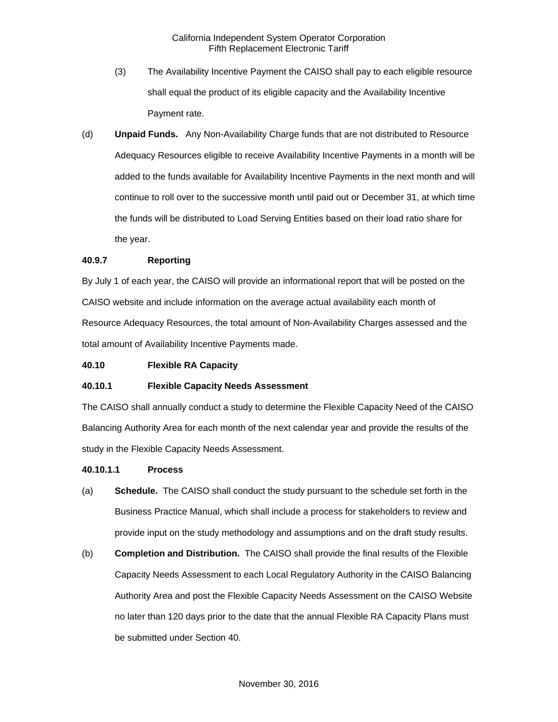- (3) The Availability Incentive Payment the CAISO shall pay to each eligible resource shall equal the product of its eligible capacity and the Availability Incentive Payment rate.
- (d) **Unpaid Funds.** Any Non-Availability Charge funds that are not distributed to Resource Adequacy Resources eligible to receive Availability Incentive Payments in a month will be added to the funds available for Availability Incentive Payments in the next month and will continue to roll over to the successive month until paid out or December 31, at which time the funds will be distributed to Load Serving Entities based on their load ratio share for the year.

#### **40.9.7 Reporting**

By July 1 of each year, the CAISO will provide an informational report that will be posted on the CAISO website and include information on the average actual availability each month of Resource Adequacy Resources, the total amount of Non-Availability Charges assessed and the total amount of Availability Incentive Payments made.

#### **40.10 Flexible RA Capacity**

#### **40.10.1 Flexible Capacity Needs Assessment**

The CAISO shall annually conduct a study to determine the Flexible Capacity Need of the CAISO Balancing Authority Area for each month of the next calendar year and provide the results of the study in the Flexible Capacity Needs Assessment.

#### **40.10.1.1 Process**

- (a) **Schedule.** The CAISO shall conduct the study pursuant to the schedule set forth in the Business Practice Manual, which shall include a process for stakeholders to review and provide input on the study methodology and assumptions and on the draft study results.
- (b) **Completion and Distribution.** The CAISO shall provide the final results of the Flexible Capacity Needs Assessment to each Local Regulatory Authority in the CAISO Balancing Authority Area and post the Flexible Capacity Needs Assessment on the CAISO Website no later than 120 days prior to the date that the annual Flexible RA Capacity Plans must be submitted under Section 40.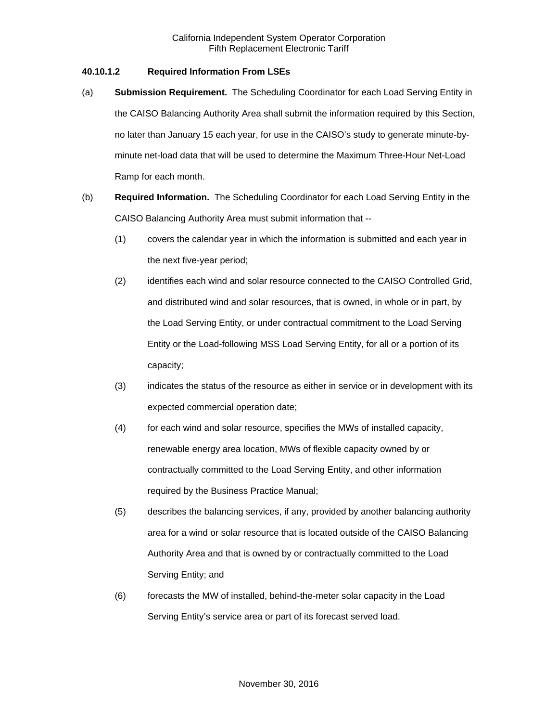### **40.10.1.2 Required Information From LSEs**

- (a) **Submission Requirement.** The Scheduling Coordinator for each Load Serving Entity in the CAISO Balancing Authority Area shall submit the information required by this Section, no later than January 15 each year, for use in the CAISO's study to generate minute-byminute net-load data that will be used to determine the Maximum Three-Hour Net-Load Ramp for each month.
- (b) **Required Information.** The Scheduling Coordinator for each Load Serving Entity in the CAISO Balancing Authority Area must submit information that --
	- (1) covers the calendar year in which the information is submitted and each year in the next five-year period;
	- (2) identifies each wind and solar resource connected to the CAISO Controlled Grid, and distributed wind and solar resources, that is owned, in whole or in part, by the Load Serving Entity, or under contractual commitment to the Load Serving Entity or the Load-following MSS Load Serving Entity, for all or a portion of its capacity;
	- (3) indicates the status of the resource as either in service or in development with its expected commercial operation date;
	- (4) for each wind and solar resource, specifies the MWs of installed capacity, renewable energy area location, MWs of flexible capacity owned by or contractually committed to the Load Serving Entity, and other information required by the Business Practice Manual;
	- (5) describes the balancing services, if any, provided by another balancing authority area for a wind or solar resource that is located outside of the CAISO Balancing Authority Area and that is owned by or contractually committed to the Load Serving Entity; and
	- (6) forecasts the MW of installed, behind-the-meter solar capacity in the Load Serving Entity's service area or part of its forecast served load.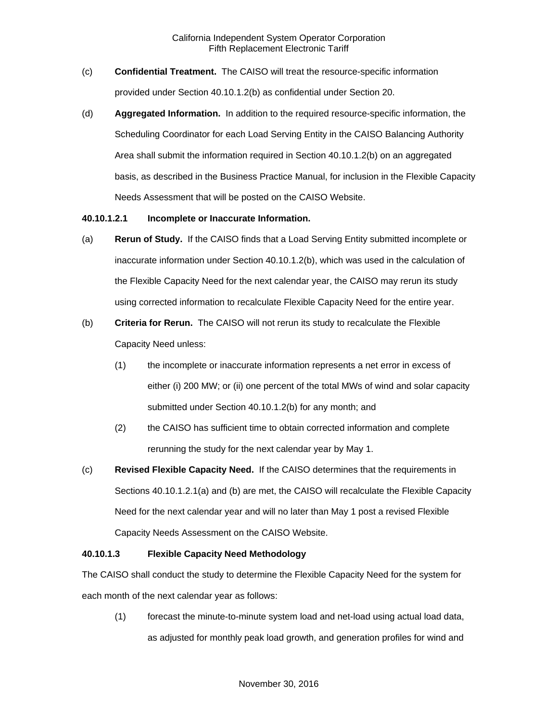- (c) **Confidential Treatment.** The CAISO will treat the resource-specific information provided under Section 40.10.1.2(b) as confidential under Section 20.
- (d) **Aggregated Information.** In addition to the required resource-specific information, the Scheduling Coordinator for each Load Serving Entity in the CAISO Balancing Authority Area shall submit the information required in Section 40.10.1.2(b) on an aggregated basis, as described in the Business Practice Manual, for inclusion in the Flexible Capacity Needs Assessment that will be posted on the CAISO Website.

#### **40.10.1.2.1 Incomplete or Inaccurate Information.**

- (a) **Rerun of Study.** If the CAISO finds that a Load Serving Entity submitted incomplete or inaccurate information under Section 40.10.1.2(b), which was used in the calculation of the Flexible Capacity Need for the next calendar year, the CAISO may rerun its study using corrected information to recalculate Flexible Capacity Need for the entire year.
- (b) **Criteria for Rerun.** The CAISO will not rerun its study to recalculate the Flexible Capacity Need unless:
	- (1) the incomplete or inaccurate information represents a net error in excess of either (i) 200 MW; or (ii) one percent of the total MWs of wind and solar capacity submitted under Section 40.10.1.2(b) for any month; and
	- (2) the CAISO has sufficient time to obtain corrected information and complete rerunning the study for the next calendar year by May 1.
- (c) **Revised Flexible Capacity Need.** If the CAISO determines that the requirements in Sections 40.10.1.2.1(a) and (b) are met, the CAISO will recalculate the Flexible Capacity Need for the next calendar year and will no later than May 1 post a revised Flexible Capacity Needs Assessment on the CAISO Website.

### **40.10.1.3 Flexible Capacity Need Methodology**

The CAISO shall conduct the study to determine the Flexible Capacity Need for the system for each month of the next calendar year as follows:

(1) forecast the minute-to-minute system load and net-load using actual load data, as adjusted for monthly peak load growth, and generation profiles for wind and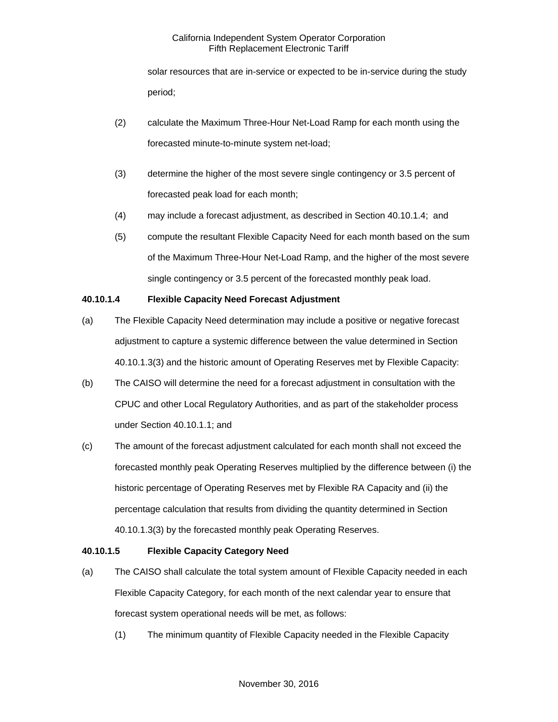solar resources that are in-service or expected to be in-service during the study period;

- (2) calculate the Maximum Three-Hour Net-Load Ramp for each month using the forecasted minute-to-minute system net-load;
- (3) determine the higher of the most severe single contingency or 3.5 percent of forecasted peak load for each month;
- (4) may include a forecast adjustment, as described in Section 40.10.1.4; and
- (5) compute the resultant Flexible Capacity Need for each month based on the sum of the Maximum Three-Hour Net-Load Ramp, and the higher of the most severe single contingency or 3.5 percent of the forecasted monthly peak load.

# **40.10.1.4 Flexible Capacity Need Forecast Adjustment**

- (a) The Flexible Capacity Need determination may include a positive or negative forecast adjustment to capture a systemic difference between the value determined in Section 40.10.1.3(3) and the historic amount of Operating Reserves met by Flexible Capacity:
- (b) The CAISO will determine the need for a forecast adjustment in consultation with the CPUC and other Local Regulatory Authorities, and as part of the stakeholder process under Section 40.10.1.1; and
- (c) The amount of the forecast adjustment calculated for each month shall not exceed the forecasted monthly peak Operating Reserves multiplied by the difference between (i) the historic percentage of Operating Reserves met by Flexible RA Capacity and (ii) the percentage calculation that results from dividing the quantity determined in Section 40.10.1.3(3) by the forecasted monthly peak Operating Reserves.

# **40.10.1.5 Flexible Capacity Category Need**

- (a) The CAISO shall calculate the total system amount of Flexible Capacity needed in each Flexible Capacity Category, for each month of the next calendar year to ensure that forecast system operational needs will be met, as follows:
	- (1) The minimum quantity of Flexible Capacity needed in the Flexible Capacity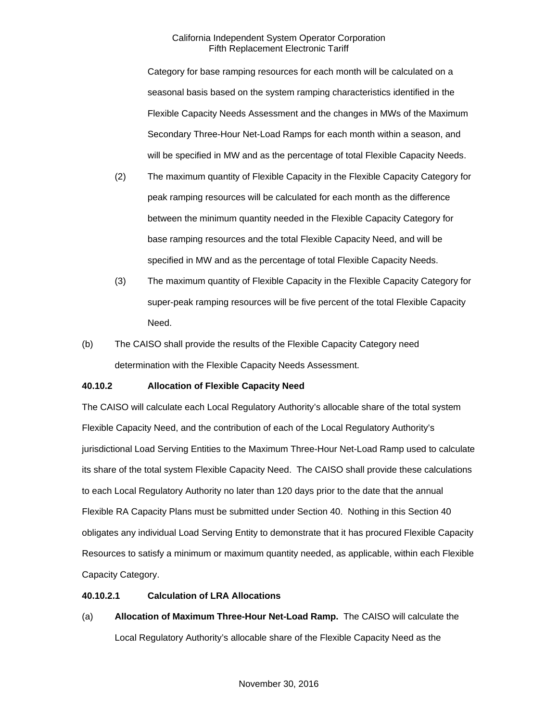Category for base ramping resources for each month will be calculated on a seasonal basis based on the system ramping characteristics identified in the Flexible Capacity Needs Assessment and the changes in MWs of the Maximum Secondary Three-Hour Net-Load Ramps for each month within a season, and will be specified in MW and as the percentage of total Flexible Capacity Needs.

- (2) The maximum quantity of Flexible Capacity in the Flexible Capacity Category for peak ramping resources will be calculated for each month as the difference between the minimum quantity needed in the Flexible Capacity Category for base ramping resources and the total Flexible Capacity Need, and will be specified in MW and as the percentage of total Flexible Capacity Needs.
- (3) The maximum quantity of Flexible Capacity in the Flexible Capacity Category for super-peak ramping resources will be five percent of the total Flexible Capacity Need.
- (b) The CAISO shall provide the results of the Flexible Capacity Category need determination with the Flexible Capacity Needs Assessment.

# **40.10.2 Allocation of Flexible Capacity Need**

The CAISO will calculate each Local Regulatory Authority's allocable share of the total system Flexible Capacity Need, and the contribution of each of the Local Regulatory Authority's jurisdictional Load Serving Entities to the Maximum Three-Hour Net-Load Ramp used to calculate its share of the total system Flexible Capacity Need. The CAISO shall provide these calculations to each Local Regulatory Authority no later than 120 days prior to the date that the annual Flexible RA Capacity Plans must be submitted under Section 40. Nothing in this Section 40 obligates any individual Load Serving Entity to demonstrate that it has procured Flexible Capacity Resources to satisfy a minimum or maximum quantity needed, as applicable, within each Flexible Capacity Category.

# **40.10.2.1 Calculation of LRA Allocations**

(a) **Allocation of Maximum Three-Hour Net-Load Ramp.** The CAISO will calculate the Local Regulatory Authority's allocable share of the Flexible Capacity Need as the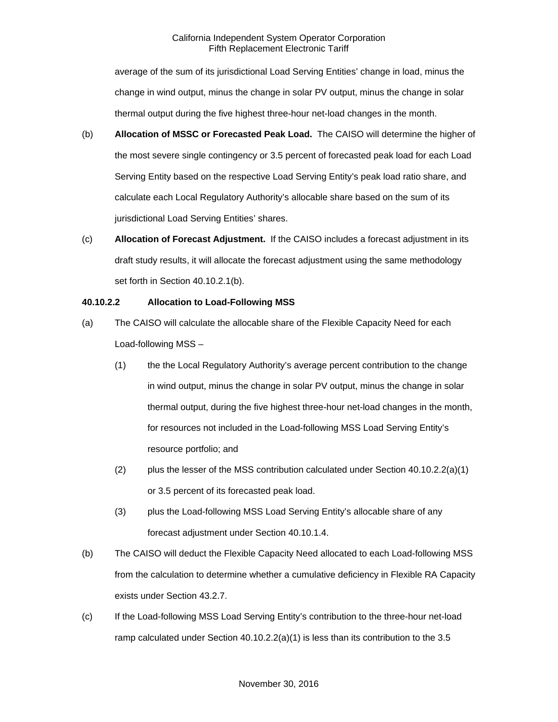average of the sum of its jurisdictional Load Serving Entities' change in load, minus the change in wind output, minus the change in solar PV output, minus the change in solar thermal output during the five highest three-hour net-load changes in the month.

- (b) **Allocation of MSSC or Forecasted Peak Load.** The CAISO will determine the higher of the most severe single contingency or 3.5 percent of forecasted peak load for each Load Serving Entity based on the respective Load Serving Entity's peak load ratio share, and calculate each Local Regulatory Authority's allocable share based on the sum of its jurisdictional Load Serving Entities' shares.
- (c) **Allocation of Forecast Adjustment.** If the CAISO includes a forecast adjustment in its draft study results, it will allocate the forecast adjustment using the same methodology set forth in Section 40.10.2.1(b).

### **40.10.2.2 Allocation to Load-Following MSS**

- (a) The CAISO will calculate the allocable share of the Flexible Capacity Need for each Load-following MSS –
	- (1) the the Local Regulatory Authority's average percent contribution to the change in wind output, minus the change in solar PV output, minus the change in solar thermal output, during the five highest three-hour net-load changes in the month, for resources not included in the Load-following MSS Load Serving Entity's resource portfolio; and
	- (2) plus the lesser of the MSS contribution calculated under Section  $40.10.2.2(a)(1)$ or 3.5 percent of its forecasted peak load.
	- (3) plus the Load-following MSS Load Serving Entity's allocable share of any forecast adjustment under Section 40.10.1.4.
- (b) The CAISO will deduct the Flexible Capacity Need allocated to each Load-following MSS from the calculation to determine whether a cumulative deficiency in Flexible RA Capacity exists under Section 43.2.7.
- (c) If the Load-following MSS Load Serving Entity's contribution to the three-hour net-load ramp calculated under Section  $40.10.2.2(a)(1)$  is less than its contribution to the 3.5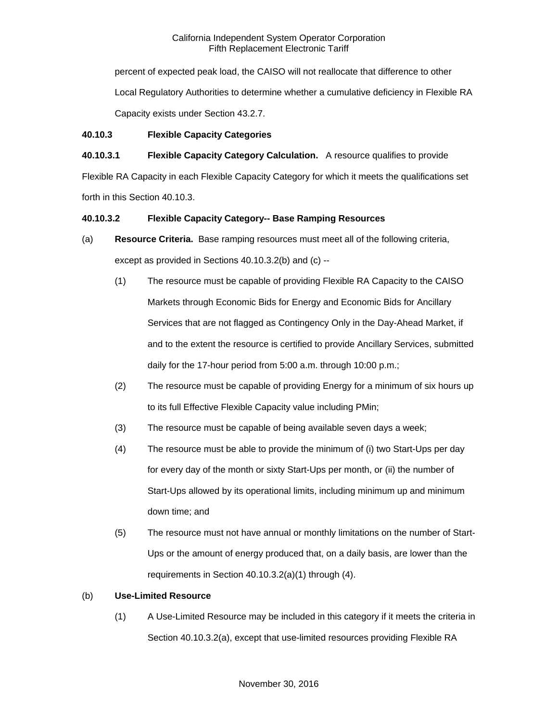percent of expected peak load, the CAISO will not reallocate that difference to other Local Regulatory Authorities to determine whether a cumulative deficiency in Flexible RA Capacity exists under Section 43.2.7.

### **40.10.3 Flexible Capacity Categories**

# **40.10.3.1 Flexible Capacity Category Calculation.** A resource qualifies to provide

Flexible RA Capacity in each Flexible Capacity Category for which it meets the qualifications set forth in this Section 40.10.3.

### **40.10.3.2 Flexible Capacity Category-- Base Ramping Resources**

- (a) **Resource Criteria.** Base ramping resources must meet all of the following criteria, except as provided in Sections 40.10.3.2(b) and (c) --
	- (1) The resource must be capable of providing Flexible RA Capacity to the CAISO Markets through Economic Bids for Energy and Economic Bids for Ancillary Services that are not flagged as Contingency Only in the Day-Ahead Market, if and to the extent the resource is certified to provide Ancillary Services, submitted daily for the 17-hour period from 5:00 a.m. through 10:00 p.m.;
	- (2) The resource must be capable of providing Energy for a minimum of six hours up to its full Effective Flexible Capacity value including PMin;
	- (3) The resource must be capable of being available seven days a week;
	- (4) The resource must be able to provide the minimum of (i) two Start-Ups per day for every day of the month or sixty Start-Ups per month, or (ii) the number of Start-Ups allowed by its operational limits, including minimum up and minimum down time; and
	- (5) The resource must not have annual or monthly limitations on the number of Start-Ups or the amount of energy produced that, on a daily basis, are lower than the requirements in Section 40.10.3.2(a)(1) through (4).

# (b) **Use-Limited Resource**

(1) A Use-Limited Resource may be included in this category if it meets the criteria in Section 40.10.3.2(a), except that use-limited resources providing Flexible RA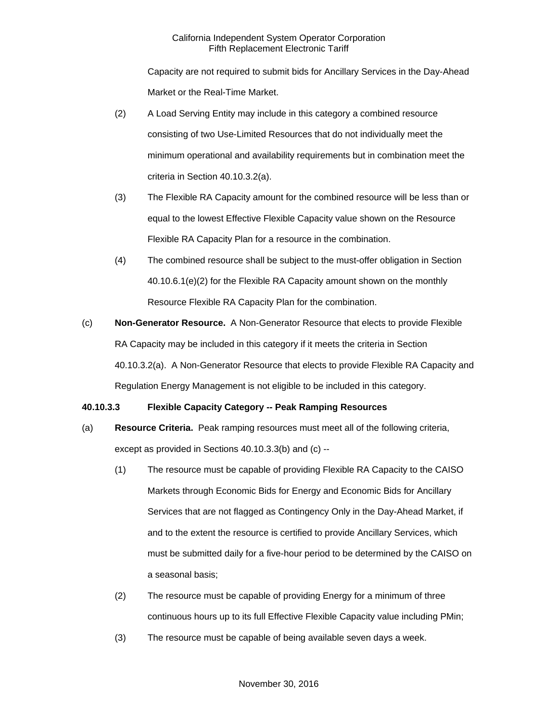Capacity are not required to submit bids for Ancillary Services in the Day-Ahead Market or the Real-Time Market.

- (2) A Load Serving Entity may include in this category a combined resource consisting of two Use-Limited Resources that do not individually meet the minimum operational and availability requirements but in combination meet the criteria in Section 40.10.3.2(a).
- (3) The Flexible RA Capacity amount for the combined resource will be less than or equal to the lowest Effective Flexible Capacity value shown on the Resource Flexible RA Capacity Plan for a resource in the combination.
- (4) The combined resource shall be subject to the must-offer obligation in Section 40.10.6.1(e)(2) for the Flexible RA Capacity amount shown on the monthly Resource Flexible RA Capacity Plan for the combination.
- (c) **Non-Generator Resource.** A Non-Generator Resource that elects to provide Flexible RA Capacity may be included in this category if it meets the criteria in Section 40.10.3.2(a). A Non-Generator Resource that elects to provide Flexible RA Capacity and Regulation Energy Management is not eligible to be included in this category.

# **40.10.3.3 Flexible Capacity Category -- Peak Ramping Resources**

- (a) **Resource Criteria.** Peak ramping resources must meet all of the following criteria, except as provided in Sections 40.10.3.3(b) and (c) --
	- (1) The resource must be capable of providing Flexible RA Capacity to the CAISO Markets through Economic Bids for Energy and Economic Bids for Ancillary Services that are not flagged as Contingency Only in the Day-Ahead Market, if and to the extent the resource is certified to provide Ancillary Services, which must be submitted daily for a five-hour period to be determined by the CAISO on a seasonal basis;
	- (2) The resource must be capable of providing Energy for a minimum of three continuous hours up to its full Effective Flexible Capacity value including PMin;
	- (3) The resource must be capable of being available seven days a week.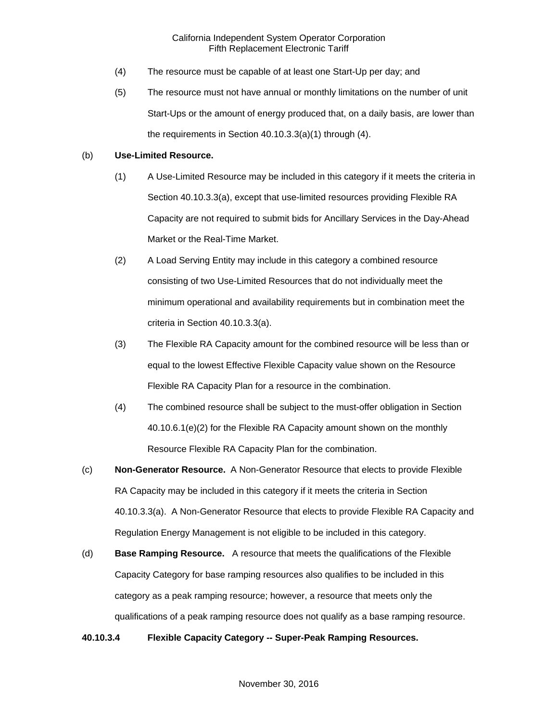- (4) The resource must be capable of at least one Start-Up per day; and
- (5) The resource must not have annual or monthly limitations on the number of unit Start-Ups or the amount of energy produced that, on a daily basis, are lower than the requirements in Section 40.10.3.3(a)(1) through (4).

### (b) **Use-Limited Resource.**

- (1) A Use-Limited Resource may be included in this category if it meets the criteria in Section 40.10.3.3(a), except that use-limited resources providing Flexible RA Capacity are not required to submit bids for Ancillary Services in the Day-Ahead Market or the Real-Time Market.
- (2) A Load Serving Entity may include in this category a combined resource consisting of two Use-Limited Resources that do not individually meet the minimum operational and availability requirements but in combination meet the criteria in Section 40.10.3.3(a).
- (3) The Flexible RA Capacity amount for the combined resource will be less than or equal to the lowest Effective Flexible Capacity value shown on the Resource Flexible RA Capacity Plan for a resource in the combination.
- (4) The combined resource shall be subject to the must-offer obligation in Section 40.10.6.1(e)(2) for the Flexible RA Capacity amount shown on the monthly Resource Flexible RA Capacity Plan for the combination.
- (c) **Non-Generator Resource.** A Non-Generator Resource that elects to provide Flexible RA Capacity may be included in this category if it meets the criteria in Section 40.10.3.3(a). A Non-Generator Resource that elects to provide Flexible RA Capacity and Regulation Energy Management is not eligible to be included in this category.
- (d) **Base Ramping Resource.** A resource that meets the qualifications of the Flexible Capacity Category for base ramping resources also qualifies to be included in this category as a peak ramping resource; however, a resource that meets only the qualifications of a peak ramping resource does not qualify as a base ramping resource.

### **40.10.3.4 Flexible Capacity Category -- Super-Peak Ramping Resources.**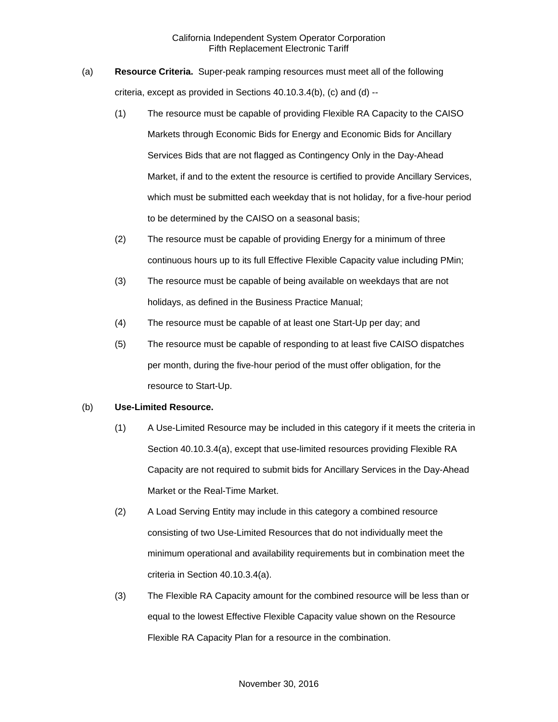- (a) **Resource Criteria.** Super-peak ramping resources must meet all of the following criteria, except as provided in Sections 40.10.3.4(b), (c) and (d) --
	- (1) The resource must be capable of providing Flexible RA Capacity to the CAISO Markets through Economic Bids for Energy and Economic Bids for Ancillary Services Bids that are not flagged as Contingency Only in the Day-Ahead Market, if and to the extent the resource is certified to provide Ancillary Services, which must be submitted each weekday that is not holiday, for a five-hour period to be determined by the CAISO on a seasonal basis;
	- (2) The resource must be capable of providing Energy for a minimum of three continuous hours up to its full Effective Flexible Capacity value including PMin;
	- (3) The resource must be capable of being available on weekdays that are not holidays, as defined in the Business Practice Manual;
	- (4) The resource must be capable of at least one Start-Up per day; and
	- (5) The resource must be capable of responding to at least five CAISO dispatches per month, during the five-hour period of the must offer obligation, for the resource to Start-Up.

### (b) **Use-Limited Resource.**

- (1) A Use-Limited Resource may be included in this category if it meets the criteria in Section 40.10.3.4(a), except that use-limited resources providing Flexible RA Capacity are not required to submit bids for Ancillary Services in the Day-Ahead Market or the Real-Time Market.
- (2) A Load Serving Entity may include in this category a combined resource consisting of two Use-Limited Resources that do not individually meet the minimum operational and availability requirements but in combination meet the criteria in Section 40.10.3.4(a).
- (3) The Flexible RA Capacity amount for the combined resource will be less than or equal to the lowest Effective Flexible Capacity value shown on the Resource Flexible RA Capacity Plan for a resource in the combination.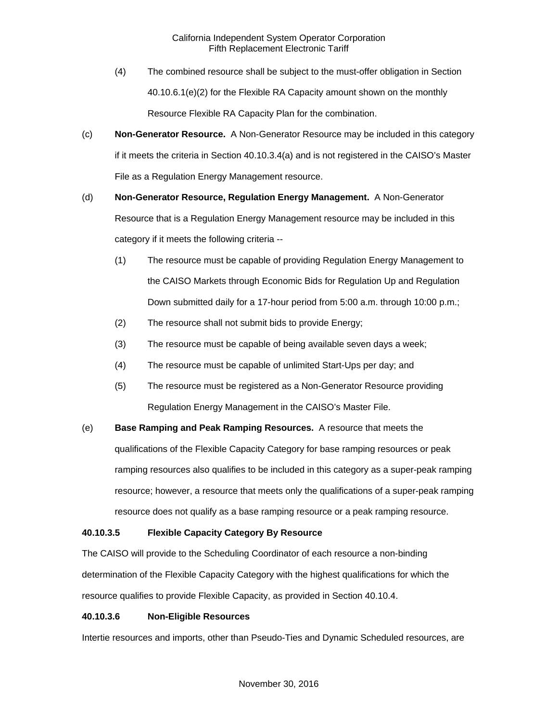- (4) The combined resource shall be subject to the must-offer obligation in Section 40.10.6.1(e)(2) for the Flexible RA Capacity amount shown on the monthly Resource Flexible RA Capacity Plan for the combination.
- (c) **Non-Generator Resource.** A Non-Generator Resource may be included in this category if it meets the criteria in Section 40.10.3.4(a) and is not registered in the CAISO's Master File as a Regulation Energy Management resource.
- (d) **Non-Generator Resource, Regulation Energy Management.** A Non-Generator Resource that is a Regulation Energy Management resource may be included in this category if it meets the following criteria --
	- (1) The resource must be capable of providing Regulation Energy Management to the CAISO Markets through Economic Bids for Regulation Up and Regulation Down submitted daily for a 17-hour period from 5:00 a.m. through 10:00 p.m.;
	- (2) The resource shall not submit bids to provide Energy;
	- (3) The resource must be capable of being available seven days a week;
	- (4) The resource must be capable of unlimited Start-Ups per day; and
	- (5) The resource must be registered as a Non-Generator Resource providing Regulation Energy Management in the CAISO's Master File.
- (e) **Base Ramping and Peak Ramping Resources.** A resource that meets the qualifications of the Flexible Capacity Category for base ramping resources or peak ramping resources also qualifies to be included in this category as a super-peak ramping resource; however, a resource that meets only the qualifications of a super-peak ramping resource does not qualify as a base ramping resource or a peak ramping resource.

# **40.10.3.5 Flexible Capacity Category By Resource**

The CAISO will provide to the Scheduling Coordinator of each resource a non-binding determination of the Flexible Capacity Category with the highest qualifications for which the resource qualifies to provide Flexible Capacity, as provided in Section 40.10.4.

# **40.10.3.6 Non-Eligible Resources**

Intertie resources and imports, other than Pseudo-Ties and Dynamic Scheduled resources, are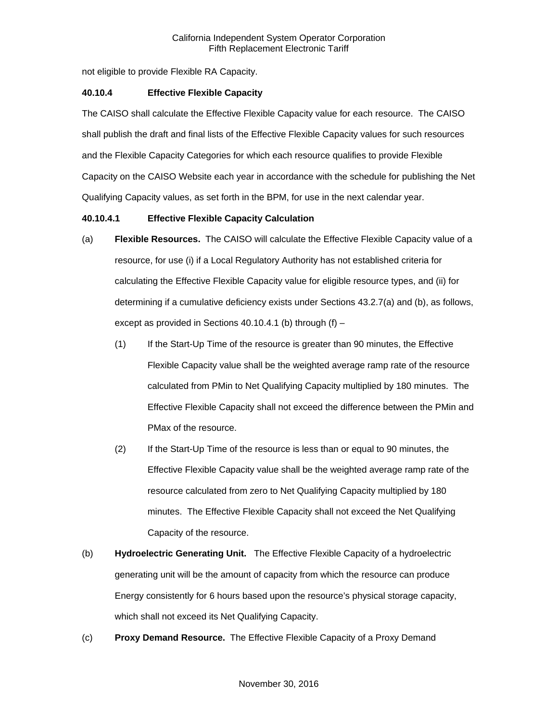not eligible to provide Flexible RA Capacity.

### **40.10.4 Effective Flexible Capacity**

The CAISO shall calculate the Effective Flexible Capacity value for each resource. The CAISO shall publish the draft and final lists of the Effective Flexible Capacity values for such resources and the Flexible Capacity Categories for which each resource qualifies to provide Flexible Capacity on the CAISO Website each year in accordance with the schedule for publishing the Net Qualifying Capacity values, as set forth in the BPM, for use in the next calendar year.

### **40.10.4.1 Effective Flexible Capacity Calculation**

- (a) **Flexible Resources.** The CAISO will calculate the Effective Flexible Capacity value of a resource, for use (i) if a Local Regulatory Authority has not established criteria for calculating the Effective Flexible Capacity value for eligible resource types, and (ii) for determining if a cumulative deficiency exists under Sections 43.2.7(a) and (b), as follows, except as provided in Sections 40.10.4.1 (b) through  $(f)$  -
	- (1) If the Start-Up Time of the resource is greater than 90 minutes, the Effective Flexible Capacity value shall be the weighted average ramp rate of the resource calculated from PMin to Net Qualifying Capacity multiplied by 180 minutes. The Effective Flexible Capacity shall not exceed the difference between the PMin and PMax of the resource.
	- (2) If the Start-Up Time of the resource is less than or equal to 90 minutes, the Effective Flexible Capacity value shall be the weighted average ramp rate of the resource calculated from zero to Net Qualifying Capacity multiplied by 180 minutes. The Effective Flexible Capacity shall not exceed the Net Qualifying Capacity of the resource.
- (b) **Hydroelectric Generating Unit.** The Effective Flexible Capacity of a hydroelectric generating unit will be the amount of capacity from which the resource can produce Energy consistently for 6 hours based upon the resource's physical storage capacity, which shall not exceed its Net Qualifying Capacity.
- (c) **Proxy Demand Resource.** The Effective Flexible Capacity of a Proxy Demand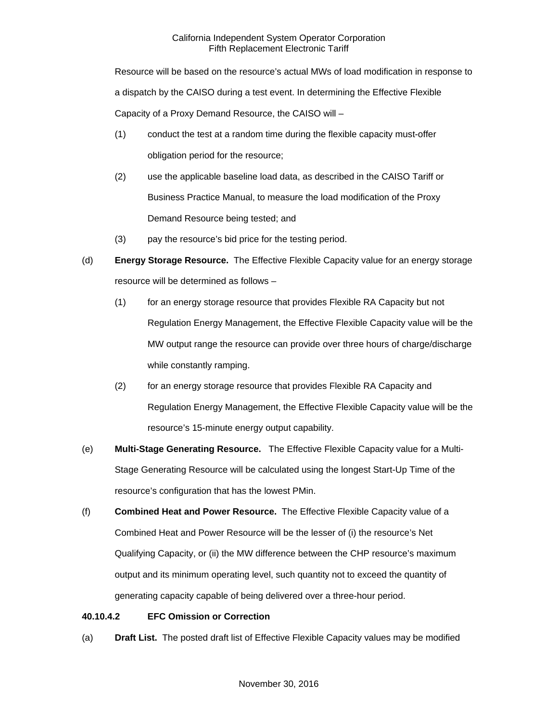Resource will be based on the resource's actual MWs of load modification in response to a dispatch by the CAISO during a test event. In determining the Effective Flexible Capacity of a Proxy Demand Resource, the CAISO will –

- (1) conduct the test at a random time during the flexible capacity must-offer obligation period for the resource;
- (2) use the applicable baseline load data, as described in the CAISO Tariff or Business Practice Manual, to measure the load modification of the Proxy Demand Resource being tested; and
- (3) pay the resource's bid price for the testing period.
- (d) **Energy Storage Resource.** The Effective Flexible Capacity value for an energy storage resource will be determined as follows –
	- (1) for an energy storage resource that provides Flexible RA Capacity but not Regulation Energy Management, the Effective Flexible Capacity value will be the MW output range the resource can provide over three hours of charge/discharge while constantly ramping.
	- (2) for an energy storage resource that provides Flexible RA Capacity and Regulation Energy Management, the Effective Flexible Capacity value will be the resource's 15-minute energy output capability.
- (e) **Multi-Stage Generating Resource.** The Effective Flexible Capacity value for a Multi-Stage Generating Resource will be calculated using the longest Start-Up Time of the resource's configuration that has the lowest PMin.
- (f) **Combined Heat and Power Resource.** The Effective Flexible Capacity value of a Combined Heat and Power Resource will be the lesser of (i) the resource's Net Qualifying Capacity, or (ii) the MW difference between the CHP resource's maximum output and its minimum operating level, such quantity not to exceed the quantity of generating capacity capable of being delivered over a three-hour period.

# **40.10.4.2 EFC Omission or Correction**

(a) **Draft List.** The posted draft list of Effective Flexible Capacity values may be modified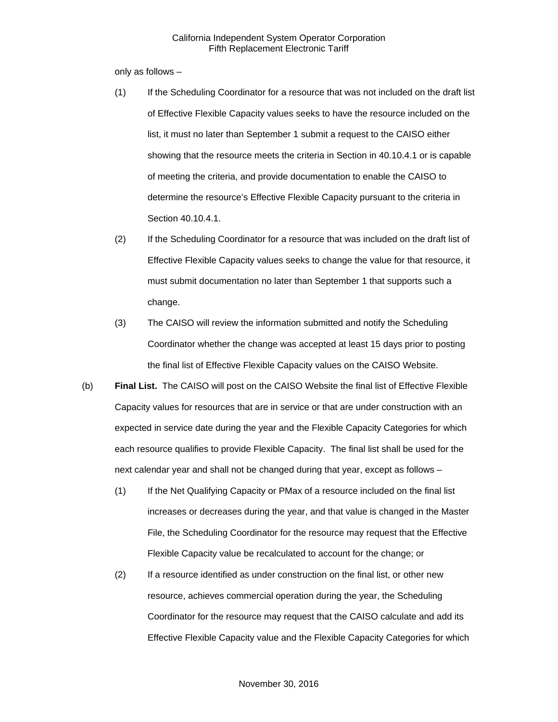only as follows –

- (1) If the Scheduling Coordinator for a resource that was not included on the draft list of Effective Flexible Capacity values seeks to have the resource included on the list, it must no later than September 1 submit a request to the CAISO either showing that the resource meets the criteria in Section in 40.10.4.1 or is capable of meeting the criteria, and provide documentation to enable the CAISO to determine the resource's Effective Flexible Capacity pursuant to the criteria in Section 40.10.4.1.
- (2) If the Scheduling Coordinator for a resource that was included on the draft list of Effective Flexible Capacity values seeks to change the value for that resource, it must submit documentation no later than September 1 that supports such a change.
- (3) The CAISO will review the information submitted and notify the Scheduling Coordinator whether the change was accepted at least 15 days prior to posting the final list of Effective Flexible Capacity values on the CAISO Website.
- (b) **Final List.** The CAISO will post on the CAISO Website the final list of Effective Flexible Capacity values for resources that are in service or that are under construction with an expected in service date during the year and the Flexible Capacity Categories for which each resource qualifies to provide Flexible Capacity. The final list shall be used for the next calendar year and shall not be changed during that year, except as follows –
	- (1) If the Net Qualifying Capacity or PMax of a resource included on the final list increases or decreases during the year, and that value is changed in the Master File, the Scheduling Coordinator for the resource may request that the Effective Flexible Capacity value be recalculated to account for the change; or
	- (2) If a resource identified as under construction on the final list, or other new resource, achieves commercial operation during the year, the Scheduling Coordinator for the resource may request that the CAISO calculate and add its Effective Flexible Capacity value and the Flexible Capacity Categories for which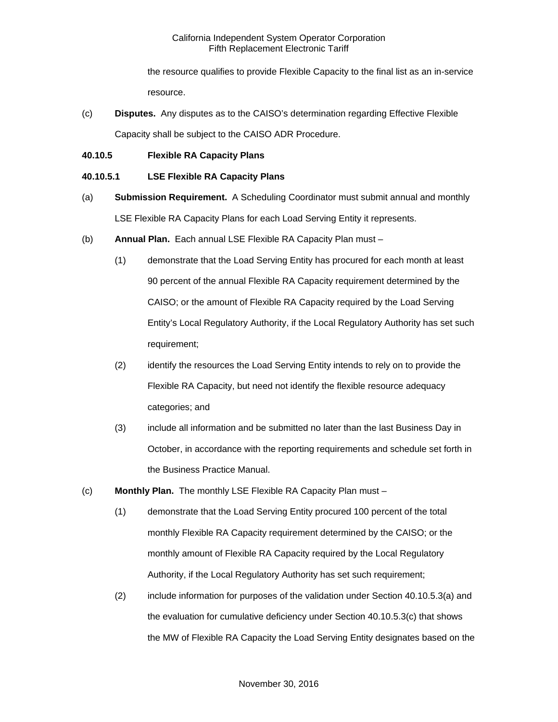the resource qualifies to provide Flexible Capacity to the final list as an in-service resource.

- (c) **Disputes.** Any disputes as to the CAISO's determination regarding Effective Flexible Capacity shall be subject to the CAISO ADR Procedure.
- **40.10.5 Flexible RA Capacity Plans**

### **40.10.5.1 LSE Flexible RA Capacity Plans**

- (a) **Submission Requirement.** A Scheduling Coordinator must submit annual and monthly LSE Flexible RA Capacity Plans for each Load Serving Entity it represents.
- (b) **Annual Plan.** Each annual LSE Flexible RA Capacity Plan must
	- (1) demonstrate that the Load Serving Entity has procured for each month at least 90 percent of the annual Flexible RA Capacity requirement determined by the CAISO; or the amount of Flexible RA Capacity required by the Load Serving Entity's Local Regulatory Authority, if the Local Regulatory Authority has set such requirement;
	- (2) identify the resources the Load Serving Entity intends to rely on to provide the Flexible RA Capacity, but need not identify the flexible resource adequacy categories; and
	- (3) include all information and be submitted no later than the last Business Day in October, in accordance with the reporting requirements and schedule set forth in the Business Practice Manual.
- (c) **Monthly Plan.** The monthly LSE Flexible RA Capacity Plan must
	- (1) demonstrate that the Load Serving Entity procured 100 percent of the total monthly Flexible RA Capacity requirement determined by the CAISO; or the monthly amount of Flexible RA Capacity required by the Local Regulatory Authority, if the Local Regulatory Authority has set such requirement;
	- (2) include information for purposes of the validation under Section 40.10.5.3(a) and the evaluation for cumulative deficiency under Section 40.10.5.3(c) that shows the MW of Flexible RA Capacity the Load Serving Entity designates based on the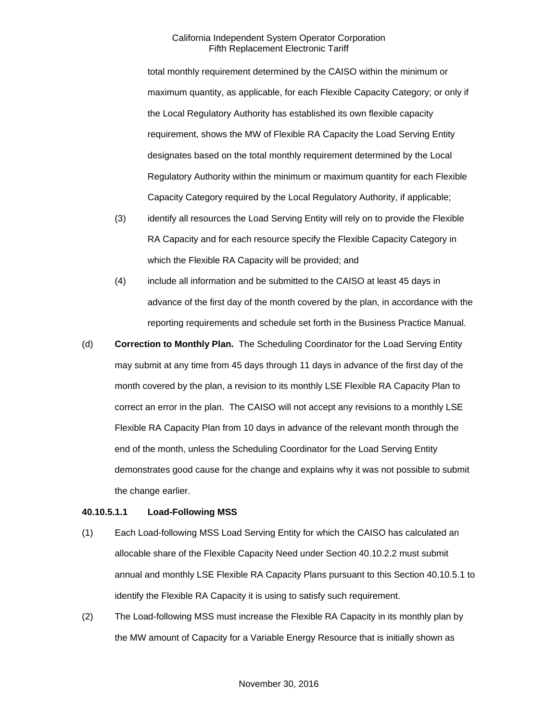total monthly requirement determined by the CAISO within the minimum or maximum quantity, as applicable, for each Flexible Capacity Category; or only if the Local Regulatory Authority has established its own flexible capacity requirement, shows the MW of Flexible RA Capacity the Load Serving Entity designates based on the total monthly requirement determined by the Local Regulatory Authority within the minimum or maximum quantity for each Flexible Capacity Category required by the Local Regulatory Authority, if applicable;

- (3) identify all resources the Load Serving Entity will rely on to provide the Flexible RA Capacity and for each resource specify the Flexible Capacity Category in which the Flexible RA Capacity will be provided; and
- (4) include all information and be submitted to the CAISO at least 45 days in advance of the first day of the month covered by the plan, in accordance with the reporting requirements and schedule set forth in the Business Practice Manual.
- (d) **Correction to Monthly Plan.** The Scheduling Coordinator for the Load Serving Entity may submit at any time from 45 days through 11 days in advance of the first day of the month covered by the plan, a revision to its monthly LSE Flexible RA Capacity Plan to correct an error in the plan. The CAISO will not accept any revisions to a monthly LSE Flexible RA Capacity Plan from 10 days in advance of the relevant month through the end of the month, unless the Scheduling Coordinator for the Load Serving Entity demonstrates good cause for the change and explains why it was not possible to submit the change earlier.

#### **40.10.5.1.1 Load-Following MSS**

- (1) Each Load-following MSS Load Serving Entity for which the CAISO has calculated an allocable share of the Flexible Capacity Need under Section 40.10.2.2 must submit annual and monthly LSE Flexible RA Capacity Plans pursuant to this Section 40.10.5.1 to identify the Flexible RA Capacity it is using to satisfy such requirement.
- (2) The Load-following MSS must increase the Flexible RA Capacity in its monthly plan by the MW amount of Capacity for a Variable Energy Resource that is initially shown as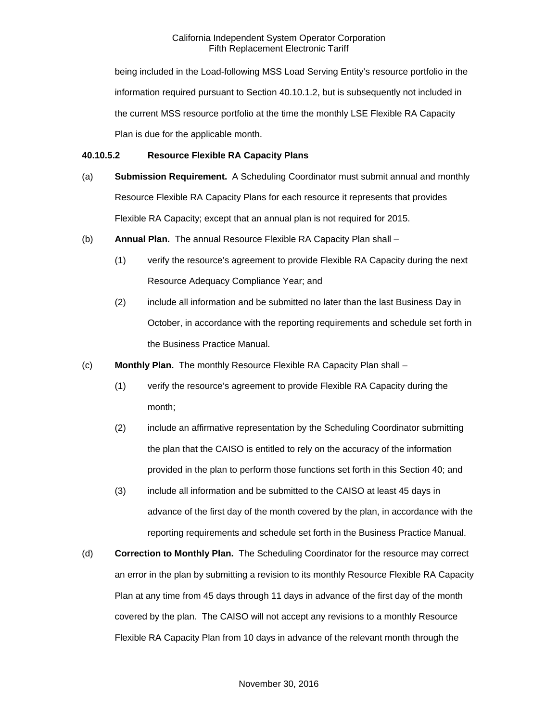being included in the Load-following MSS Load Serving Entity's resource portfolio in the information required pursuant to Section 40.10.1.2, but is subsequently not included in the current MSS resource portfolio at the time the monthly LSE Flexible RA Capacity Plan is due for the applicable month.

### **40.10.5.2 Resource Flexible RA Capacity Plans**

- (a) **Submission Requirement.** A Scheduling Coordinator must submit annual and monthly Resource Flexible RA Capacity Plans for each resource it represents that provides Flexible RA Capacity; except that an annual plan is not required for 2015.
- (b) **Annual Plan.** The annual Resource Flexible RA Capacity Plan shall
	- (1) verify the resource's agreement to provide Flexible RA Capacity during the next Resource Adequacy Compliance Year; and
	- (2) include all information and be submitted no later than the last Business Day in October, in accordance with the reporting requirements and schedule set forth in the Business Practice Manual.
- (c) **Monthly Plan.** The monthly Resource Flexible RA Capacity Plan shall
	- (1) verify the resource's agreement to provide Flexible RA Capacity during the month;
	- (2) include an affirmative representation by the Scheduling Coordinator submitting the plan that the CAISO is entitled to rely on the accuracy of the information provided in the plan to perform those functions set forth in this Section 40; and
	- (3) include all information and be submitted to the CAISO at least 45 days in advance of the first day of the month covered by the plan, in accordance with the reporting requirements and schedule set forth in the Business Practice Manual.
- (d) **Correction to Monthly Plan.** The Scheduling Coordinator for the resource may correct an error in the plan by submitting a revision to its monthly Resource Flexible RA Capacity Plan at any time from 45 days through 11 days in advance of the first day of the month covered by the plan. The CAISO will not accept any revisions to a monthly Resource Flexible RA Capacity Plan from 10 days in advance of the relevant month through the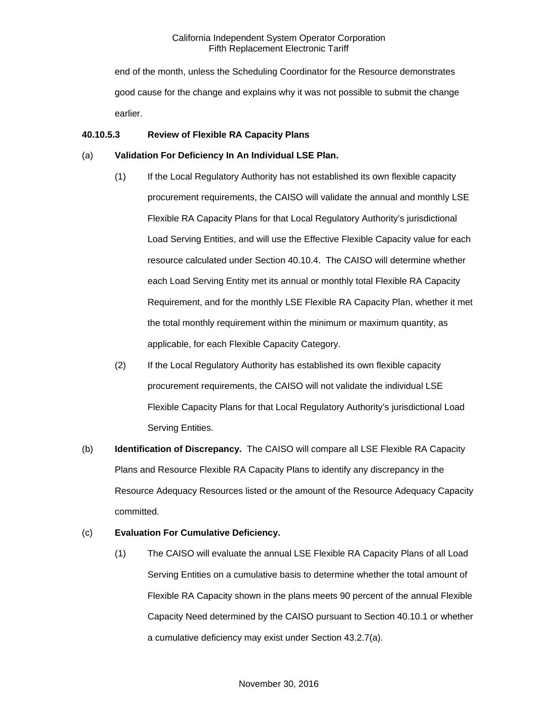end of the month, unless the Scheduling Coordinator for the Resource demonstrates good cause for the change and explains why it was not possible to submit the change earlier.

### **40.10.5.3 Review of Flexible RA Capacity Plans**

### (a) **Validation For Deficiency In An Individual LSE Plan.**

- (1) If the Local Regulatory Authority has not established its own flexible capacity procurement requirements, the CAISO will validate the annual and monthly LSE Flexible RA Capacity Plans for that Local Regulatory Authority's jurisdictional Load Serving Entities, and will use the Effective Flexible Capacity value for each resource calculated under Section 40.10.4. The CAISO will determine whether each Load Serving Entity met its annual or monthly total Flexible RA Capacity Requirement, and for the monthly LSE Flexible RA Capacity Plan, whether it met the total monthly requirement within the minimum or maximum quantity, as applicable, for each Flexible Capacity Category.
- (2) If the Local Regulatory Authority has established its own flexible capacity procurement requirements, the CAISO will not validate the individual LSE Flexible Capacity Plans for that Local Regulatory Authority's jurisdictional Load Serving Entities.
- (b) **Identification of Discrepancy.** The CAISO will compare all LSE Flexible RA Capacity Plans and Resource Flexible RA Capacity Plans to identify any discrepancy in the Resource Adequacy Resources listed or the amount of the Resource Adequacy Capacity committed.

# (c) **Evaluation For Cumulative Deficiency.**

(1) The CAISO will evaluate the annual LSE Flexible RA Capacity Plans of all Load Serving Entities on a cumulative basis to determine whether the total amount of Flexible RA Capacity shown in the plans meets 90 percent of the annual Flexible Capacity Need determined by the CAISO pursuant to Section 40.10.1 or whether a cumulative deficiency may exist under Section 43.2.7(a).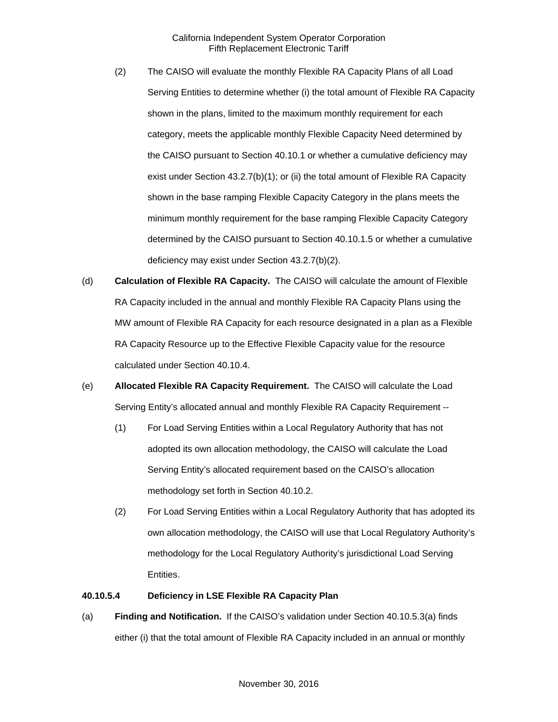- (2) The CAISO will evaluate the monthly Flexible RA Capacity Plans of all Load Serving Entities to determine whether (i) the total amount of Flexible RA Capacity shown in the plans, limited to the maximum monthly requirement for each category, meets the applicable monthly Flexible Capacity Need determined by the CAISO pursuant to Section 40.10.1 or whether a cumulative deficiency may exist under Section 43.2.7(b)(1); or (ii) the total amount of Flexible RA Capacity shown in the base ramping Flexible Capacity Category in the plans meets the minimum monthly requirement for the base ramping Flexible Capacity Category determined by the CAISO pursuant to Section 40.10.1.5 or whether a cumulative deficiency may exist under Section 43.2.7(b)(2).
- (d) **Calculation of Flexible RA Capacity.** The CAISO will calculate the amount of Flexible RA Capacity included in the annual and monthly Flexible RA Capacity Plans using the MW amount of Flexible RA Capacity for each resource designated in a plan as a Flexible RA Capacity Resource up to the Effective Flexible Capacity value for the resource calculated under Section 40.10.4.
- (e) **Allocated Flexible RA Capacity Requirement.** The CAISO will calculate the Load Serving Entity's allocated annual and monthly Flexible RA Capacity Requirement --
	- (1) For Load Serving Entities within a Local Regulatory Authority that has not adopted its own allocation methodology, the CAISO will calculate the Load Serving Entity's allocated requirement based on the CAISO's allocation methodology set forth in Section 40.10.2.
	- (2) For Load Serving Entities within a Local Regulatory Authority that has adopted its own allocation methodology, the CAISO will use that Local Regulatory Authority's methodology for the Local Regulatory Authority's jurisdictional Load Serving Entities.

#### **40.10.5.4 Deficiency in LSE Flexible RA Capacity Plan**

(a) **Finding and Notification.** If the CAISO's validation under Section 40.10.5.3(a) finds either (i) that the total amount of Flexible RA Capacity included in an annual or monthly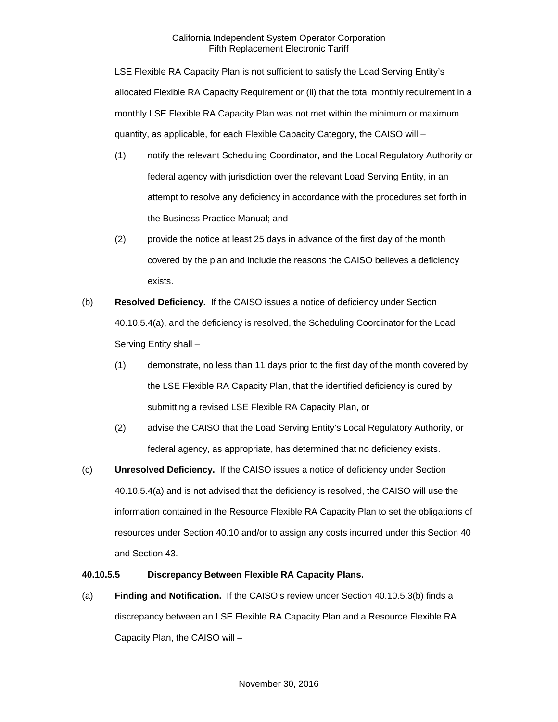LSE Flexible RA Capacity Plan is not sufficient to satisfy the Load Serving Entity's allocated Flexible RA Capacity Requirement or (ii) that the total monthly requirement in a monthly LSE Flexible RA Capacity Plan was not met within the minimum or maximum quantity, as applicable, for each Flexible Capacity Category, the CAISO will –

- (1) notify the relevant Scheduling Coordinator, and the Local Regulatory Authority or federal agency with jurisdiction over the relevant Load Serving Entity, in an attempt to resolve any deficiency in accordance with the procedures set forth in the Business Practice Manual; and
- (2) provide the notice at least 25 days in advance of the first day of the month covered by the plan and include the reasons the CAISO believes a deficiency exists.
- (b) **Resolved Deficiency.** If the CAISO issues a notice of deficiency under Section 40.10.5.4(a), and the deficiency is resolved, the Scheduling Coordinator for the Load Serving Entity shall –
	- (1) demonstrate, no less than 11 days prior to the first day of the month covered by the LSE Flexible RA Capacity Plan, that the identified deficiency is cured by submitting a revised LSE Flexible RA Capacity Plan, or
	- (2) advise the CAISO that the Load Serving Entity's Local Regulatory Authority, or federal agency, as appropriate, has determined that no deficiency exists.
- (c) **Unresolved Deficiency.** If the CAISO issues a notice of deficiency under Section 40.10.5.4(a) and is not advised that the deficiency is resolved, the CAISO will use the information contained in the Resource Flexible RA Capacity Plan to set the obligations of resources under Section 40.10 and/or to assign any costs incurred under this Section 40 and Section 43.

### **40.10.5.5 Discrepancy Between Flexible RA Capacity Plans.**

(a) **Finding and Notification.** If the CAISO's review under Section 40.10.5.3(b) finds a discrepancy between an LSE Flexible RA Capacity Plan and a Resource Flexible RA Capacity Plan, the CAISO will –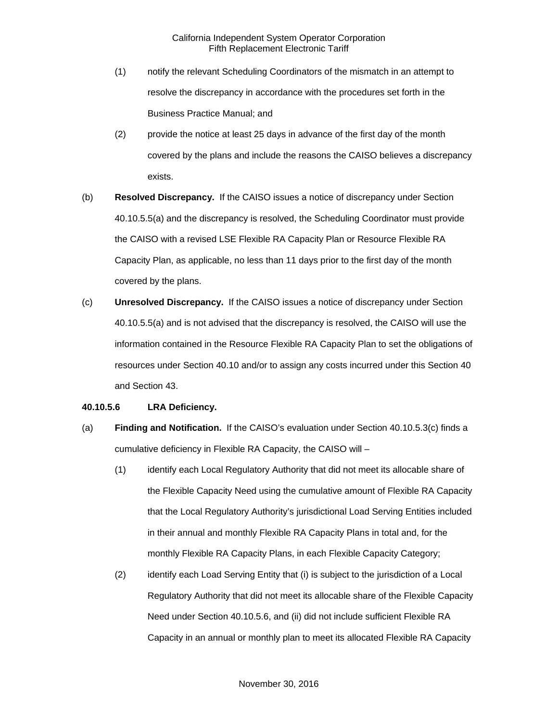- (1) notify the relevant Scheduling Coordinators of the mismatch in an attempt to resolve the discrepancy in accordance with the procedures set forth in the Business Practice Manual; and
- (2) provide the notice at least 25 days in advance of the first day of the month covered by the plans and include the reasons the CAISO believes a discrepancy exists.
- (b) **Resolved Discrepancy.** If the CAISO issues a notice of discrepancy under Section 40.10.5.5(a) and the discrepancy is resolved, the Scheduling Coordinator must provide the CAISO with a revised LSE Flexible RA Capacity Plan or Resource Flexible RA Capacity Plan, as applicable, no less than 11 days prior to the first day of the month covered by the plans.
- (c) **Unresolved Discrepancy.** If the CAISO issues a notice of discrepancy under Section 40.10.5.5(a) and is not advised that the discrepancy is resolved, the CAISO will use the information contained in the Resource Flexible RA Capacity Plan to set the obligations of resources under Section 40.10 and/or to assign any costs incurred under this Section 40 and Section 43.

### **40.10.5.6 LRA Deficiency.**

- (a) **Finding and Notification.** If the CAISO's evaluation under Section 40.10.5.3(c) finds a cumulative deficiency in Flexible RA Capacity, the CAISO will –
	- (1) identify each Local Regulatory Authority that did not meet its allocable share of the Flexible Capacity Need using the cumulative amount of Flexible RA Capacity that the Local Regulatory Authority's jurisdictional Load Serving Entities included in their annual and monthly Flexible RA Capacity Plans in total and, for the monthly Flexible RA Capacity Plans, in each Flexible Capacity Category;
	- (2) identify each Load Serving Entity that (i) is subject to the jurisdiction of a Local Regulatory Authority that did not meet its allocable share of the Flexible Capacity Need under Section 40.10.5.6, and (ii) did not include sufficient Flexible RA Capacity in an annual or monthly plan to meet its allocated Flexible RA Capacity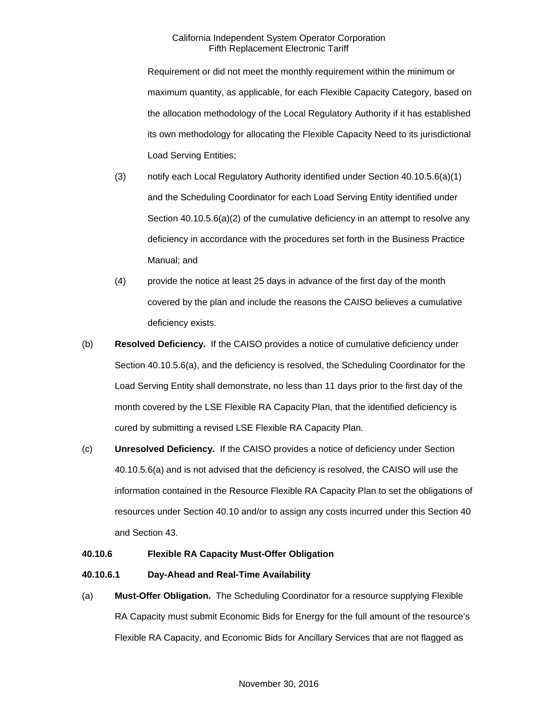Requirement or did not meet the monthly requirement within the minimum or maximum quantity, as applicable, for each Flexible Capacity Category, based on the allocation methodology of the Local Regulatory Authority if it has established its own methodology for allocating the Flexible Capacity Need to its jurisdictional Load Serving Entities;

- (3) notify each Local Regulatory Authority identified under Section 40.10.5.6(a)(1) and the Scheduling Coordinator for each Load Serving Entity identified under Section 40.10.5.6(a)(2) of the cumulative deficiency in an attempt to resolve any deficiency in accordance with the procedures set forth in the Business Practice Manual; and
- (4) provide the notice at least 25 days in advance of the first day of the month covered by the plan and include the reasons the CAISO believes a cumulative deficiency exists.
- (b) **Resolved Deficiency.** If the CAISO provides a notice of cumulative deficiency under Section 40.10.5.6(a), and the deficiency is resolved, the Scheduling Coordinator for the Load Serving Entity shall demonstrate, no less than 11 days prior to the first day of the month covered by the LSE Flexible RA Capacity Plan, that the identified deficiency is cured by submitting a revised LSE Flexible RA Capacity Plan.
- (c) **Unresolved Deficiency.** If the CAISO provides a notice of deficiency under Section 40.10.5.6(a) and is not advised that the deficiency is resolved, the CAISO will use the information contained in the Resource Flexible RA Capacity Plan to set the obligations of resources under Section 40.10 and/or to assign any costs incurred under this Section 40 and Section 43.

### **40.10.6 Flexible RA Capacity Must-Offer Obligation**

### **40.10.6.1 Day-Ahead and Real-Time Availability**

(a) **Must-Offer Obligation.** The Scheduling Coordinator for a resource supplying Flexible RA Capacity must submit Economic Bids for Energy for the full amount of the resource's Flexible RA Capacity, and Economic Bids for Ancillary Services that are not flagged as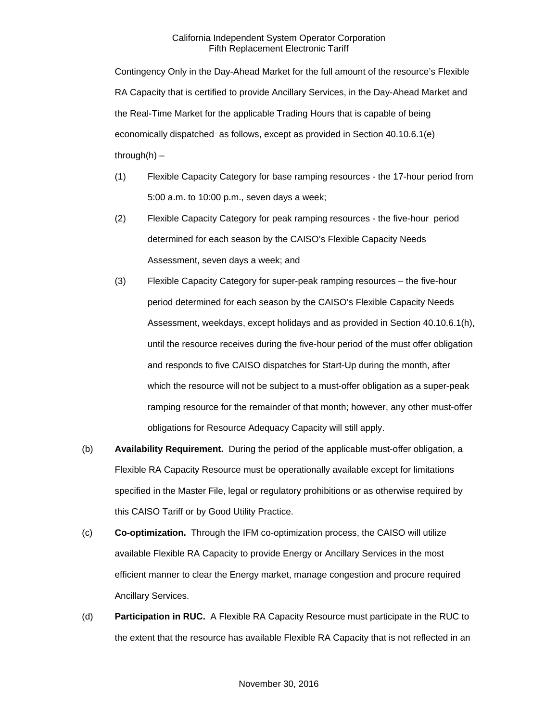Contingency Only in the Day-Ahead Market for the full amount of the resource's Flexible RA Capacity that is certified to provide Ancillary Services, in the Day-Ahead Market and the Real-Time Market for the applicable Trading Hours that is capable of being economically dispatched as follows, except as provided in Section 40.10.6.1(e) through $(h)$  –

- (1) Flexible Capacity Category for base ramping resources the 17-hour period from 5:00 a.m. to 10:00 p.m., seven days a week;
- (2) Flexible Capacity Category for peak ramping resources the five-hour period determined for each season by the CAISO's Flexible Capacity Needs Assessment, seven days a week; and
- (3) Flexible Capacity Category for super-peak ramping resources the five-hour period determined for each season by the CAISO's Flexible Capacity Needs Assessment, weekdays, except holidays and as provided in Section 40.10.6.1(h), until the resource receives during the five-hour period of the must offer obligation and responds to five CAISO dispatches for Start-Up during the month, after which the resource will not be subject to a must-offer obligation as a super-peak ramping resource for the remainder of that month; however, any other must-offer obligations for Resource Adequacy Capacity will still apply.
- (b) **Availability Requirement.** During the period of the applicable must-offer obligation, a Flexible RA Capacity Resource must be operationally available except for limitations specified in the Master File, legal or regulatory prohibitions or as otherwise required by this CAISO Tariff or by Good Utility Practice.
- (c) **Co-optimization.** Through the IFM co-optimization process, the CAISO will utilize available Flexible RA Capacity to provide Energy or Ancillary Services in the most efficient manner to clear the Energy market, manage congestion and procure required Ancillary Services.
- (d) **Participation in RUC.** A Flexible RA Capacity Resource must participate in the RUC to the extent that the resource has available Flexible RA Capacity that is not reflected in an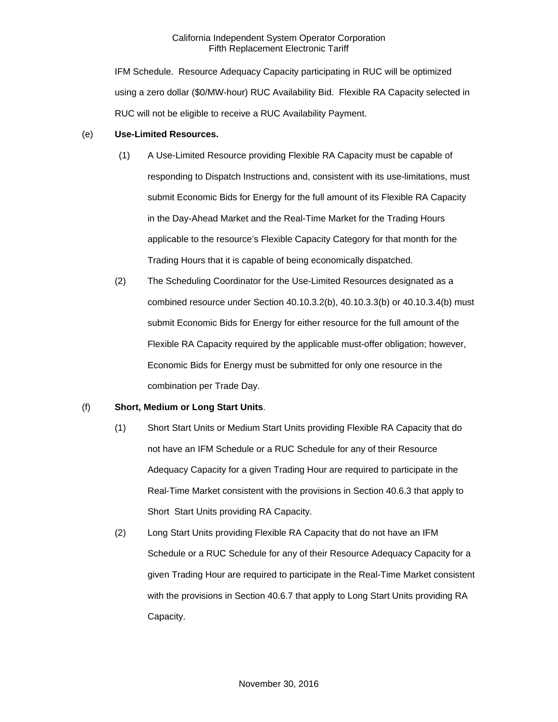IFM Schedule. Resource Adequacy Capacity participating in RUC will be optimized using a zero dollar (\$0/MW-hour) RUC Availability Bid. Flexible RA Capacity selected in RUC will not be eligible to receive a RUC Availability Payment.

### (e) **Use-Limited Resources.**

- (1) A Use-Limited Resource providing Flexible RA Capacity must be capable of responding to Dispatch Instructions and, consistent with its use-limitations, must submit Economic Bids for Energy for the full amount of its Flexible RA Capacity in the Day-Ahead Market and the Real-Time Market for the Trading Hours applicable to the resource's Flexible Capacity Category for that month for the Trading Hours that it is capable of being economically dispatched.
- (2) The Scheduling Coordinator for the Use-Limited Resources designated as a combined resource under Section 40.10.3.2(b), 40.10.3.3(b) or 40.10.3.4(b) must submit Economic Bids for Energy for either resource for the full amount of the Flexible RA Capacity required by the applicable must-offer obligation; however, Economic Bids for Energy must be submitted for only one resource in the combination per Trade Day.

### (f) **Short, Medium or Long Start Units**.

- (1) Short Start Units or Medium Start Units providing Flexible RA Capacity that do not have an IFM Schedule or a RUC Schedule for any of their Resource Adequacy Capacity for a given Trading Hour are required to participate in the Real-Time Market consistent with the provisions in Section 40.6.3 that apply to Short Start Units providing RA Capacity.
- (2) Long Start Units providing Flexible RA Capacity that do not have an IFM Schedule or a RUC Schedule for any of their Resource Adequacy Capacity for a given Trading Hour are required to participate in the Real-Time Market consistent with the provisions in Section 40.6.7 that apply to Long Start Units providing RA Capacity.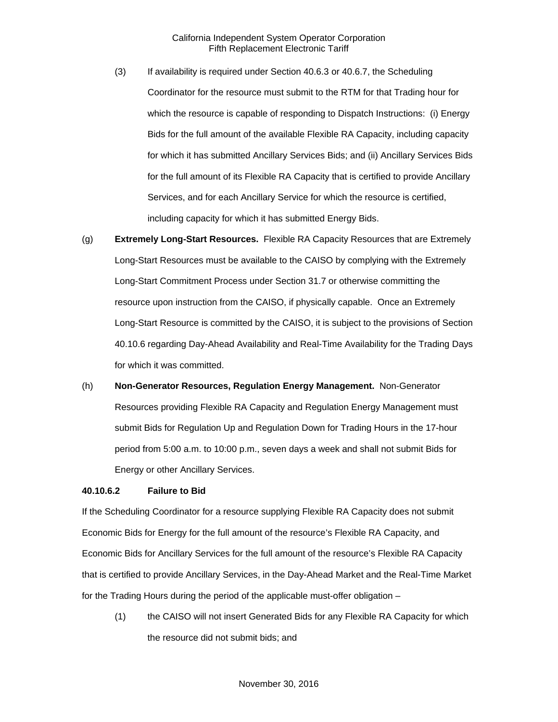- (3) If availability is required under Section 40.6.3 or 40.6.7, the Scheduling Coordinator for the resource must submit to the RTM for that Trading hour for which the resource is capable of responding to Dispatch Instructions: (i) Energy Bids for the full amount of the available Flexible RA Capacity, including capacity for which it has submitted Ancillary Services Bids; and (ii) Ancillary Services Bids for the full amount of its Flexible RA Capacity that is certified to provide Ancillary Services, and for each Ancillary Service for which the resource is certified, including capacity for which it has submitted Energy Bids.
- (g) **Extremely Long-Start Resources.** Flexible RA Capacity Resources that are Extremely Long-Start Resources must be available to the CAISO by complying with the Extremely Long-Start Commitment Process under Section 31.7 or otherwise committing the resource upon instruction from the CAISO, if physically capable. Once an Extremely Long-Start Resource is committed by the CAISO, it is subject to the provisions of Section 40.10.6 regarding Day-Ahead Availability and Real-Time Availability for the Trading Days for which it was committed.
- (h) **Non-Generator Resources, Regulation Energy Management.** Non-Generator Resources providing Flexible RA Capacity and Regulation Energy Management must submit Bids for Regulation Up and Regulation Down for Trading Hours in the 17-hour period from 5:00 a.m. to 10:00 p.m., seven days a week and shall not submit Bids for Energy or other Ancillary Services.

#### **40.10.6.2 Failure to Bid**

If the Scheduling Coordinator for a resource supplying Flexible RA Capacity does not submit Economic Bids for Energy for the full amount of the resource's Flexible RA Capacity, and Economic Bids for Ancillary Services for the full amount of the resource's Flexible RA Capacity that is certified to provide Ancillary Services, in the Day-Ahead Market and the Real-Time Market for the Trading Hours during the period of the applicable must-offer obligation –

(1) the CAISO will not insert Generated Bids for any Flexible RA Capacity for which the resource did not submit bids; and